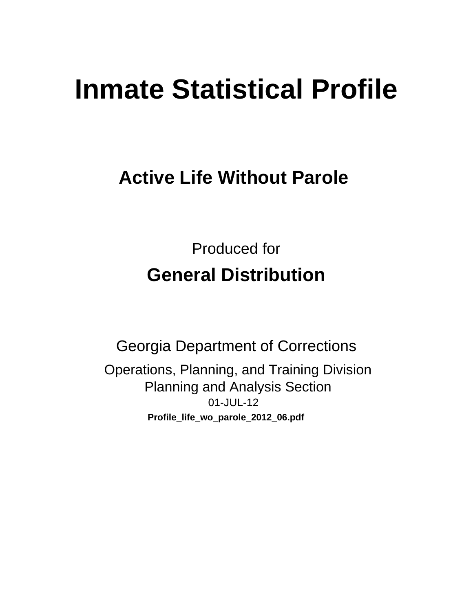# **Inmate Statistical Profile**

## **Active Life Without Parole**

**Produced for General Distribution** 

**Georgia Department of Corrections** Operations, Planning, and Training Division **Planning and Analysis Section** 01-JUL-12 Profile\_life\_wo\_parole\_2012\_06.pdf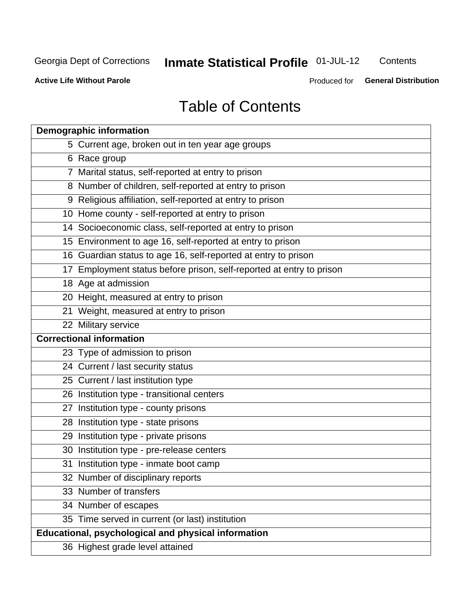## **Inmate Statistical Profile 01-JUL-12**

Contents

**Active Life Without Parole** 

Produced for General Distribution

## **Table of Contents**

| <b>Demographic information</b>                                       |
|----------------------------------------------------------------------|
| 5 Current age, broken out in ten year age groups                     |
| 6 Race group                                                         |
| 7 Marital status, self-reported at entry to prison                   |
| 8 Number of children, self-reported at entry to prison               |
| 9 Religious affiliation, self-reported at entry to prison            |
| 10 Home county - self-reported at entry to prison                    |
| 14 Socioeconomic class, self-reported at entry to prison             |
| 15 Environment to age 16, self-reported at entry to prison           |
| 16 Guardian status to age 16, self-reported at entry to prison       |
| 17 Employment status before prison, self-reported at entry to prison |
| 18 Age at admission                                                  |
| 20 Height, measured at entry to prison                               |
| 21 Weight, measured at entry to prison                               |
| 22 Military service                                                  |
| <b>Correctional information</b>                                      |
| 23 Type of admission to prison                                       |
| 24 Current / last security status                                    |
| 25 Current / last institution type                                   |
| 26 Institution type - transitional centers                           |
| 27 Institution type - county prisons                                 |
| 28 Institution type - state prisons                                  |
| 29 Institution type - private prisons                                |
| 30 Institution type - pre-release centers                            |
| 31 Institution type - inmate boot camp                               |
| 32 Number of disciplinary reports                                    |
| 33 Number of transfers                                               |
| 34 Number of escapes                                                 |
| 35 Time served in current (or last) institution                      |
| Educational, psychological and physical information                  |
| 36 Highest grade level attained                                      |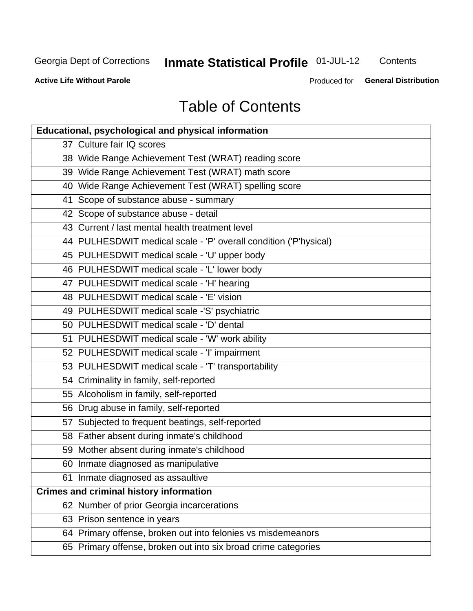## **Inmate Statistical Profile 01-JUL-12**

Contents

**Active Life Without Parole** 

Produced for **General Distribution** 

## **Table of Contents**

| <b>Educational, psychological and physical information</b>       |
|------------------------------------------------------------------|
| 37 Culture fair IQ scores                                        |
| 38 Wide Range Achievement Test (WRAT) reading score              |
| 39 Wide Range Achievement Test (WRAT) math score                 |
| 40 Wide Range Achievement Test (WRAT) spelling score             |
| 41 Scope of substance abuse - summary                            |
| 42 Scope of substance abuse - detail                             |
| 43 Current / last mental health treatment level                  |
| 44 PULHESDWIT medical scale - 'P' overall condition ('P'hysical) |
| 45 PULHESDWIT medical scale - 'U' upper body                     |
| 46 PULHESDWIT medical scale - 'L' lower body                     |
| 47 PULHESDWIT medical scale - 'H' hearing                        |
| 48 PULHESDWIT medical scale - 'E' vision                         |
| 49 PULHESDWIT medical scale -'S' psychiatric                     |
| 50 PULHESDWIT medical scale - 'D' dental                         |
| 51 PULHESDWIT medical scale - 'W' work ability                   |
| 52 PULHESDWIT medical scale - 'I' impairment                     |
| 53 PULHESDWIT medical scale - 'T' transportability               |
| 54 Criminality in family, self-reported                          |
| 55 Alcoholism in family, self-reported                           |
| 56 Drug abuse in family, self-reported                           |
| 57 Subjected to frequent beatings, self-reported                 |
| 58 Father absent during inmate's childhood                       |
| 59 Mother absent during inmate's childhood                       |
| 60 Inmate diagnosed as manipulative                              |
| 61 Inmate diagnosed as assaultive                                |
| <b>Crimes and criminal history information</b>                   |
| 62 Number of prior Georgia incarcerations                        |
| 63 Prison sentence in years                                      |
| 64 Primary offense, broken out into felonies vs misdemeanors     |
| 65 Primary offense, broken out into six broad crime categories   |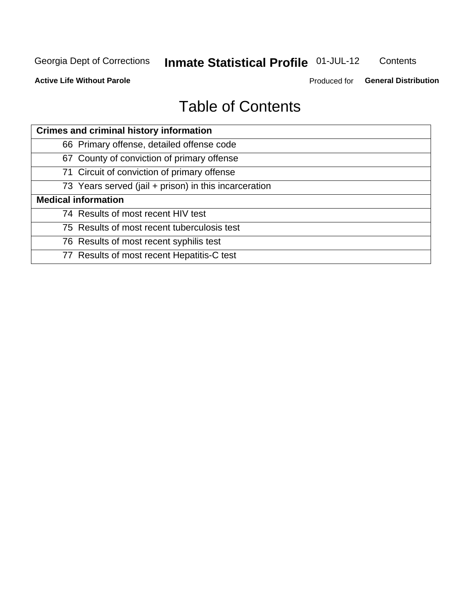## **Inmate Statistical Profile 01-JUL-12**

Contents

**Active Life Without Parole** 

Produced for General Distribution

## **Table of Contents**

| <b>Crimes and criminal history information</b>        |
|-------------------------------------------------------|
| 66 Primary offense, detailed offense code             |
| 67 County of conviction of primary offense            |
| 71 Circuit of conviction of primary offense           |
| 73 Years served (jail + prison) in this incarceration |
| <b>Medical information</b>                            |
| 74 Results of most recent HIV test                    |
| 75 Results of most recent tuberculosis test           |
| 76 Results of most recent syphilis test               |
| 77 Results of most recent Hepatitis-C test            |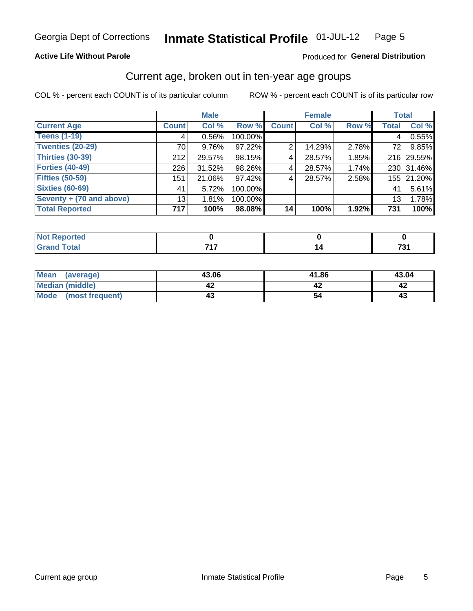#### **Active Life Without Parole**

#### Produced for General Distribution

### Current age, broken out in ten-year age groups

COL % - percent each COUNT is of its particular column

|                          |              | <b>Male</b> |         |              | <b>Female</b> |          | <b>Total</b> |            |
|--------------------------|--------------|-------------|---------|--------------|---------------|----------|--------------|------------|
| <b>Current Age</b>       | <b>Count</b> | Col %       | Row %   | <b>Count</b> | Col %         | Row %    | <b>Total</b> | Col %      |
| <b>Teens (1-19)</b>      | 4            | 0.56%       | 100.00% |              |               |          | 4            | 0.55%      |
| <b>Twenties (20-29)</b>  | 70           | 9.76%       | 97.22%  | 2            | 14.29%        | 2.78%    | 72           | 9.85%      |
| Thirties (30-39)         | 212          | 29.57%      | 98.15%  | 4            | 28.57%        | 1.85%    |              | 216 29.55% |
| <b>Forties (40-49)</b>   | 226          | $31.52\%$   | 98.26%  | 4            | 28.57%        | $1.74\%$ |              | 230 31.46% |
| <b>Fifties (50-59)</b>   | 151          | 21.06%      | 97.42%  | 4            | 28.57%        | 2.58%    |              | 155 21.20% |
| <b>Sixties (60-69)</b>   | 41           | 5.72%       | 100.00% |              |               |          | 41           | 5.61%      |
| Seventy + (70 and above) | 13           | 1.81%       | 100.00% |              |               |          | 13           | 1.78%      |
| <b>Total Reported</b>    | 717          | 100%        | 98.08%  | 14           | 100%          | 1.92%    | 731          | 100%       |

| Code"  | 747 | $\overline{ }$ |
|--------|-----|----------------|
| ______ |     | ____           |

| Mean<br>(average)    | 43.06 | 41.86 | 43.04 |
|----------------------|-------|-------|-------|
| Median (middle)      |       |       |       |
| Mode (most frequent) |       |       | 4.    |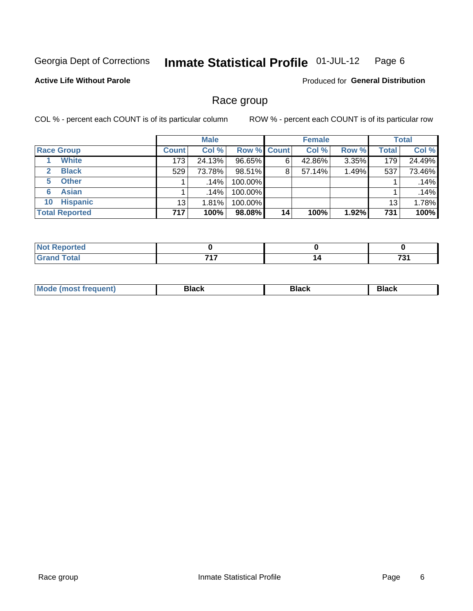#### Inmate Statistical Profile 01-JUL-12 Page 6

#### **Active Life Without Parole**

**Produced for General Distribution** 

### Race group

COL % - percent each COUNT is of its particular column

|                       |                 | <b>Male</b> |                    |    | <b>Female</b> |       |       | <b>Total</b> |
|-----------------------|-----------------|-------------|--------------------|----|---------------|-------|-------|--------------|
| <b>Race Group</b>     | <b>Count</b>    | Col %       | <b>Row % Count</b> |    | Col %         | Row % | Total | Col %        |
| <b>White</b>          | 173             | 24.13%      | 96.65%             | 6  | 42.86%        | 3.35% | 179   | 24.49%       |
| <b>Black</b>          | 529             | 73.78%      | 98.51%             | 8  | 57.14%        | 1.49% | 537   | 73.46%       |
| <b>Other</b><br>5.    |                 | $.14\%$     | 100.00%            |    |               |       |       | .14%         |
| <b>Asian</b><br>6     |                 | .14%        | 100.00%            |    |               |       |       | .14%         |
| <b>Hispanic</b><br>10 | 13 <sub>1</sub> | 1.81%       | 100.00%            |    |               |       | 13    | 1.78%        |
| <b>Total Reported</b> | 717             | 100%        | 98.08%             | 14 | 100%          | 1.92% | 731   | 100%         |

| .<br>тео |     |     |
|----------|-----|-----|
|          | フィフ | 704 |

| M | - - - | Piavn |
|---|-------|-------|
|   |       |       |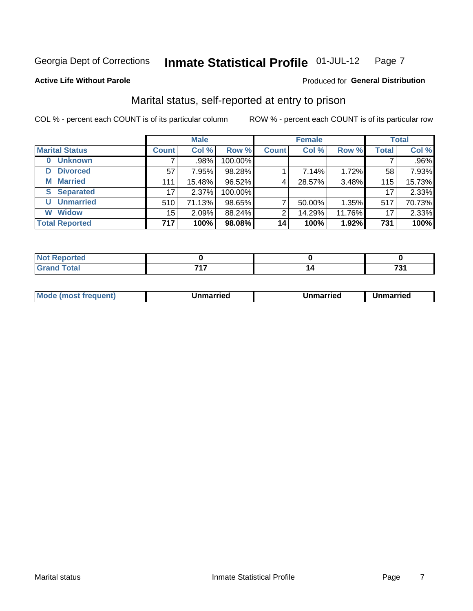#### Inmate Statistical Profile 01-JUL-12 Page 7

#### **Active Life Without Parole**

#### Produced for General Distribution

### Marital status, self-reported at entry to prison

COL % - percent each COUNT is of its particular column

|                            |                 | <b>Male</b> |         |              | <b>Female</b> |        |              | <b>Total</b> |
|----------------------------|-----------------|-------------|---------|--------------|---------------|--------|--------------|--------------|
| <b>Marital Status</b>      | <b>Count</b>    | Col %       | Row %   | <b>Count</b> | Col %         | Row %  | <b>Total</b> | Col %        |
| <b>Unknown</b><br>$\bf{0}$ |                 | .98%        | 100.00% |              |               |        |              | .96%         |
| <b>Divorced</b><br>D       | 57              | 7.95%       | 98.28%  |              | 7.14%         | 1.72%  | 58           | 7.93%        |
| <b>Married</b><br>М        | 111             | 15.48%      | 96.52%  | 4            | 28.57%        | 3.48%  | 115          | 15.73%       |
| <b>Separated</b><br>S.     | 17              | 2.37%       | 100.00% |              |               |        | 17           | 2.33%        |
| <b>Unmarried</b><br>U      | 510             | 71.13%      | 98.65%  | ⇁            | 50.00%        | 1.35%  | 517          | 70.73%       |
| <b>Widow</b><br>W          | 15 <sup>2</sup> | 2.09%       | 88.24%  | 2            | 14.29%        | 11.76% | 17           | 2.33%        |
| <b>Total Reported</b>      | 717             | 100%        | 98.08%  | 14           | 100%          | 1.92%  | 731          | 100%         |

| Reported<br>NOT<br>110111      |     |    |
|--------------------------------|-----|----|
| <b>Total</b><br>Cror<br>______ | フィフ | ¬^ |

|--|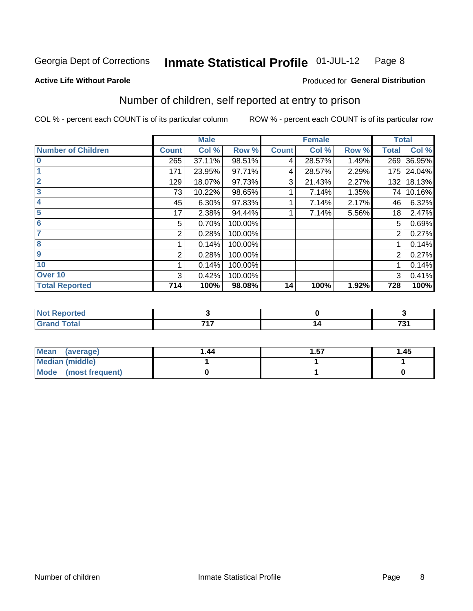#### Inmate Statistical Profile 01-JUL-12 Page 8

**Active Life Without Parole** 

#### **Produced for General Distribution**

### Number of children, self reported at entry to prison

COL % - percent each COUNT is of its particular column

|                           |              | <b>Male</b> |         |              | <b>Female</b> |       | <b>Total</b>   |        |
|---------------------------|--------------|-------------|---------|--------------|---------------|-------|----------------|--------|
| <b>Number of Children</b> | <b>Count</b> | Col %       | Row %   | <b>Count</b> | Col %         | Row % | <b>Total</b>   | Col %  |
| $\mathbf{0}$              | 265          | 37.11%      | 98.51%  | 4            | 28.57%        | 1.49% | 269            | 36.95% |
|                           | 171          | 23.95%      | 97.71%  | 4            | 28.57%        | 2.29% | 175            | 24.04% |
| $\overline{2}$            | 129          | 18.07%      | 97.73%  | 3            | 21.43%        | 2.27% | 132            | 18.13% |
| 3                         | 73           | 10.22%      | 98.65%  |              | 7.14%         | 1.35% | 74             | 10.16% |
| 4                         | 45           | 6.30%       | 97.83%  |              | 7.14%         | 2.17% | 46             | 6.32%  |
| 5                         | 17           | 2.38%       | 94.44%  |              | 7.14%         | 5.56% | 18             | 2.47%  |
| 6                         | 5            | 0.70%       | 100.00% |              |               |       | 5              | 0.69%  |
|                           | 2            | 0.28%       | 100.00% |              |               |       | 2              | 0.27%  |
| 8                         |              | 0.14%       | 100.00% |              |               |       |                | 0.14%  |
| 9                         | 2            | 0.28%       | 100.00% |              |               |       | $\overline{2}$ | 0.27%  |
| 10                        |              | 0.14%       | 100.00% |              |               |       |                | 0.14%  |
| Over 10                   | 3            | 0.42%       | 100.00% |              |               |       | 3              | 0.41%  |
| <b>Total Reported</b>     | 714          | 100%        | 98.08%  | 14           | 100%          | 1.92% | 728            | 100%   |

| πτeα<br>$\cdots$<br>$\sim$ |     |     |
|----------------------------|-----|-----|
| υιαι                       | --- | 704 |
| $\sim$ .                   | .   | , J |

| Mean<br>(average)       | 1.44 | . 57 | 1.45 |
|-------------------------|------|------|------|
| Median (middle)         |      |      |      |
| Mode<br>(most frequent) |      |      |      |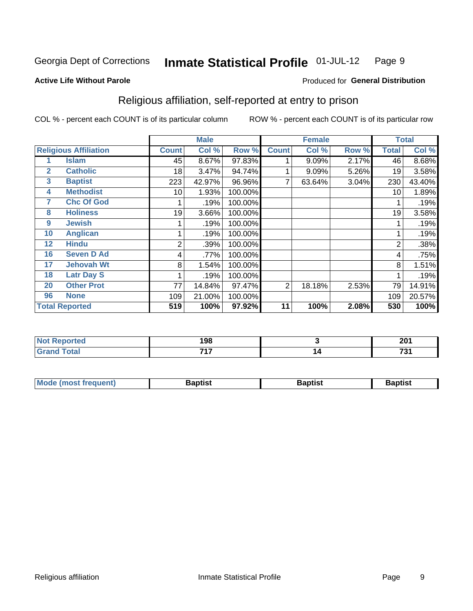#### **Inmate Statistical Profile 01-JUL-12** Page 9

**Active Life Without Parole** 

#### Produced for General Distribution

### Religious affiliation, self-reported at entry to prison

COL % - percent each COUNT is of its particular column

|                              |                       |              | <b>Male</b> |         |                | <b>Female</b> |       |                | <b>Total</b> |
|------------------------------|-----------------------|--------------|-------------|---------|----------------|---------------|-------|----------------|--------------|
| <b>Religious Affiliation</b> |                       | <b>Count</b> | Col %       | Row %   | <b>Count</b>   | Col %         | Row % | Total          | Col %        |
|                              | <b>Islam</b>          | 45           | 8.67%       | 97.83%  |                | 9.09%         | 2.17% | 46             | 8.68%        |
| $\mathbf{2}$                 | <b>Catholic</b>       | 18           | 3.47%       | 94.74%  |                | 9.09%         | 5.26% | 19             | 3.58%        |
| 3                            | <b>Baptist</b>        | 223          | 42.97%      | 96.96%  |                | 63.64%        | 3.04% | 230            | 43.40%       |
| 4                            | <b>Methodist</b>      | 10           | 1.93%       | 100.00% |                |               |       | 10             | 1.89%        |
| 7                            | <b>Chc Of God</b>     |              | .19%        | 100.00% |                |               |       |                | .19%         |
| 8                            | <b>Holiness</b>       | 19           | 3.66%       | 100.00% |                |               |       | 19             | 3.58%        |
| 9                            | <b>Jewish</b>         |              | .19%        | 100.00% |                |               |       |                | .19%         |
| 10                           | <b>Anglican</b>       |              | .19%        | 100.00% |                |               |       |                | .19%         |
| 12                           | <b>Hindu</b>          | 2            | .39%        | 100.00% |                |               |       | $\overline{2}$ | .38%         |
| 16                           | <b>Seven D Ad</b>     | 4            | .77%        | 100.00% |                |               |       | 4              | .75%         |
| 17                           | <b>Jehovah Wt</b>     | 8            | 1.54%       | 100.00% |                |               |       | 8              | 1.51%        |
| 18                           | <b>Latr Day S</b>     |              | .19%        | 100.00% |                |               |       |                | .19%         |
| 20                           | <b>Other Prot</b>     | 77           | 14.84%      | 97.47%  | $\overline{2}$ | 18.18%        | 2.53% | 79             | 14.91%       |
| 96                           | <b>None</b>           | 109          | 21.00%      | 100.00% |                |               |       | 109            | 20.57%       |
|                              | <b>Total Reported</b> | 519          | 100%        | 97.92%  | 11             | 100%          | 2.08% | 530            | 100%         |

| rtea<br>.<br>. | 198      |          | 201<br>ZV I |
|----------------|----------|----------|-------------|
| _______        | 747<br>. | ı<br>. . | 704         |

| <b>Mode (most frequent)</b> | 3aptist | 3aptist | 3aptist |
|-----------------------------|---------|---------|---------|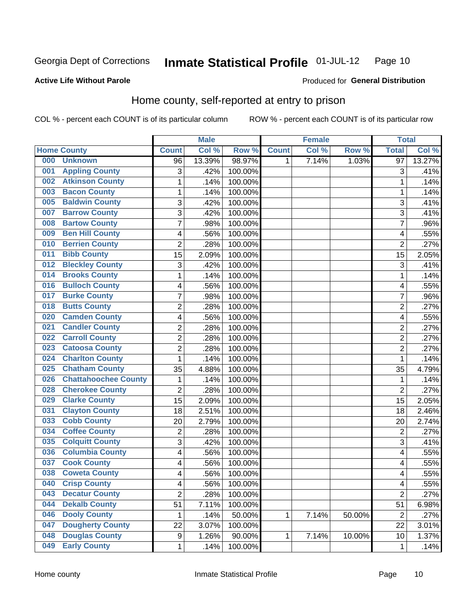#### **Inmate Statistical Profile 01-JUL-12** Page 10

Produced for General Distribution

#### **Active Life Without Parole**

## Home county, self-reported at entry to prison

COL % - percent each COUNT is of its particular column

|     |                             |                | <b>Male</b> |         |              | <b>Female</b> |        | <b>Total</b>   |        |
|-----|-----------------------------|----------------|-------------|---------|--------------|---------------|--------|----------------|--------|
|     | <b>Home County</b>          | <b>Count</b>   | Col %       | Row %   | <b>Count</b> | Col %         | Row %  | <b>Total</b>   | Col %  |
| 000 | <b>Unknown</b>              | 96             | 13.39%      | 98.97%  | 1            | 7.14%         | 1.03%  | 97             | 13.27% |
| 001 | <b>Appling County</b>       | 3              | .42%        | 100.00% |              |               |        | 3              | .41%   |
| 002 | <b>Atkinson County</b>      | $\mathbf 1$    | .14%        | 100.00% |              |               |        | 1              | .14%   |
| 003 | <b>Bacon County</b>         | 1              | .14%        | 100.00% |              |               |        | 1              | .14%   |
| 005 | <b>Baldwin County</b>       | 3              | .42%        | 100.00% |              |               |        | 3              | .41%   |
| 007 | <b>Barrow County</b>        | 3              | .42%        | 100.00% |              |               |        | 3              | .41%   |
| 008 | <b>Bartow County</b>        | $\overline{7}$ | .98%        | 100.00% |              |               |        | 7              | .96%   |
| 009 | <b>Ben Hill County</b>      | 4              | .56%        | 100.00% |              |               |        | 4              | .55%   |
| 010 | <b>Berrien County</b>       | $\overline{2}$ | .28%        | 100.00% |              |               |        | $\overline{2}$ | .27%   |
| 011 | <b>Bibb County</b>          | 15             | 2.09%       | 100.00% |              |               |        | 15             | 2.05%  |
| 012 | <b>Bleckley County</b>      | 3              | .42%        | 100.00% |              |               |        | 3              | .41%   |
| 014 | <b>Brooks County</b>        | 1              | .14%        | 100.00% |              |               |        | 1              | .14%   |
| 016 | <b>Bulloch County</b>       | 4              | .56%        | 100.00% |              |               |        | 4              | .55%   |
| 017 | <b>Burke County</b>         | $\overline{7}$ | .98%        | 100.00% |              |               |        | 7              | .96%   |
| 018 | <b>Butts County</b>         | $\overline{2}$ | .28%        | 100.00% |              |               |        | $\overline{2}$ | .27%   |
| 020 | <b>Camden County</b>        | 4              | .56%        | 100.00% |              |               |        | 4              | .55%   |
| 021 | <b>Candler County</b>       | $\overline{2}$ | .28%        | 100.00% |              |               |        | $\overline{2}$ | .27%   |
| 022 | <b>Carroll County</b>       | $\overline{c}$ | .28%        | 100.00% |              |               |        | $\overline{2}$ | .27%   |
| 023 | <b>Catoosa County</b>       | $\overline{2}$ | .28%        | 100.00% |              |               |        | $\overline{2}$ | .27%   |
| 024 | <b>Charlton County</b>      | 1              | .14%        | 100.00% |              |               |        | 1              | .14%   |
| 025 | <b>Chatham County</b>       | 35             | 4.88%       | 100.00% |              |               |        | 35             | 4.79%  |
| 026 | <b>Chattahoochee County</b> | 1              | .14%        | 100.00% |              |               |        | 1              | .14%   |
| 028 | <b>Cherokee County</b>      | $\overline{2}$ | .28%        | 100.00% |              |               |        | $\overline{2}$ | .27%   |
| 029 | <b>Clarke County</b>        | 15             | 2.09%       | 100.00% |              |               |        | 15             | 2.05%  |
| 031 | <b>Clayton County</b>       | 18             | 2.51%       | 100.00% |              |               |        | 18             | 2.46%  |
| 033 | <b>Cobb County</b>          | 20             | 2.79%       | 100.00% |              |               |        | 20             | 2.74%  |
| 034 | <b>Coffee County</b>        | $\overline{c}$ | .28%        | 100.00% |              |               |        | $\overline{2}$ | .27%   |
| 035 | <b>Colquitt County</b>      | 3              | .42%        | 100.00% |              |               |        | 3              | .41%   |
| 036 | <b>Columbia County</b>      | 4              | .56%        | 100.00% |              |               |        | 4              | .55%   |
| 037 | <b>Cook County</b>          | 4              | .56%        | 100.00% |              |               |        | 4              | .55%   |
| 038 | <b>Coweta County</b>        | 4              | .56%        | 100.00% |              |               |        | 4              | .55%   |
| 040 | <b>Crisp County</b>         | 4              | .56%        | 100.00% |              |               |        | $\overline{4}$ | .55%   |
| 043 | <b>Decatur County</b>       | $\overline{2}$ | .28%        | 100.00% |              |               |        | $\overline{2}$ | .27%   |
| 044 | <b>Dekalb County</b>        | 51             | 7.11%       | 100.00% |              |               |        | 51             | 6.98%  |
| 046 | <b>Dooly County</b>         | 1              | .14%        | 50.00%  | 1            | 7.14%         | 50.00% | $\overline{2}$ | .27%   |
| 047 | <b>Dougherty County</b>     | 22             | 3.07%       | 100.00% |              |               |        | 22             | 3.01%  |
| 048 | <b>Douglas County</b>       | 9              | 1.26%       | 90.00%  | 1            | 7.14%         | 10.00% | 10             | 1.37%  |
| 049 | <b>Early County</b>         | 1              | .14%        | 100.00% |              |               |        | 1              | .14%   |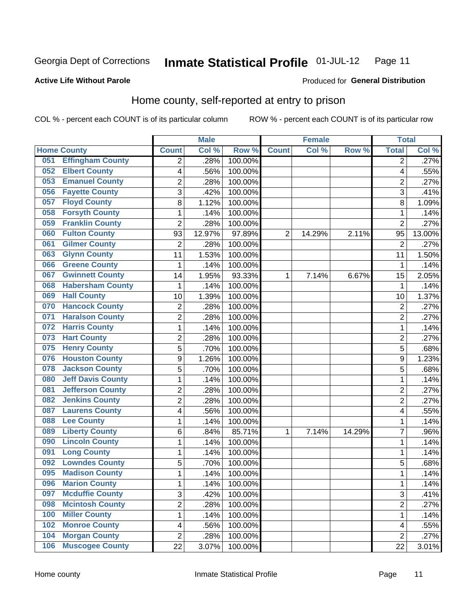#### **Inmate Statistical Profile 01-JUL-12** Page 11

#### **Active Life Without Parole**

### Produced for General Distribution

### Home county, self-reported at entry to prison

COL % - percent each COUNT is of its particular column

|     |                          |                | <b>Male</b> |         |                | <b>Female</b> |        | <b>Total</b>   |        |
|-----|--------------------------|----------------|-------------|---------|----------------|---------------|--------|----------------|--------|
|     | <b>Home County</b>       | <b>Count</b>   | Col %       | Row %   | <b>Count</b>   | Col %         | Row %  | <b>Total</b>   | Col %  |
| 051 | <b>Effingham County</b>  | 2              | .28%        | 100.00% |                |               |        | $\overline{2}$ | .27%   |
| 052 | <b>Elbert County</b>     | 4              | .56%        | 100.00% |                |               |        | 4              | .55%   |
| 053 | <b>Emanuel County</b>    | $\overline{2}$ | .28%        | 100.00% |                |               |        | $\overline{2}$ | .27%   |
| 056 | <b>Fayette County</b>    | 3              | .42%        | 100.00% |                |               |        | 3              | .41%   |
| 057 | <b>Floyd County</b>      | 8              | 1.12%       | 100.00% |                |               |        | 8              | 1.09%  |
| 058 | <b>Forsyth County</b>    | $\mathbf{1}$   | .14%        | 100.00% |                |               |        | 1              | .14%   |
| 059 | <b>Franklin County</b>   | $\overline{2}$ | .28%        | 100.00% |                |               |        | $\overline{2}$ | .27%   |
| 060 | <b>Fulton County</b>     | 93             | 12.97%      | 97.89%  | $\overline{2}$ | 14.29%        | 2.11%  | 95             | 13.00% |
| 061 | <b>Gilmer County</b>     | $\overline{2}$ | .28%        | 100.00% |                |               |        | $\overline{2}$ | .27%   |
| 063 | <b>Glynn County</b>      | 11             | 1.53%       | 100.00% |                |               |        | 11             | 1.50%  |
| 066 | <b>Greene County</b>     | 1              | .14%        | 100.00% |                |               |        | 1              | .14%   |
| 067 | <b>Gwinnett County</b>   | 14             | 1.95%       | 93.33%  | 1              | 7.14%         | 6.67%  | 15             | 2.05%  |
| 068 | <b>Habersham County</b>  | 1              | .14%        | 100.00% |                |               |        | $\mathbf 1$    | .14%   |
| 069 | <b>Hall County</b>       | 10             | 1.39%       | 100.00% |                |               |        | 10             | 1.37%  |
| 070 | <b>Hancock County</b>    | $\overline{2}$ | .28%        | 100.00% |                |               |        | $\overline{2}$ | .27%   |
| 071 | <b>Haralson County</b>   | $\overline{2}$ | .28%        | 100.00% |                |               |        | $\overline{2}$ | .27%   |
| 072 | <b>Harris County</b>     | $\mathbf 1$    | .14%        | 100.00% |                |               |        | 1              | .14%   |
| 073 | <b>Hart County</b>       | $\overline{c}$ | .28%        | 100.00% |                |               |        | $\overline{2}$ | .27%   |
| 075 | <b>Henry County</b>      | 5              | .70%        | 100.00% |                |               |        | 5              | .68%   |
| 076 | <b>Houston County</b>    | 9              | 1.26%       | 100.00% |                |               |        | 9              | 1.23%  |
| 078 | <b>Jackson County</b>    | 5              | .70%        | 100.00% |                |               |        | 5              | .68%   |
| 080 | <b>Jeff Davis County</b> | $\mathbf 1$    | .14%        | 100.00% |                |               |        | 1              | .14%   |
| 081 | <b>Jefferson County</b>  | $\overline{2}$ | .28%        | 100.00% |                |               |        | $\overline{2}$ | .27%   |
| 082 | <b>Jenkins County</b>    | $\overline{2}$ | .28%        | 100.00% |                |               |        | $\overline{2}$ | .27%   |
| 087 | <b>Laurens County</b>    | 4              | .56%        | 100.00% |                |               |        | 4              | .55%   |
| 088 | <b>Lee County</b>        | $\mathbf 1$    | .14%        | 100.00% |                |               |        | 1              | .14%   |
| 089 | <b>Liberty County</b>    | 6              | .84%        | 85.71%  | 1              | 7.14%         | 14.29% | $\overline{7}$ | .96%   |
| 090 | <b>Lincoln County</b>    | 1              | .14%        | 100.00% |                |               |        | 1              | .14%   |
| 091 | <b>Long County</b>       | $\mathbf 1$    | .14%        | 100.00% |                |               |        | 1              | .14%   |
| 092 | <b>Lowndes County</b>    | 5              | .70%        | 100.00% |                |               |        | 5              | .68%   |
| 095 | <b>Madison County</b>    | $\mathbf{1}$   | .14%        | 100.00% |                |               |        | 1              | .14%   |
| 096 | <b>Marion County</b>     | 1              | .14%        | 100.00% |                |               |        | 1              | .14%   |
| 097 | <b>Mcduffie County</b>   | 3              | .42%        | 100.00% |                |               |        | 3              | .41%   |
| 098 | <b>Mcintosh County</b>   | $\overline{2}$ | .28%        | 100.00% |                |               |        | $\overline{2}$ | .27%   |
| 100 | <b>Miller County</b>     | $\mathbf 1$    | .14%        | 100.00% |                |               |        | 1              | .14%   |
| 102 | <b>Monroe County</b>     | 4              | .56%        | 100.00% |                |               |        | 4              | .55%   |
| 104 | <b>Morgan County</b>     | $\overline{2}$ | .28%        | 100.00% |                |               |        | $\overline{2}$ | .27%   |
| 106 | <b>Muscogee County</b>   | 22             | 3.07%       | 100.00% |                |               |        | 22             | 3.01%  |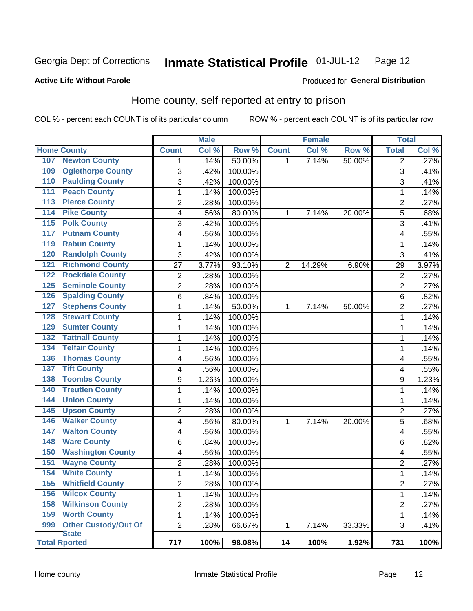#### Inmate Statistical Profile 01-JUL-12 Page 12

Produced for General Distribution

#### **Active Life Without Parole**

## Home county, self-reported at entry to prison

COL % - percent each COUNT is of its particular column

|                  |                             |                | <b>Male</b> |         |              | <b>Female</b> |        | <b>Total</b>            |       |
|------------------|-----------------------------|----------------|-------------|---------|--------------|---------------|--------|-------------------------|-------|
|                  | <b>Home County</b>          | <b>Count</b>   | Col %       | Row %   | <b>Count</b> | Col %         | Row %  | <b>Total</b>            | Col % |
| 107              | <b>Newton County</b>        | 1              | .14%        | 50.00%  | 1            | 7.14%         | 50.00% | $\overline{2}$          | .27%  |
| 109              | <b>Oglethorpe County</b>    | 3              | .42%        | 100.00% |              |               |        | 3                       | .41%  |
| 110              | <b>Paulding County</b>      | 3              | .42%        | 100.00% |              |               |        | 3                       | .41%  |
| 111              | <b>Peach County</b>         | $\mathbf 1$    | .14%        | 100.00% |              |               |        | 1                       | .14%  |
| $\overline{113}$ | <b>Pierce County</b>        | $\overline{2}$ | .28%        | 100.00% |              |               |        | $\overline{c}$          | .27%  |
| 114              | <b>Pike County</b>          | 4              | .56%        | 80.00%  | 1            | 7.14%         | 20.00% | 5                       | .68%  |
| $\overline{115}$ | <b>Polk County</b>          | 3              | .42%        | 100.00% |              |               |        | 3                       | .41%  |
| 117              | <b>Putnam County</b>        | 4              | .56%        | 100.00% |              |               |        | 4                       | .55%  |
| 119              | <b>Rabun County</b>         | $\mathbf 1$    | .14%        | 100.00% |              |               |        | 1                       | .14%  |
| 120              | <b>Randolph County</b>      | 3              | .42%        | 100.00% |              |               |        | 3                       | .41%  |
| 121              | <b>Richmond County</b>      | 27             | 3.77%       | 93.10%  | 2            | 14.29%        | 6.90%  | 29                      | 3.97% |
| 122              | <b>Rockdale County</b>      | $\overline{2}$ | .28%        | 100.00% |              |               |        | $\overline{2}$          | .27%  |
| 125              | <b>Seminole County</b>      | $\overline{c}$ | .28%        | 100.00% |              |               |        | $\overline{2}$          | .27%  |
| 126              | <b>Spalding County</b>      | 6              | .84%        | 100.00% |              |               |        | 6                       | .82%  |
| 127              | <b>Stephens County</b>      | $\mathbf 1$    | .14%        | 50.00%  | 1            | 7.14%         | 50.00% | $\overline{2}$          | .27%  |
| 128              | <b>Stewart County</b>       | $\mathbf 1$    | .14%        | 100.00% |              |               |        | 1                       | .14%  |
| 129              | <b>Sumter County</b>        | $\mathbf 1$    | .14%        | 100.00% |              |               |        | 1                       | .14%  |
| 132              | <b>Tattnall County</b>      | $\mathbf 1$    | .14%        | 100.00% |              |               |        | 1                       | .14%  |
| 134              | <b>Telfair County</b>       | $\mathbf 1$    | .14%        | 100.00% |              |               |        | 1                       | .14%  |
| 136              | <b>Thomas County</b>        | 4              | .56%        | 100.00% |              |               |        | 4                       | .55%  |
| 137              | <b>Tift County</b>          | 4              | .56%        | 100.00% |              |               |        | 4                       | .55%  |
| 138              | <b>Toombs County</b>        | 9              | 1.26%       | 100.00% |              |               |        | 9                       | 1.23% |
| 140              | <b>Treutlen County</b>      | 1              | .14%        | 100.00% |              |               |        | 1                       | .14%  |
| 144              | <b>Union County</b>         | $\mathbf 1$    | .14%        | 100.00% |              |               |        | 1                       | .14%  |
| 145              | <b>Upson County</b>         | $\overline{2}$ | .28%        | 100.00% |              |               |        | $\overline{2}$          | .27%  |
| 146              | <b>Walker County</b>        | 4              | .56%        | 80.00%  | 1            | 7.14%         | 20.00% | 5                       | .68%  |
| 147              | <b>Walton County</b>        | 4              | .56%        | 100.00% |              |               |        | 4                       | .55%  |
| 148              | <b>Ware County</b>          | 6              | .84%        | 100.00% |              |               |        | 6                       | .82%  |
| 150              | <b>Washington County</b>    | 4              | .56%        | 100.00% |              |               |        | 4                       | .55%  |
| 151              | <b>Wayne County</b>         | $\overline{c}$ | .28%        | 100.00% |              |               |        | 2                       | .27%  |
| 154              | <b>White County</b>         | $\mathbf{1}$   | .14%        | 100.00% |              |               |        | 1                       | .14%  |
| 155              | <b>Whitfield County</b>     | 2              | .28%        | 100.00% |              |               |        | $\overline{\mathbf{c}}$ | .27%  |
| 156              | <b>Wilcox County</b>        | $\mathbf{1}$   | .14%        | 100.00% |              |               |        | 1                       | .14%  |
| 158              | <b>Wilkinson County</b>     | $\overline{c}$ | .28%        | 100.00% |              |               |        | 2                       | .27%  |
| 159              | <b>Worth County</b>         | $\mathbf{1}$   | .14%        | 100.00% |              |               |        | 1                       | .14%  |
| 999              | <b>Other Custody/Out Of</b> | $\overline{2}$ | .28%        | 66.67%  | 1            | 7.14%         | 33.33% | 3                       | .41%  |
|                  | <b>State</b>                |                |             |         |              |               |        |                         |       |
|                  | <b>Total Rported</b>        | 717            | 100%        | 98.08%  | 14           | 100%          | 1.92%  | 731                     | 100%  |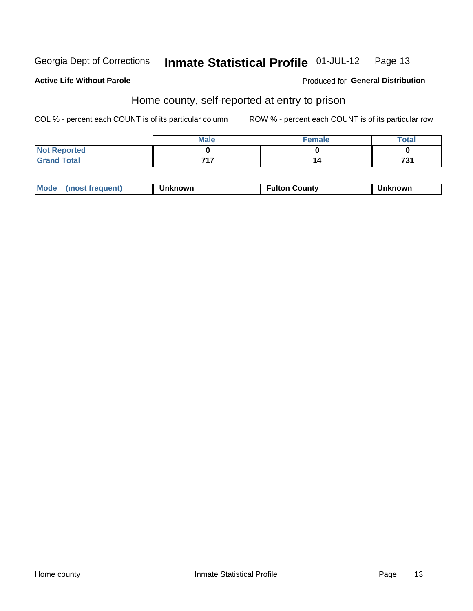#### Inmate Statistical Profile 01-JUL-12 Page 13

#### **Active Life Without Parole**

#### Produced for General Distribution

### Home county, self-reported at entry to prison

COL % - percent each COUNT is of its particular column

|                     | <b>Male</b> | Female | <b>Total</b> |
|---------------------|-------------|--------|--------------|
| <b>Not Reported</b> |             |        |              |
| <b>Grand Total</b>  | フィフ         |        | 731          |

| Mode<br>Fulton Countv<br><b>Unknowr</b><br>(most frequent)<br><b>nown</b> |
|---------------------------------------------------------------------------|
|---------------------------------------------------------------------------|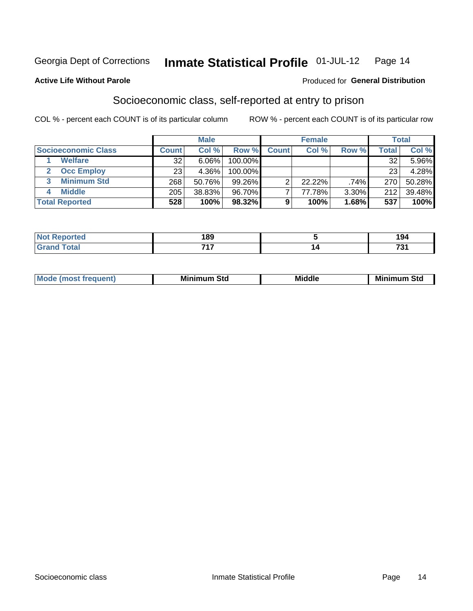#### Inmate Statistical Profile 01-JUL-12 Page 14

#### **Active Life Without Parole**

#### **Produced for General Distribution**

### Socioeconomic class, self-reported at entry to prison

COL % - percent each COUNT is of its particular column

|                       | <b>Male</b>     |        |            |              | <b>Female</b> | <b>Total</b> |       |        |
|-----------------------|-----------------|--------|------------|--------------|---------------|--------------|-------|--------|
| Socioeconomic Class   | <b>Count</b>    | Col %  | Row %      | <b>Count</b> | Col %         | Row %        | Total | Col %  |
| <b>Welfare</b>        | 32              | 6.06%  | 100.00%    |              |               |              | 32    | 5.96%  |
| <b>Occ Employ</b>     | 23 <sub>1</sub> | 4.36%  | $100.00\%$ |              |               |              | 23    | 4.28%  |
| <b>Minimum Std</b>    | 268             | 50.76% | $99.26\%$  |              | $22.22\%$     | .74%         | 270   | 50.28% |
| <b>Middle</b>         | 205             | 38.83% | 96.70%     |              | 77.78%        | 3.30%        | 212   | 39.48% |
| <b>Total Reported</b> | 528             | 100%   | 98.32%     |              | 100%          | 1.68%        | 537   | 100%   |

|      | 189<br>__ | 194<br>___        |
|------|-----------|-------------------|
| ____ | ライラ       | 704<br>-<br>$  -$ |

| ____ |
|------|
|------|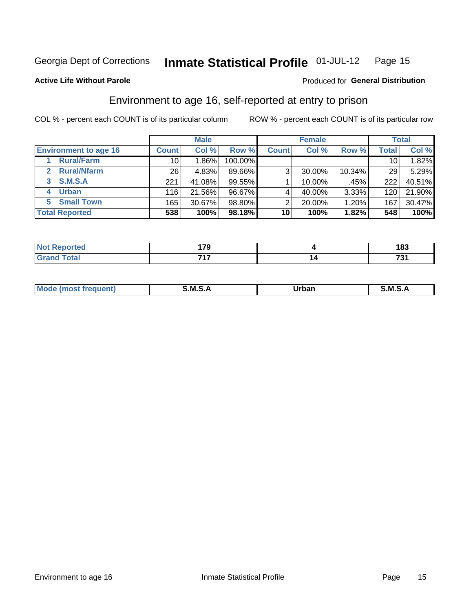#### Inmate Statistical Profile 01-JUL-12 Page 15

#### **Active Life Without Parole**

#### **Produced for General Distribution**

### Environment to age 16, self-reported at entry to prison

COL % - percent each COUNT is of its particular column

|                                    |                 | <b>Male</b> |         |              | <b>Female</b> |        |       | <b>Total</b> |
|------------------------------------|-----------------|-------------|---------|--------------|---------------|--------|-------|--------------|
| <b>Environment to age 16</b>       | <b>Count</b>    | Col %       | Row %   | <b>Count</b> | Col %         | Row %  | Total | Col %        |
| <b>Rural/Farm</b>                  | 10              | 1.86%       | 100.00% |              |               |        | 10    | $1.82\%$     |
| <b>Rural/Nfarm</b><br>$\mathbf{p}$ | 26 <sub>1</sub> | 4.83%       | 89.66%  | 3            | 30.00%        | 10.34% | 29    | 5.29%        |
| <b>S.M.S.A</b><br>3                | 221             | 41.08%      | 99.55%  |              | 10.00%        | .45%   | 222   | 40.51%       |
| <b>Urban</b><br>4                  | 116             | 21.56%      | 96.67%  |              | 40.00%        | 3.33%  | 120   | 21.90%       |
| <b>Small Town</b><br>5.            | 165             | 30.67%      | 98.80%  | ⌒            | 20.00%        | 1.20%  | 167   | 30.47%       |
| <b>Total Reported</b>              | 538             | 100%        | 98.18%  | 10           | 100%          | 1.82%  | 548   | 100%         |

| Reported<br><b>NOT</b><br>$\sim$ | 170        |    | 402<br>၊၀၁ |
|----------------------------------|------------|----|------------|
| <b>Total</b>                     | フィフ<br>. . | 14 | 70,<br>ں ו |

| Mo | M | ----- | M |
|----|---|-------|---|
|    |   | _____ |   |
|    |   |       |   |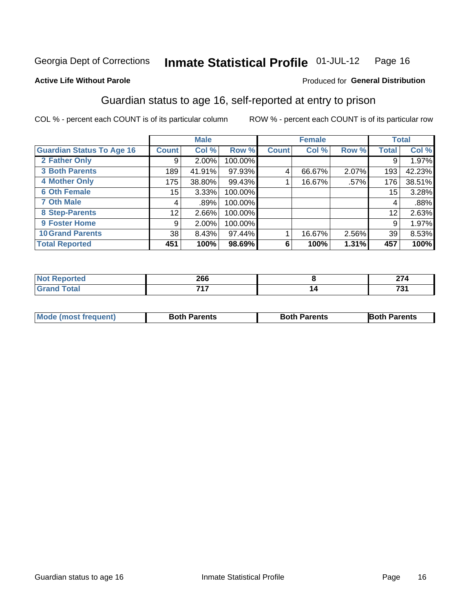#### Inmate Statistical Profile 01-JUL-12 Page 16

#### **Active Life Without Parole**

#### Produced for General Distribution

### Guardian status to age 16, self-reported at entry to prison

COL % - percent each COUNT is of its particular column

|                                  |              | <b>Male</b> |         |              | <b>Female</b> |       |              | <b>Total</b> |
|----------------------------------|--------------|-------------|---------|--------------|---------------|-------|--------------|--------------|
| <b>Guardian Status To Age 16</b> | <b>Count</b> | Col %       | Row %   | <b>Count</b> | Col %         | Row % | <b>Total</b> | Col %        |
| 2 Father Only                    | 9            | $2.00\%$    | 100.00% |              |               |       | 9            | 1.97%        |
| <b>3 Both Parents</b>            | 189          | 41.91%      | 97.93%  | 4            | 66.67%        | 2.07% | 193          | 42.23%       |
| <b>4 Mother Only</b>             | 175          | 38.80%      | 99.43%  |              | 16.67%        | .57%  | 176          | 38.51%       |
| <b>6 Oth Female</b>              | 15           | 3.33%       | 100.00% |              |               |       | 15           | 3.28%        |
| <b>7 Oth Male</b>                | 4            | .89%        | 100.00% |              |               |       | 4            | .88%         |
| 8 Step-Parents                   | 12           | 2.66%       | 100.00% |              |               |       | 12           | 2.63%        |
| 9 Foster Home                    | 9            | 2.00%       | 100.00% |              |               |       | 9            | 1.97%        |
| <b>10 Grand Parents</b>          | 38           | 8.43%       | 97.44%  |              | 16.67%        | 2.56% | 39           | 8.53%        |
| <b>Total Reported</b>            | 451          | 100%        | 98.69%  | 6            | 100%          | 1.31% | 457          | 100%         |

| 'ted  | ncc<br>∠໐໐ | $\sim$<br>-  1 7 |
|-------|------------|------------------|
| Total | -24-7      | 70.              |

| <b>Mode (most frequent)</b> | <b>Both Parents</b> | <b>Both Parents</b> | <b>Both Parents</b> |
|-----------------------------|---------------------|---------------------|---------------------|
|                             |                     |                     |                     |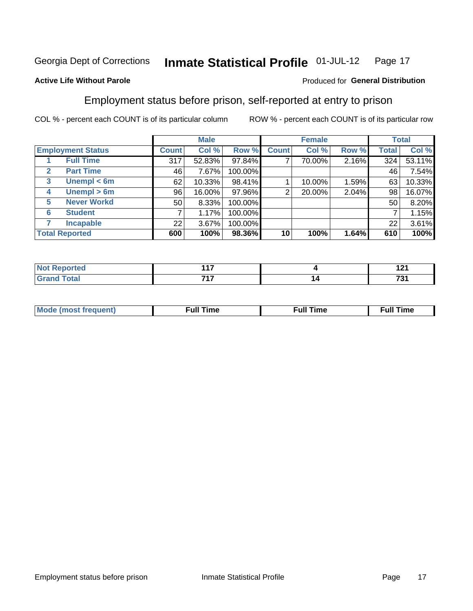#### Inmate Statistical Profile 01-JUL-12 Page 17

#### **Active Life Without Parole**

#### Produced for General Distribution

### Employment status before prison, self-reported at entry to prison

COL % - percent each COUNT is of its particular column

|                                  |         | <b>Male</b> |         |                | <b>Female</b> |       |       | <b>Total</b> |
|----------------------------------|---------|-------------|---------|----------------|---------------|-------|-------|--------------|
| <b>Employment Status</b>         | Count l | Col %       | Row %   | <b>Count</b>   | Col %         | Row % | Total | Col %        |
| <b>Full Time</b>                 | 317     | 52.83%      | 97.84%  | ⇁              | 70.00%        | 2.16% | 324   | 53.11%       |
| <b>Part Time</b><br>$\mathbf{2}$ | 46      | 7.67%       | 100.00% |                |               |       | 46    | 7.54%        |
| Unempl $<$ 6m<br>$\mathbf{3}$    | 62      | 10.33%      | 98.41%  |                | 10.00%        | 1.59% | 63    | 10.33%       |
| Unempl $> 6m$<br>4               | 96      | 16.00%      | 97.96%  | $\overline{2}$ | 20.00%        | 2.04% | 98    | 16.07%       |
| <b>Never Workd</b><br>5          | 50      | 8.33%       | 100.00% |                |               |       | 50    | 8.20%        |
| <b>Student</b><br>6              |         | 1.17%       | 100.00% |                |               |       |       | 1.15%        |
| <b>Incapable</b>                 | 22      | 3.67%       | 100.00% |                |               |       | 22    | 3.61%        |
| <b>Total Reported</b>            | 600     | 100%        | 98.36%  | 10             | 100%          | 1.64% | 610   | 100%         |

| τeα            | ,,,   |   | .<br>14 L |
|----------------|-------|---|-----------|
| <b>Charles</b> | – 1 – | ◢ | 70A       |

| M | the contract of the contract of the contract of the contract of the contract of the contract of the contract of | ---<br>mє<br> |
|---|-----------------------------------------------------------------------------------------------------------------|---------------|
|   |                                                                                                                 |               |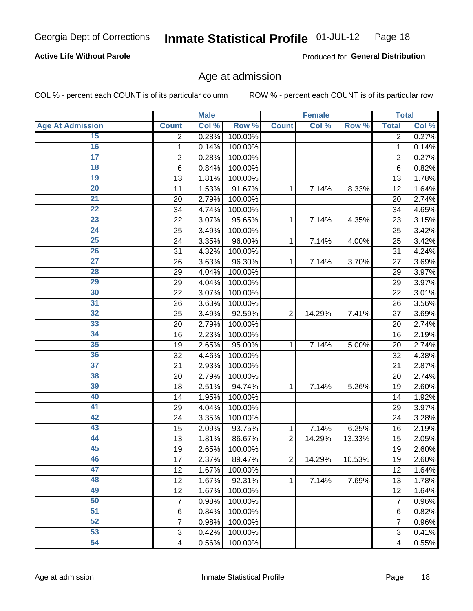#### **Active Life Without Parole**

Produced for General Distribution

### Age at admission

COL % - percent each COUNT is of its particular column

|                         |                 | <b>Male</b> |         |                | <b>Female</b> |        |                         | <b>Total</b> |
|-------------------------|-----------------|-------------|---------|----------------|---------------|--------|-------------------------|--------------|
| <b>Age At Admission</b> | <b>Count</b>    | Col %       | Row %   | <b>Count</b>   | Col %         | Row %  | <b>Total</b>            | Col %        |
| 15                      | 2               | 0.28%       | 100.00% |                |               |        | 2                       | 0.27%        |
| 16                      | 1               | 0.14%       | 100.00% |                |               |        | $\mathbf{1}$            | 0.14%        |
| $\overline{17}$         | 2               | 0.28%       | 100.00% |                |               |        | $\overline{2}$          | 0.27%        |
| 18                      | $6\phantom{1}6$ | 0.84%       | 100.00% |                |               |        | 6                       | 0.82%        |
| 19                      | 13              | 1.81%       | 100.00% |                |               |        | 13                      | 1.78%        |
| $\overline{20}$         | 11              | 1.53%       | 91.67%  | 1              | 7.14%         | 8.33%  | 12                      | 1.64%        |
| 21                      | 20              | 2.79%       | 100.00% |                |               |        | 20                      | 2.74%        |
| 22                      | 34              | 4.74%       | 100.00% |                |               |        | 34                      | 4.65%        |
| 23                      | 22              | 3.07%       | 95.65%  | 1              | 7.14%         | 4.35%  | 23                      | 3.15%        |
| 24                      | 25              | 3.49%       | 100.00% |                |               |        | 25                      | 3.42%        |
| $\overline{25}$         | 24              | 3.35%       | 96.00%  | 1              | 7.14%         | 4.00%  | 25                      | 3.42%        |
| 26                      | 31              | 4.32%       | 100.00% |                |               |        | 31                      | 4.24%        |
| $\overline{27}$         | 26              | 3.63%       | 96.30%  | 1              | 7.14%         | 3.70%  | 27                      | 3.69%        |
| 28                      | 29              | 4.04%       | 100.00% |                |               |        | 29                      | 3.97%        |
| 29                      | 29              | 4.04%       | 100.00% |                |               |        | 29                      | 3.97%        |
| 30                      | 22              | 3.07%       | 100.00% |                |               |        | 22                      | 3.01%        |
| 31                      | 26              | 3.63%       | 100.00% |                |               |        | 26                      | 3.56%        |
| 32                      | 25              | 3.49%       | 92.59%  | $\overline{2}$ | 14.29%        | 7.41%  | 27                      | 3.69%        |
| 33                      | 20              | 2.79%       | 100.00% |                |               |        | 20                      | 2.74%        |
| 34                      | 16              | 2.23%       | 100.00% |                |               |        | 16                      | 2.19%        |
| 35                      | 19              | 2.65%       | 95.00%  | 1              | 7.14%         | 5.00%  | 20                      | 2.74%        |
| 36                      | 32              | 4.46%       | 100.00% |                |               |        | 32                      | 4.38%        |
| $\overline{37}$         | 21              | 2.93%       | 100.00% |                |               |        | 21                      | 2.87%        |
| 38                      | 20              | 2.79%       | 100.00% |                |               |        | 20                      | 2.74%        |
| 39                      | 18              | 2.51%       | 94.74%  | 1              | 7.14%         | 5.26%  | 19                      | 2.60%        |
| 40                      | 14              | 1.95%       | 100.00% |                |               |        | 14                      | 1.92%        |
| 41                      | 29              | 4.04%       | 100.00% |                |               |        | 29                      | 3.97%        |
| 42                      | 24              | 3.35%       | 100.00% |                |               |        | 24                      | 3.28%        |
| 43                      | 15              | 2.09%       | 93.75%  | 1              | 7.14%         | 6.25%  | 16                      | 2.19%        |
| 44                      | 13              | 1.81%       | 86.67%  | $\overline{2}$ | 14.29%        | 13.33% | 15                      | 2.05%        |
| 45                      | 19              | 2.65%       | 100.00% |                |               |        | 19                      | 2.60%        |
| 46                      | 17              | 2.37%       | 89.47%  | $\overline{2}$ | 14.29%        | 10.53% | 19                      | 2.60%        |
| 47                      | 12              | 1.67%       | 100.00% |                |               |        | 12                      | 1.64%        |
| 48                      | 12              | 1.67%       | 92.31%  | 1              | 7.14%         | 7.69%  | 13                      | 1.78%        |
| 49                      | 12              | 1.67%       | 100.00% |                |               |        | 12                      | 1.64%        |
| 50                      | 7               | 0.98%       | 100.00% |                |               |        | 7                       | 0.96%        |
| $\overline{51}$         | $6\phantom{1}6$ | 0.84%       | 100.00% |                |               |        | 6                       | 0.82%        |
| 52                      | 7               | 0.98%       | 100.00% |                |               |        | 7                       | 0.96%        |
| 53                      | 3               | 0.42%       | 100.00% |                |               |        | 3                       | 0.41%        |
| 54                      | $\overline{4}$  | 0.56%       | 100.00% |                |               |        | $\overline{\mathbf{4}}$ | 0.55%        |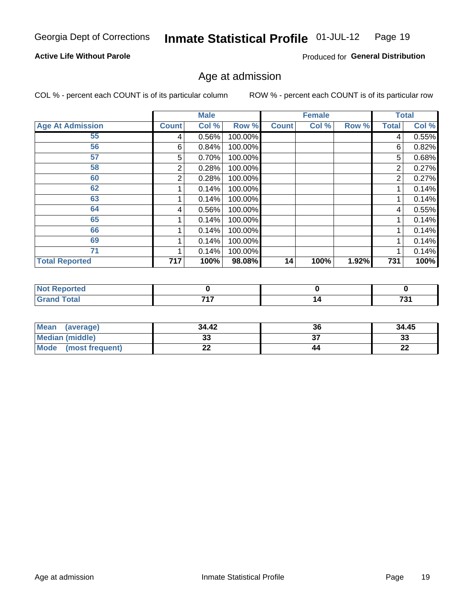#### **Active Life Without Parole**

Produced for General Distribution

### Age at admission

COL % - percent each COUNT is of its particular column

|                         |                | <b>Male</b> |         |              | <b>Female</b> |       |              | <b>Total</b> |
|-------------------------|----------------|-------------|---------|--------------|---------------|-------|--------------|--------------|
| <b>Age At Admission</b> | <b>Count</b>   | Col %       | Row %   | <b>Count</b> | Col %         | Row % | <b>Total</b> | Col %        |
| 55                      | 4              | 0.56%       | 100.00% |              |               |       | 4            | 0.55%        |
| 56                      | 6              | 0.84%       | 100.00% |              |               |       | 6            | 0.82%        |
| 57                      | 5              | 0.70%       | 100.00% |              |               |       | 5            | 0.68%        |
| 58                      | 2              | 0.28%       | 100.00% |              |               |       | 2            | 0.27%        |
| 60                      | $\overline{2}$ | 0.28%       | 100.00% |              |               |       | 2            | 0.27%        |
| 62                      |                | 0.14%       | 100.00% |              |               |       |              | 0.14%        |
| 63                      |                | 0.14%       | 100.00% |              |               |       |              | 0.14%        |
| 64                      | 4              | 0.56%       | 100.00% |              |               |       | 4            | 0.55%        |
| 65                      |                | 0.14%       | 100.00% |              |               |       |              | 0.14%        |
| 66                      |                | 0.14%       | 100.00% |              |               |       |              | 0.14%        |
| 69                      |                | 0.14%       | 100.00% |              |               |       |              | 0.14%        |
| 71                      |                | 0.14%       | 100.00% |              |               |       |              | 0.14%        |
| <b>Total Reported</b>   | 717            | 100%        | 98.08%  | 14           | 100%          | 1.92% | 731          | 100%         |

| orted<br>. <b>.</b> |     |    |      |
|---------------------|-----|----|------|
| $int^{\bullet}$     | 747 | יי | 701  |
|                     | .   |    | ____ |

| <b>Mean</b><br>(average)       | 34.42 | 36 | 34.45     |
|--------------------------------|-------|----|-----------|
| <b>Median (middle)</b>         | ົ     |    | n.<br>JJ. |
| <b>Mode</b><br>(most frequent) | --    | 44 | n,<br>LL  |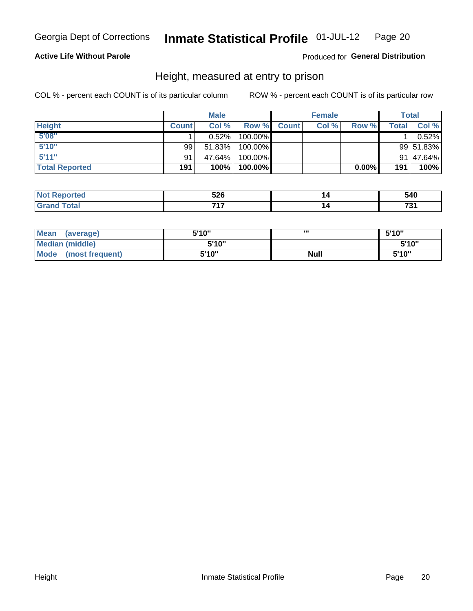#### **Active Life Without Parole**

#### Produced for General Distribution

### Height, measured at entry to prison

COL % - percent each COUNT is of its particular column

|                       |              | <b>Male</b> |         |              | <b>Female</b> |          |              | Total     |
|-----------------------|--------------|-------------|---------|--------------|---------------|----------|--------------|-----------|
| <b>Height</b>         | <b>Count</b> | Col %       | Row %   | <b>Count</b> | Col %         | Row %    | <b>Total</b> | Col %     |
| 5'08''                |              | $0.52\%$    | 100.00% |              |               |          |              | 0.52%     |
| 5'10''                | 99           | 51.83%      | 100.00% |              |               |          |              | 99 51.83% |
| 5'11''                | 91           | 47.64%      | 100.00% |              |               |          |              | 91 47.64% |
| <b>Total Reported</b> | 191          | 100%        | 100.00% |              |               | $0.00\%$ | 191          | 100%      |

| <b>Not</b><br><b>rted</b><br>еюо | 526<br>- - | 540 |
|----------------------------------|------------|-----|
| <b>Total</b><br>' Grand          | 747        | 70. |

| Mean<br>(average)              | 5'10" | ш           | 5'10" |
|--------------------------------|-------|-------------|-------|
| Median (middle)                | 5'10" |             | 5'10" |
| <b>Mode</b><br>(most frequent) | 5'10" | <b>Null</b> | 5'10" |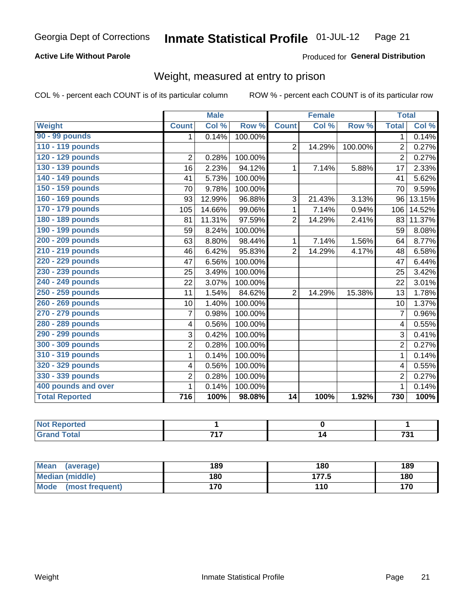#### **Active Life Without Parole**

#### Produced for General Distribution

### Weight, measured at entry to prison

COL % - percent each COUNT is of its particular column

|                       |                         | <b>Male</b> |         |                | <b>Female</b> |         | <b>Total</b>   |        |
|-----------------------|-------------------------|-------------|---------|----------------|---------------|---------|----------------|--------|
| <b>Weight</b>         | <b>Count</b>            | Col %       | Row %   | <b>Count</b>   | Col %         | Row %   | <b>Total</b>   | Col %  |
| 90 - 99 pounds        | 1.                      | 0.14%       | 100.00% |                |               |         | 1 <sup>1</sup> | 0.14%  |
| 110 - 119 pounds      |                         |             |         | $\overline{2}$ | 14.29%        | 100.00% | $\overline{2}$ | 0.27%  |
| 120 - 129 pounds      | $\overline{2}$          | 0.28%       | 100.00% |                |               |         | $\overline{2}$ | 0.27%  |
| 130 - 139 pounds      | 16                      | 2.23%       | 94.12%  | 1              | 7.14%         | 5.88%   | 17             | 2.33%  |
| 140 - 149 pounds      | 41                      | 5.73%       | 100.00% |                |               |         | 41             | 5.62%  |
| 150 - 159 pounds      | 70                      | 9.78%       | 100.00% |                |               |         | 70             | 9.59%  |
| 160 - 169 pounds      | 93                      | 12.99%      | 96.88%  | 3              | 21.43%        | 3.13%   | 96             | 13.15% |
| 170 - 179 pounds      | 105                     | 14.66%      | 99.06%  | 1              | 7.14%         | 0.94%   | 106            | 14.52% |
| 180 - 189 pounds      | 81                      | 11.31%      | 97.59%  | $\overline{2}$ | 14.29%        | 2.41%   | 83             | 11.37% |
| 190 - 199 pounds      | 59                      | 8.24%       | 100.00% |                |               |         | 59             | 8.08%  |
| 200 - 209 pounds      | 63                      | 8.80%       | 98.44%  | 1              | 7.14%         | 1.56%   | 64             | 8.77%  |
| 210 - 219 pounds      | 46                      | 6.42%       | 95.83%  | $\overline{2}$ | 14.29%        | 4.17%   | 48             | 6.58%  |
| 220 - 229 pounds      | 47                      | 6.56%       | 100.00% |                |               |         | 47             | 6.44%  |
| 230 - 239 pounds      | 25                      | 3.49%       | 100.00% |                |               |         | 25             | 3.42%  |
| 240 - 249 pounds      | 22                      | 3.07%       | 100.00% |                |               |         | 22             | 3.01%  |
| 250 - 259 pounds      | 11                      | 1.54%       | 84.62%  | $\overline{2}$ | 14.29%        | 15.38%  | 13             | 1.78%  |
| 260 - 269 pounds      | 10                      | 1.40%       | 100.00% |                |               |         | 10             | 1.37%  |
| 270 - 279 pounds      | $\overline{7}$          | 0.98%       | 100.00% |                |               |         | 7              | 0.96%  |
| 280 - 289 pounds      | $\overline{\mathbf{4}}$ | 0.56%       | 100.00% |                |               |         | 4              | 0.55%  |
| 290 - 299 pounds      | 3                       | 0.42%       | 100.00% |                |               |         | 3              | 0.41%  |
| 300 - 309 pounds      | $\overline{c}$          | 0.28%       | 100.00% |                |               |         | $\overline{2}$ | 0.27%  |
| 310 - 319 pounds      | 1                       | 0.14%       | 100.00% |                |               |         | $\mathbf{1}$   | 0.14%  |
| 320 - 329 pounds      | 4                       | 0.56%       | 100.00% |                |               |         | 4              | 0.55%  |
| 330 - 339 pounds      | $\overline{c}$          | 0.28%       | 100.00% |                |               |         | $\overline{2}$ | 0.27%  |
| 400 pounds and over   | 1                       | 0.14%       | 100.00% |                |               |         | $\mathbf{1}$   | 0.14%  |
| <b>Total Reported</b> | 716                     | 100%        | 98.08%  | 14             | 100%          | 1.92%   | 730            | 100%   |

| ported<br><b>NOT</b><br><b>NGI</b><br>$\cdots$ |     |     |
|------------------------------------------------|-----|-----|
| <b>Total</b>                                   | 747 | ラヘイ |

| Mean<br>(average)              | 189 | 180              | 189 |
|--------------------------------|-----|------------------|-----|
| <b>Median (middle)</b>         | 180 | 177 斥<br>ن ، ، ، | 180 |
| <b>Mode</b><br>(most frequent) | 170 | 110              | 170 |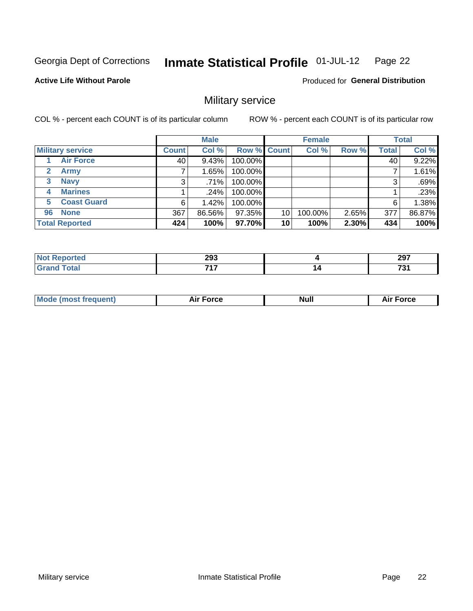#### Inmate Statistical Profile 01-JUL-12 Page 22

#### **Active Life Without Parole**

**Produced for General Distribution** 

### Military service

COL % - percent each COUNT is of its particular column

|                             |              | <b>Male</b> |             |    | <b>Female</b> |       |              | <b>Total</b> |
|-----------------------------|--------------|-------------|-------------|----|---------------|-------|--------------|--------------|
| <b>Military service</b>     | <b>Count</b> | Col %       | Row % Count |    | Col %         | Row % | <b>Total</b> | Col %        |
| <b>Air Force</b>            | 40           | 9.43%       | 100.00%     |    |               |       | 40           | 9.22%        |
| $\mathbf{2}$<br><b>Army</b> |              | 1.65%       | 100.00%     |    |               |       |              | 1.61%        |
| <b>Navy</b><br>3            | 3            | .71%        | 100.00%     |    |               |       | 3            | .69%         |
| <b>Marines</b><br>4         |              | .24%        | 100.00%     |    |               |       |              | .23%         |
| <b>Coast Guard</b><br>5.    | 6            | 1.42%       | 100.00%     |    |               |       | 6            | 1.38%        |
| <b>None</b><br>96           | 367          | 86.56%      | 97.35%      | 10 | 100.00%       | 2.65% | 377          | 86.87%       |
| <b>Total Reported</b>       | 424          | 100%        | 97.70%      | 10 | 100%          | 2.30% | 434          | 100%         |

| <b>rted</b><br>N | 293 | 207<br>29 I |
|------------------|-----|-------------|
| <b>otal</b>      | 747 | 70.         |
| $\mathbf{v}$ and | .   | וטו         |

|  |  | <b>Mode</b><br>uent)<br>most tren | Force<br>Aır | <b>Null</b> | orce |
|--|--|-----------------------------------|--------------|-------------|------|
|--|--|-----------------------------------|--------------|-------------|------|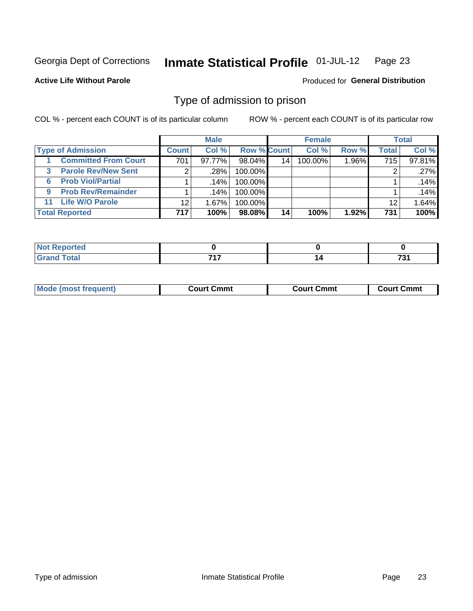#### Inmate Statistical Profile 01-JUL-12 Page 23

#### **Active Life Without Parole**

Produced for General Distribution

### Type of admission to prison

COL % - percent each COUNT is of its particular column

|                                |                 | <b>Male</b> |                    |    | <b>Female</b> |       |       | <b>Total</b> |
|--------------------------------|-----------------|-------------|--------------------|----|---------------|-------|-------|--------------|
| <b>Type of Admission</b>       | <b>Count</b>    | Col %       | <b>Row % Count</b> |    | Col%          | Row % | Total | Col %        |
| <b>Committed From Court</b>    | 701             | 97.77%      | 98.04%             | 14 | 100.00%       | 1.96% | 715   | 97.81%       |
| <b>Parole Rev/New Sent</b>     | 2 <sub>1</sub>  | .28%        | 100.00%            |    |               |       | 2     | .27%         |
| <b>Prob Viol/Partial</b><br>6  |                 | $.14\%$     | 100.00%            |    |               |       |       | .14%         |
| <b>Prob Rev/Remainder</b><br>9 |                 | $.14\%$     | 100.00%            |    |               |       |       | .14%         |
| <b>Life W/O Parole</b><br>11   | 12 <sub>1</sub> | 1.67%       | 100.00%            |    |               |       | 12    | 1.64%        |
| <b>Total Reported</b>          | 717             | 100%        | 98.08%             | 14 | 100%          | 1.92% | 731   | 100%         |

| ≅rted i                      |     |     |
|------------------------------|-----|-----|
| <b>Total</b><br><b>C</b> roi | 747 | 704 |

| Mod                | Court Cmmt    | Cmmt    | Cmmt    |
|--------------------|---------------|---------|---------|
| de (most frequent) | $\sim$ $\sim$ | ∴ourt ′ | . .ourt |
|                    |               |         |         |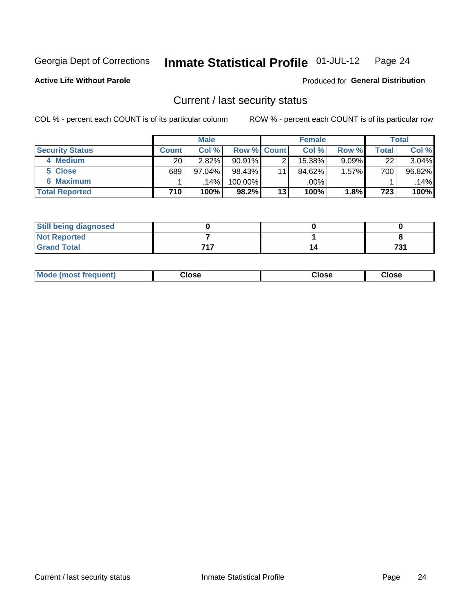#### Inmate Statistical Profile 01-JUL-12 Page 24

**Active Life Without Parole** 

**Produced for General Distribution** 

### Current / last security status

COL % - percent each COUNT is of its particular column

|                        |              | <b>Male</b> |                    |    | <b>Female</b> |          |       | <b>Total</b> |
|------------------------|--------------|-------------|--------------------|----|---------------|----------|-------|--------------|
| <b>Security Status</b> | <b>Count</b> | Col %       | <b>Row % Count</b> |    | Col %         | Row %    | Total | Col %        |
| 4 Medium               | 20           | 2.82%       | $90.91\%$          |    | $15.38\%$     | $9.09\%$ | 22    | 3.04%        |
| 5 Close                | 689          | 97.04%      | $98.43\%$          | 11 | 84.62%        | $1.57\%$ | 700   | 96.82%       |
| <b>6 Maximum</b>       |              | 14%         | 100.00%            |    | .00%          |          |       | .14%         |
| <b>Total Reported</b>  | 710          | 100%        | 98.2%              | 13 | 100%          | 1.8%     | 723   | 100%         |

| <b>Still being diagnosed</b> |     |            |
|------------------------------|-----|------------|
| <b>Not Reported</b>          |     |            |
| <b>Grand Total</b>           | フィフ | 70,<br>. U |

| Mode (most frequent) | Close | Close | <b>Close</b> |
|----------------------|-------|-------|--------------|
|                      |       |       |              |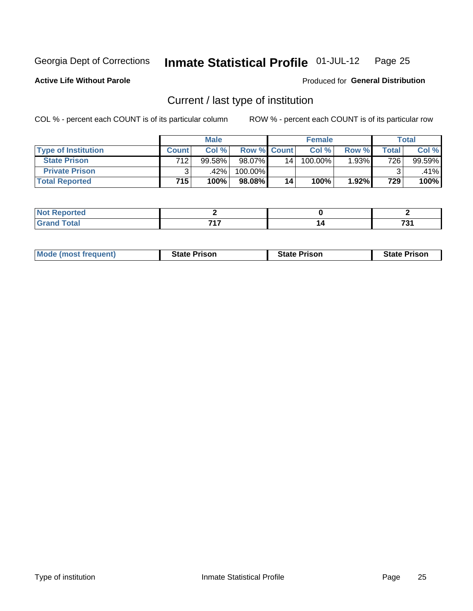#### Inmate Statistical Profile 01-JUL-12 Page 25

**Active Life Without Parole** 

Produced for General Distribution

### Current / last type of institution

COL % - percent each COUNT is of its particular column

|                            |              | <b>Male</b> |                    |    | <b>Female</b> |       |       | <b>Total</b> |
|----------------------------|--------------|-------------|--------------------|----|---------------|-------|-------|--------------|
| <b>Type of Institution</b> | <b>Count</b> | Col %       | <b>Row % Count</b> |    | $Col \%$      | Row % | Total | Col %        |
| <b>State Prison</b>        | 712          | 99.58%      | 98.07%             | 14 | 100.00%       | 1.93% | 726   | 99.59%       |
| <b>Private Prison</b>      |              | .42%        | 100.00%            |    |               |       |       | .41%         |
| <b>Total Reported</b>      | 715          | 100%        | $98.08\%$          | 14 | 100%          | 1.92% | 729   | 100%         |

| τeα   |     |   |                   |
|-------|-----|---|-------------------|
| _____ | フィフ | ı | $\sim$<br><br>___ |

| <b>Mode (most frequent)</b> | <b>State Prison</b> | <b>State Prison</b> | <b>State Prison</b> |
|-----------------------------|---------------------|---------------------|---------------------|
|                             |                     |                     |                     |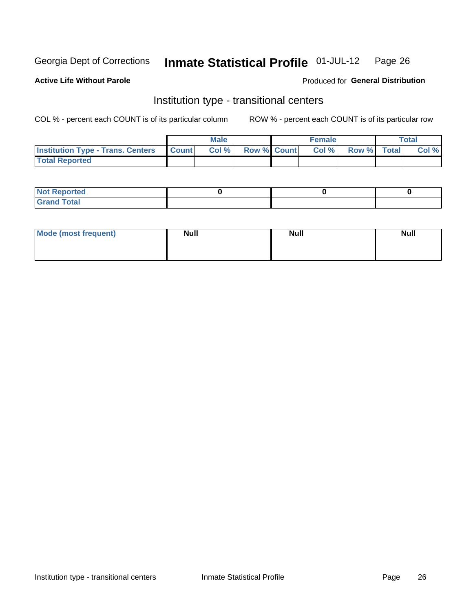#### **Inmate Statistical Profile 01-JUL-12** Page 26

#### **Active Life Without Parole**

#### Produced for General Distribution

### Institution type - transitional centers

COL % - percent each COUNT is of its particular column

|                                                | <b>Male</b> |                          | <b>Female</b> |             | <b>Total</b> |
|------------------------------------------------|-------------|--------------------------|---------------|-------------|--------------|
| <b>Institution Type - Trans. Centers Count</b> |             | <b>Col %</b> Row % Count | CoI%          | Row % Total | Col %        |
| <b>Total Reported</b>                          |             |                          |               |             |              |

| <b>Reported</b><br><b>NOT</b><br>$\sim$            |  |  |
|----------------------------------------------------|--|--|
| $f$ $f \circ f \circ f$<br>$C = 1$<br><b>TULAI</b> |  |  |

| Mode (most frequent) | <b>Null</b> | <b>Null</b> | <b>Null</b> |
|----------------------|-------------|-------------|-------------|
|                      |             |             |             |
|                      |             |             |             |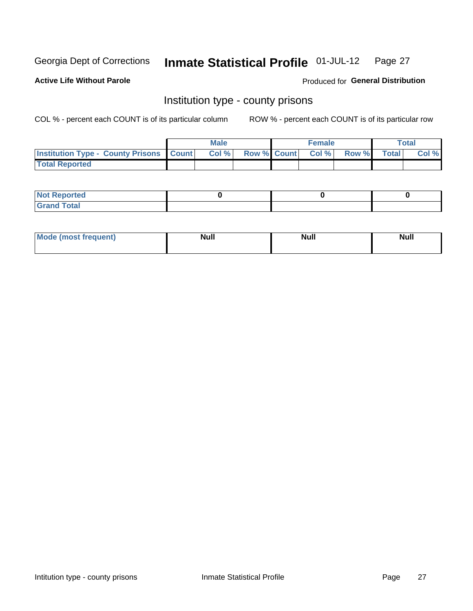#### **Inmate Statistical Profile 01-JUL-12** Page 27

**Active Life Without Parole** 

**Produced for General Distribution** 

### Institution type - county prisons

COL % - percent each COUNT is of its particular column

|                                                    | <b>Male</b> |  | <b>Female</b>     |             | Total |
|----------------------------------------------------|-------------|--|-------------------|-------------|-------|
| <b>Institution Type - County Prisons   Count  </b> | Col %       |  | Row % Count Col % | Row % Total | Col % |
| <b>Total Reported</b>                              |             |  |                   |             |       |

| <b>Not Reported</b>         |  |  |
|-----------------------------|--|--|
| <b>Total</b><br>-<br>______ |  |  |

| <b>Mode</b>      | <b>Null</b> | <b>Null</b> | <b>Null</b> |
|------------------|-------------|-------------|-------------|
| (most freauent). |             |             |             |
|                  |             |             |             |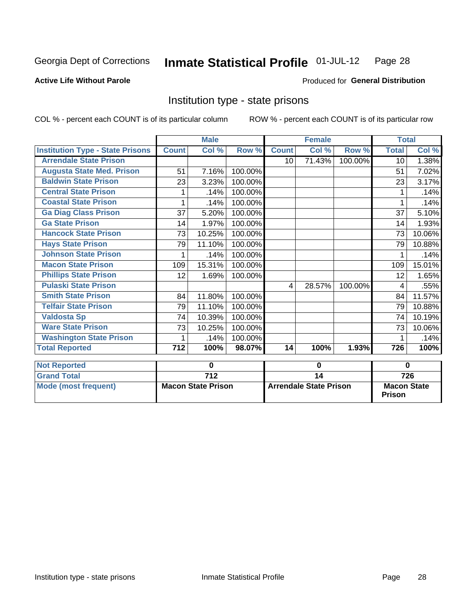#### Inmate Statistical Profile 01-JUL-12 Page 28

**Active Life Without Parole** 

**Produced for General Distribution** 

### Institution type - state prisons

COL % - percent each COUNT is of its particular column

|                                           |              | <b>Male</b>               |         |                                     | <b>Female</b> |         | <b>Total</b>                        |        |
|-------------------------------------------|--------------|---------------------------|---------|-------------------------------------|---------------|---------|-------------------------------------|--------|
| <b>Institution Type - State Prisons</b>   | <b>Count</b> | Col %                     | Row %   | <b>Count</b>                        | Col %         | Row %   | <b>Total</b>                        | Col %  |
| <b>Arrendale State Prison</b>             |              |                           |         | 10                                  | 71.43%        | 100.00% | 10                                  | 1.38%  |
| <b>Augusta State Med. Prison</b>          | 51           | 7.16%                     | 100.00% |                                     |               |         | 51                                  | 7.02%  |
| <b>Baldwin State Prison</b>               | 23           | 3.23%                     | 100.00% |                                     |               |         | 23                                  | 3.17%  |
| <b>Central State Prison</b>               |              | .14%                      | 100.00% |                                     |               |         |                                     | .14%   |
| <b>Coastal State Prison</b>               | 1            | .14%                      | 100.00% |                                     |               |         | 1                                   | .14%   |
| <b>Ga Diag Class Prison</b>               | 37           | 5.20%                     | 100.00% |                                     |               |         | 37                                  | 5.10%  |
| <b>Ga State Prison</b>                    | 14           | 1.97%                     | 100.00% |                                     |               |         | 14                                  | 1.93%  |
| <b>Hancock State Prison</b>               | 73           | 10.25%                    | 100.00% |                                     |               |         | 73                                  | 10.06% |
| <b>Hays State Prison</b>                  | 79           | 11.10%                    | 100.00% |                                     |               |         | 79                                  | 10.88% |
| <b>Johnson State Prison</b>               | 1            | .14%                      | 100.00% |                                     |               |         | 1                                   | .14%   |
| <b>Macon State Prison</b>                 | 109          | 15.31%                    | 100.00% |                                     |               |         | 109                                 | 15.01% |
| <b>Phillips State Prison</b>              | 12           | 1.69%                     | 100.00% |                                     |               |         | 12                                  | 1.65%  |
| <b>Pulaski State Prison</b>               |              |                           |         | $\overline{4}$                      | 28.57%        | 100.00% | 4                                   | .55%   |
| <b>Smith State Prison</b>                 | 84           | 11.80%                    | 100.00% |                                     |               |         | 84                                  | 11.57% |
| <b>Telfair State Prison</b>               | 79           | 11.10%                    | 100.00% |                                     |               |         | 79                                  | 10.88% |
| <b>Valdosta Sp</b>                        | 74           | 10.39%                    | 100.00% |                                     |               |         | 74                                  | 10.19% |
| <b>Ware State Prison</b>                  | 73           | 10.25%                    | 100.00% |                                     |               |         | 73                                  | 10.06% |
| <b>Washington State Prison</b>            | 1            | .14%                      | 100.00% |                                     |               |         | 1                                   | .14%   |
| <b>Total Reported</b>                     | 712          | 100%                      | 98.07%  | 14                                  | 100%          | 1.93%   | 726                                 | 100%   |
|                                           |              | 0                         |         |                                     |               |         | $\bf{0}$                            |        |
| <b>Not Reported</b><br><b>Grand Total</b> |              | $\overline{712}$          |         | 0                                   |               |         |                                     | 726    |
|                                           |              |                           |         | 14<br><b>Arrendale State Prison</b> |               |         |                                     |        |
| <b>Mode (most frequent)</b>               |              | <b>Macon State Prison</b> |         |                                     |               |         | <b>Macon State</b><br><b>Prison</b> |        |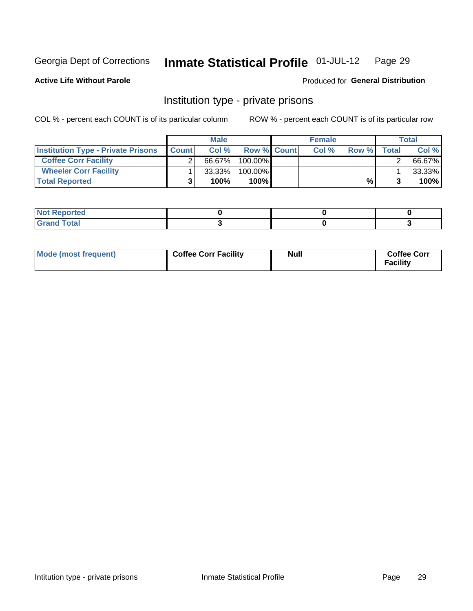#### Inmate Statistical Profile 01-JUL-12 Page 29

**Active Life Without Parole** 

Produced for General Distribution

### Institution type - private prisons

COL % - percent each COUNT is of its particular column

|                                           |              | <b>Male</b> |                    | <b>Female</b> |       |              | Total  |
|-------------------------------------------|--------------|-------------|--------------------|---------------|-------|--------------|--------|
| <b>Institution Type - Private Prisons</b> | <b>Count</b> | Col%        | <b>Row % Count</b> | Col%          | Row % | <b>Total</b> | Col %  |
| <b>Coffee Corr Facility</b>               |              | 66.67%      | $100.00\%$         |               |       |              | 66.67% |
| <b>Wheeler Corr Facility</b>              |              | $33.33\%$   | 100.00%            |               |       |              | 33.33% |
| <b>Total Reported</b>                     |              | 100%        | $100\%$            |               | %     |              | 100%   |

| rtea                               |  |  |
|------------------------------------|--|--|
| $\sim$ $\sim$ $\sim$ $\sim$ $\sim$ |  |  |

| Mode (most frequent) | <b>Coffee Corr Facility</b> | <b>Null</b> | <b>Coffee Corr</b><br><b>Facility</b> |
|----------------------|-----------------------------|-------------|---------------------------------------|
|----------------------|-----------------------------|-------------|---------------------------------------|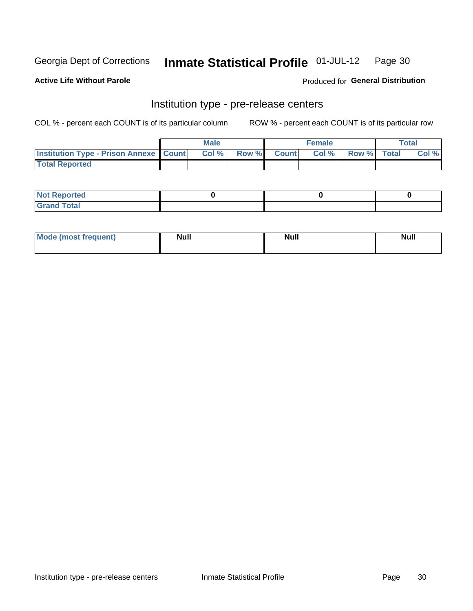#### Inmate Statistical Profile 01-JUL-12 Page 30

**Active Life Without Parole** 

Produced for General Distribution

## Institution type - pre-release centers

COL % - percent each COUNT is of its particular column

|                                                   | <b>Male</b> |              |       | <b>Female</b> |                    | <b>Total</b> |
|---------------------------------------------------|-------------|--------------|-------|---------------|--------------------|--------------|
| <b>Institution Type - Prison Annexe   Count  </b> | Col %       | <b>Row %</b> | Count | Col %         | <b>Row %</b> Total | Col %        |
| <b>Total Reported</b>                             |             |              |       |               |                    |              |

| <b>Reported</b><br>I NOT |  |  |
|--------------------------|--|--|
| <b>Total</b><br>$C$ ren  |  |  |

| $^{\prime}$ Mo <sub>t</sub><br>frequent)<br>⊥(mos* | <b>Null</b> | Noll<br><b>vull</b> | <b>Null</b> |
|----------------------------------------------------|-------------|---------------------|-------------|
|                                                    |             |                     |             |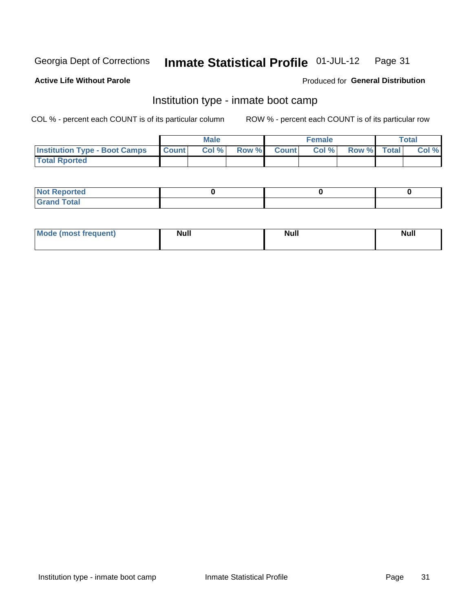#### Inmate Statistical Profile 01-JUL-12 Page 31

#### **Active Life Without Parole**

#### Produced for General Distribution

### Institution type - inmate boot camp

COL % - percent each COUNT is of its particular column

|                                      |                 | <b>Male</b> |              |              | <b>Female</b> |             | <b>Total</b> |
|--------------------------------------|-----------------|-------------|--------------|--------------|---------------|-------------|--------------|
| <b>Institution Type - Boot Camps</b> | <b>I</b> Count⊥ | Col %       | <b>Row %</b> | <b>Count</b> | Col %         | Row % Total | Col %        |
| <b>Total Rported</b>                 |                 |             |              |              |               |             |              |

| <b>Not Reported</b>            |  |  |
|--------------------------------|--|--|
| <b>Total</b><br>C <sub>r</sub> |  |  |

| <b>I Mode (most frequent)</b> | <b>Null</b> | <b>Null</b> | <b>Null</b> |
|-------------------------------|-------------|-------------|-------------|
|                               |             |             |             |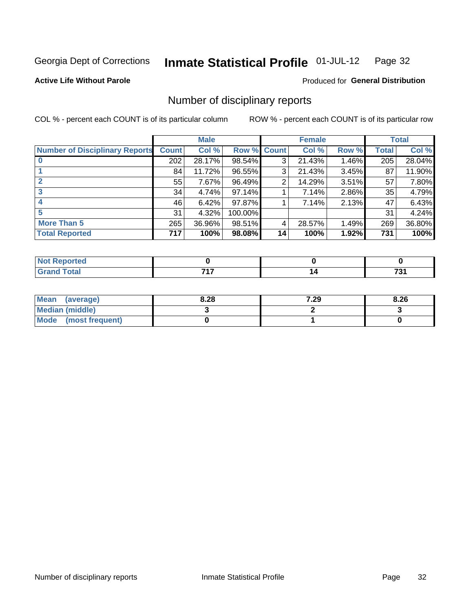#### Inmate Statistical Profile 01-JUL-12 Page 32

**Active Life Without Parole** 

Produced for General Distribution

### Number of disciplinary reports

COL % - percent each COUNT is of its particular column

|                                       |              | <b>Male</b> |                    |                 | <b>Female</b> |       |       | <b>Total</b> |
|---------------------------------------|--------------|-------------|--------------------|-----------------|---------------|-------|-------|--------------|
| <b>Number of Disciplinary Reports</b> | <b>Count</b> | Col %       | <b>Row % Count</b> |                 | Col %         | Row % | Total | Col %        |
|                                       | 202          | 28.17%      | 98.54%             | 3               | 21.43%        | 1.46% | 205   | 28.04%       |
|                                       | 84           | 11.72%      | 96.55%             | 3               | 21.43%        | 3.45% | 87    | 11.90%       |
| $\mathbf{2}$                          | 55           | 7.67%       | 96.49%             | 2               | 14.29%        | 3.51% | 57    | 7.80%        |
| 3                                     | 34           | 4.74%       | 97.14%             |                 | 7.14%         | 2.86% | 35    | 4.79%        |
|                                       | 46           | 6.42%       | 97.87%             |                 | 7.14%         | 2.13% | 47    | 6.43%        |
| 5                                     | 31           | 4.32%       | 100.00%            |                 |               |       | 31    | 4.24%        |
| More Than 5                           | 265          | 36.96%      | 98.51%             | 4               | 28.57%        | 1.49% | 269   | 36.80%       |
| <b>Total Reported</b>                 | 717          | 100%        | 98.08%             | 14 <sub>1</sub> | 100%          | 1.92% | 731   | 100%         |

| N<br>тес |     |           |
|----------|-----|-----------|
|          | フィフ | -~<br>791 |

| Mean (average)         | 8.28 | 7.29 | 8.26 |
|------------------------|------|------|------|
| <b>Median (middle)</b> |      |      |      |
| Mode (most frequent)   |      |      |      |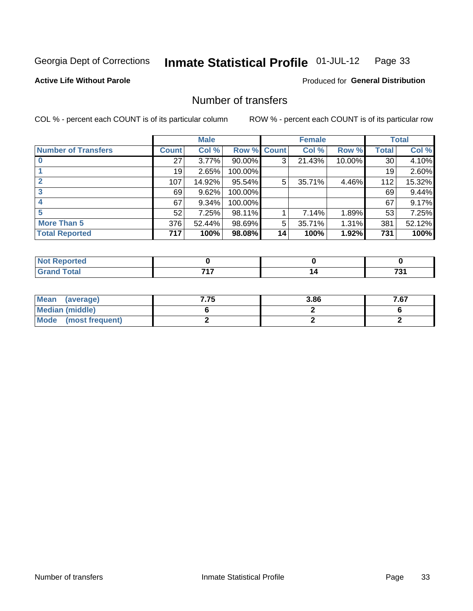#### **Inmate Statistical Profile 01-JUL-12** Page 33

#### **Active Life Without Parole**

#### **Produced for General Distribution**

### Number of transfers

COL % - percent each COUNT is of its particular column

|                            |              | <b>Male</b> |                    |    | <b>Female</b> |           |              | <b>Total</b> |
|----------------------------|--------------|-------------|--------------------|----|---------------|-----------|--------------|--------------|
| <b>Number of Transfers</b> | <b>Count</b> | Col %       | <b>Row % Count</b> |    | Col %         | Row %     | <b>Total</b> | Col %        |
|                            | 27           | $3.77\%$    | $90.00\%$          | 3  | 21.43%        | $10.00\%$ | 30           | 4.10%        |
|                            | 19           | 2.65%       | 100.00%            |    |               |           | 19           | 2.60%        |
| $\mathbf{2}$               | 107          | 14.92%      | 95.54%             | 5  | 35.71%        | 4.46%     | 112          | 15.32%       |
| 3                          | 69           | 9.62%       | 100.00%            |    |               |           | 69           | 9.44%        |
|                            | 67           | 9.34%       | 100.00%            |    |               |           | 67           | 9.17%        |
| 5                          | 52           | 7.25%       | 98.11%             |    | 7.14%         | 1.89%     | 53           | 7.25%        |
| <b>More Than 5</b>         | 376          | 52.44%      | 98.69%             | 5  | 35.71%        | 1.31%     | 381          | 52.12%       |
| <b>Total Reported</b>      | 717          | 100%        | 98.08%             | 14 | 100%          | 1.92%     | 731          | 100%         |

| <b>orted</b><br>NO<br>. <b>.</b> <u>.</u> |     |           |
|-------------------------------------------|-----|-----------|
| Total                                     | フィフ | 70<br>ں ו |

| Mean (average)         | 7.75 | 3.86 | 7.67 |
|------------------------|------|------|------|
| <b>Median (middle)</b> |      |      |      |
| Mode (most frequent)   |      |      |      |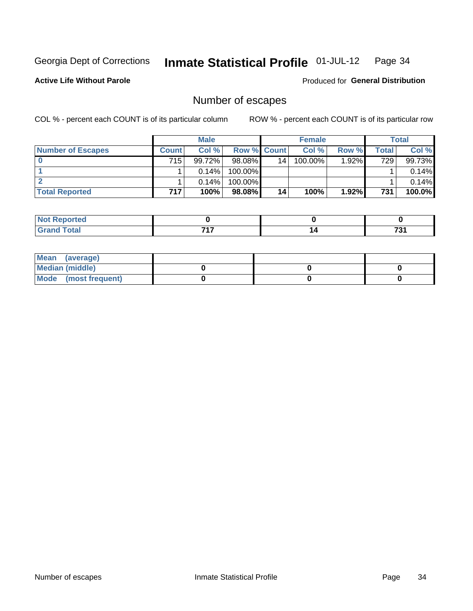#### Inmate Statistical Profile 01-JUL-12 Page 34

#### **Active Life Without Parole**

**Produced for General Distribution** 

### Number of escapes

COL % - percent each COUNT is of its particular column

|                          |         | <b>Male</b> |                    |    | <b>Female</b> |          |       | <b>Total</b> |
|--------------------------|---------|-------------|--------------------|----|---------------|----------|-------|--------------|
| <b>Number of Escapes</b> | Count l | Col %       | <b>Row % Count</b> |    | Col %         | Row %    | Total | Col %        |
|                          | 715     | $99.72\%$   | $98.08\%$          | 14 | 100.00%       | $1.92\%$ | 729   | 99.73%       |
|                          |         | $0.14\%$    | 100.00%            |    |               |          |       | $0.14\%$     |
|                          |         | $0.14\%$    | 100.00%            |    |               |          |       | $0.14\%$     |
| <b>Total Reported</b>    | 717     | 100%        | 98.08%             | 14 | 100%          | $1.92\%$ | 731   | $100.0\%$    |

| <b>Not Reported</b> |     |       |
|---------------------|-----|-------|
| <b>Total</b>        | ライラ | – 0   |
| Grar                |     | 1 J I |

| Mean (average)       |  |  |
|----------------------|--|--|
| Median (middle)      |  |  |
| Mode (most frequent) |  |  |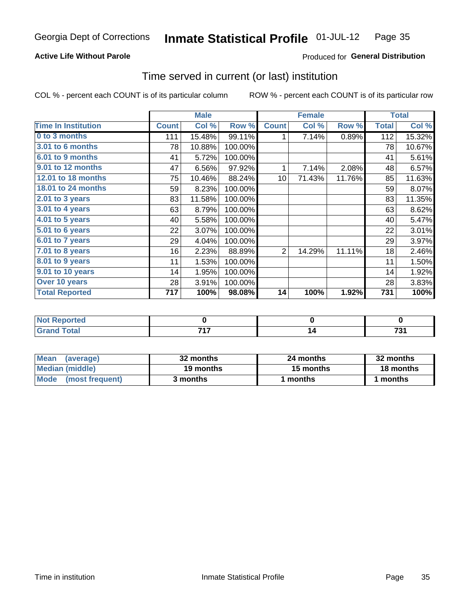#### **Active Life Without Parole**

#### Produced for General Distribution

### Time served in current (or last) institution

COL % - percent each COUNT is of its particular column

|                            |              | <b>Male</b> |         |                 | <b>Female</b> |        |              | <b>Total</b> |
|----------------------------|--------------|-------------|---------|-----------------|---------------|--------|--------------|--------------|
| <b>Time In Institution</b> | <b>Count</b> | Col %       | Row %   | <b>Count</b>    | Col %         | Row %  | <b>Total</b> | Col %        |
| 0 to 3 months              | 111          | 15.48%      | 99.11%  | 1               | 7.14%         | 0.89%  | 112          | 15.32%       |
| 3.01 to 6 months           | 78           | 10.88%      | 100.00% |                 |               |        | 78           | 10.67%       |
| 6.01 to 9 months           | 41           | 5.72%       | 100.00% |                 |               |        | 41           | 5.61%        |
| 9.01 to 12 months          | 47           | 6.56%       | 97.92%  | 1               | 7.14%         | 2.08%  | 48           | 6.57%        |
| 12.01 to 18 months         | 75           | 10.46%      | 88.24%  | 10 <sup>1</sup> | 71.43%        | 11.76% | 85           | 11.63%       |
| 18.01 to 24 months         | 59           | 8.23%       | 100.00% |                 |               |        | 59           | 8.07%        |
| $2.01$ to 3 years          | 83           | 11.58%      | 100.00% |                 |               |        | 83           | 11.35%       |
| 3.01 to 4 years            | 63           | 8.79%       | 100.00% |                 |               |        | 63           | 8.62%        |
| 4.01 to 5 years            | 40           | 5.58%       | 100.00% |                 |               |        | 40           | 5.47%        |
| 5.01 to 6 years            | 22           | 3.07%       | 100.00% |                 |               |        | 22           | 3.01%        |
| 6.01 to 7 years            | 29           | 4.04%       | 100.00% |                 |               |        | 29           | 3.97%        |
| 7.01 to 8 years            | 16           | 2.23%       | 88.89%  | $\overline{2}$  | 14.29%        | 11.11% | 18           | 2.46%        |
| 8.01 to 9 years            | 11           | 1.53%       | 100.00% |                 |               |        | 11           | 1.50%        |
| 9.01 to 10 years           | 14           | 1.95%       | 100.00% |                 |               |        | 14           | 1.92%        |
| Over 10 years              | 28           | 3.91%       | 100.00% |                 |               |        | 28           | 3.83%        |
| <b>Total Reported</b>      | 717          | 100%        | 98.08%  | 14              | 100%          | 1.92%  | 731          | 100%         |

| <b>Not Reported</b> |              |                  |
|---------------------|--------------|------------------|
| <b>Total</b>        | 747<br>- - - | 794<br>ر.<br>___ |

| <b>Mean</b><br>(average) | 32 months | 24 months | 32 months |
|--------------------------|-----------|-----------|-----------|
| Median (middle)          | 19 months | 15 months | 18 months |
| Mode (most frequent)     | 3 months  | 1 months  | 1 months  |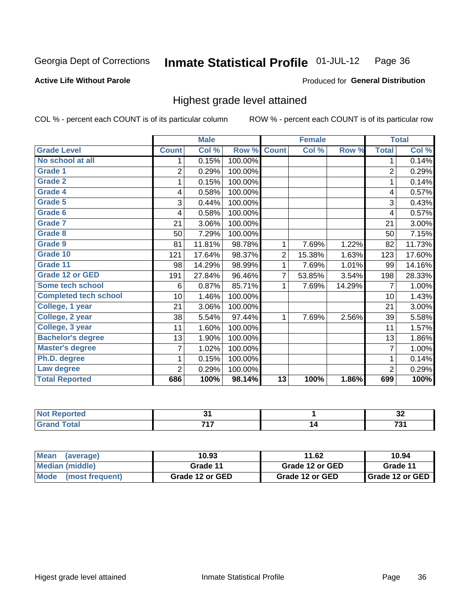#### **Active Life Without Parole**

#### Produced for General Distribution

### Highest grade level attained

COL % - percent each COUNT is of its particular column

|                              |                | <b>Male</b> |         |                 | <b>Female</b> |        |                | <b>Total</b> |
|------------------------------|----------------|-------------|---------|-----------------|---------------|--------|----------------|--------------|
| <b>Grade Level</b>           | <b>Count</b>   | Col %       | Row %   | <b>Count</b>    | Col %         | Row %  | <b>Total</b>   | Col %        |
| No school at all             | 1              | 0.15%       | 100.00% |                 |               |        | 1              | 0.14%        |
| <b>Grade 1</b>               | $\overline{2}$ | 0.29%       | 100.00% |                 |               |        | $\overline{c}$ | 0.29%        |
| <b>Grade 2</b>               | 1              | 0.15%       | 100.00% |                 |               |        | 1              | 0.14%        |
| <b>Grade 4</b>               | 4              | 0.58%       | 100.00% |                 |               |        | 4              | 0.57%        |
| Grade 5                      | 3              | 0.44%       | 100.00% |                 |               |        | 3              | 0.43%        |
| Grade 6                      | 4              | 0.58%       | 100.00% |                 |               |        | 4              | 0.57%        |
| <b>Grade 7</b>               | 21             | 3.06%       | 100.00% |                 |               |        | 21             | 3.00%        |
| <b>Grade 8</b>               | 50             | 7.29%       | 100.00% |                 |               |        | 50             | 7.15%        |
| <b>Grade 9</b>               | 81             | 11.81%      | 98.78%  | 1               | 7.69%         | 1.22%  | 82             | 11.73%       |
| Grade 10                     | 121            | 17.64%      | 98.37%  | $\overline{c}$  | 15.38%        | 1.63%  | 123            | 17.60%       |
| Grade 11                     | 98             | 14.29%      | 98.99%  | 1               | 7.69%         | 1.01%  | 99             | 14.16%       |
| <b>Grade 12 or GED</b>       | 191            | 27.84%      | 96.46%  | 7               | 53.85%        | 3.54%  | 198            | 28.33%       |
| <b>Some tech school</b>      | 6              | 0.87%       | 85.71%  | 1               | 7.69%         | 14.29% | 7              | 1.00%        |
| <b>Completed tech school</b> | 10             | 1.46%       | 100.00% |                 |               |        | 10             | 1.43%        |
| College, 1 year              | 21             | 3.06%       | 100.00% |                 |               |        | 21             | 3.00%        |
| College, 2 year              | 38             | 5.54%       | 97.44%  | 1               | 7.69%         | 2.56%  | 39             | 5.58%        |
| College, 3 year              | 11             | 1.60%       | 100.00% |                 |               |        | 11             | 1.57%        |
| <b>Bachelor's degree</b>     | 13             | 1.90%       | 100.00% |                 |               |        | 13             | 1.86%        |
| <b>Master's degree</b>       | 7              | 1.02%       | 100.00% |                 |               |        | 7              | 1.00%        |
| Ph.D. degree                 |                | 0.15%       | 100.00% |                 |               |        | 1              | 0.14%        |
| Law degree                   | $\overline{2}$ | 0.29%       | 100.00% |                 |               |        | $\overline{2}$ | 0.29%        |
| <b>Total Reported</b>        | 686            | 100%        | 98.14%  | $\overline{13}$ | 100%          | 1.86%  | 699            | 100%         |

| neo  | $\sim$ | $\sim$<br>◡▵  |
|------|--------|---------------|
| vla. | フィフ    | $\sim$<br>. ب |

| <b>Mean</b><br>(average)       | 10.93           | 11.62           | 10.94                    |
|--------------------------------|-----------------|-----------------|--------------------------|
| Median (middle)                | Grade 11        | Grade 12 or GED | Grade 11                 |
| <b>Mode</b><br>(most frequent) | Grade 12 or GED | Grade 12 or GED | <b>I</b> Grade 12 or GED |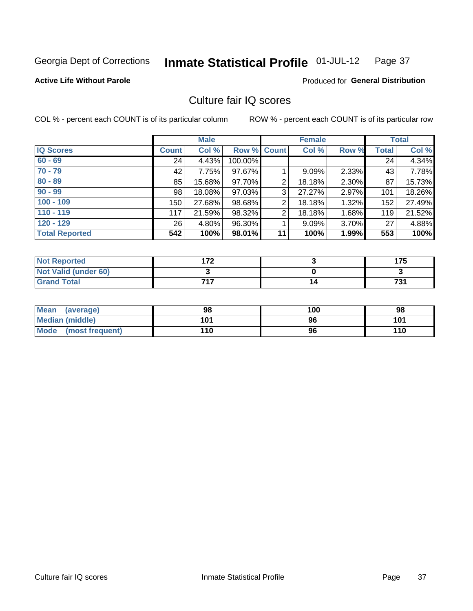#### Inmate Statistical Profile 01-JUL-12 Page 37

#### **Active Life Without Parole**

#### Produced for General Distribution

## Culture fair IQ scores

COL % - percent each COUNT is of its particular column

|                       |              | <b>Male</b> |                    |                | <b>Female</b> |       |              | <b>Total</b> |
|-----------------------|--------------|-------------|--------------------|----------------|---------------|-------|--------------|--------------|
| <b>IQ Scores</b>      | <b>Count</b> | Col %       | <b>Row % Count</b> |                | Col %         | Row % | <b>Total</b> | Col %        |
| $60 - 69$             | 24           | 4.43%       | 100.00%            |                |               |       | 24           | 4.34%        |
| $70 - 79$             | 42           | 7.75%       | 97.67%             |                | 9.09%         | 2.33% | 43           | 7.78%        |
| $80 - 89$             | 85           | 15.68%      | 97.70%             | 2              | 18.18%        | 2.30% | 87           | 15.73%       |
| $90 - 99$             | 98           | 18.08%      | 97.03%             | 3              | 27.27%        | 2.97% | 101          | 18.26%       |
| $100 - 109$           | 150          | 27.68%      | 98.68%             | $\overline{2}$ | 18.18%        | 1.32% | 152          | 27.49%       |
| $110 - 119$           | 117          | 21.59%      | 98.32%             | $\overline{2}$ | 18.18%        | 1.68% | 119          | 21.52%       |
| $120 - 129$           | 26           | 4.80%       | 96.30%             |                | 9.09%         | 3.70% | 27           | 4.88%        |
| <b>Total Reported</b> | 542          | 100%        | 98.01%             | 11             | 100%          | 1.99% | 553          | 100%         |

| <b>Not Reported</b>         | 172 | 175 |
|-----------------------------|-----|-----|
| <b>Not Valid (under 60)</b> |     |     |
| <b>Grand Total</b>          | フィフ | 731 |

| <b>Mean</b><br>(average)       | 98  | 100 | 98  |
|--------------------------------|-----|-----|-----|
| Median (middle)                | 101 | 96  | 101 |
| <b>Mode</b><br>(most frequent) | 110 | 96  | 110 |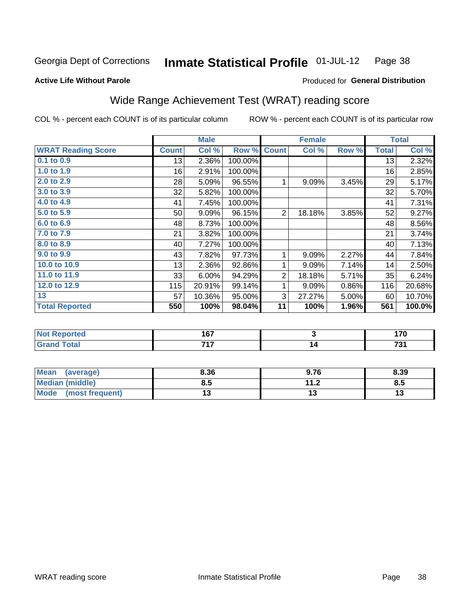#### **Inmate Statistical Profile 01-JUL-12** Page 38

**Active Life Without Parole** 

### Produced for General Distribution

## Wide Range Achievement Test (WRAT) reading score

COL % - percent each COUNT is of its particular column

|                           |              | <b>Male</b> |         |                | <b>Female</b> |          |              | <b>Total</b> |
|---------------------------|--------------|-------------|---------|----------------|---------------|----------|--------------|--------------|
| <b>WRAT Reading Score</b> | <b>Count</b> | Col %       | Row %   | <b>Count</b>   | Col %         | Row %    | <b>Total</b> | Col %        |
| 0.1 to 0.9                | 13           | 2.36%       | 100.00% |                |               |          | 13           | 2.32%        |
| 1.0 to 1.9                | 16           | 2.91%       | 100.00% |                |               |          | 16           | 2.85%        |
| 2.0 to 2.9                | 28           | 5.09%       | 96.55%  | 1              | 9.09%         | 3.45%    | 29           | 5.17%        |
| 3.0 to 3.9                | 32           | 5.82%       | 100.00% |                |               |          | 32           | 5.70%        |
| 4.0 to 4.9                | 41           | 7.45%       | 100.00% |                |               |          | 41           | 7.31%        |
| 5.0 to 5.9                | 50           | 9.09%       | 96.15%  | $\overline{2}$ | 18.18%        | 3.85%    | 52           | 9.27%        |
| 6.0 to 6.9                | 48           | 8.73%       | 100.00% |                |               |          | 48           | 8.56%        |
| 7.0 to 7.9                | 21           | 3.82%       | 100.00% |                |               |          | 21           | 3.74%        |
| 8.0 to 8.9                | 40           | 7.27%       | 100.00% |                |               |          | 40           | 7.13%        |
| 9.0 to 9.9                | 43           | 7.82%       | 97.73%  | 1              | 9.09%         | 2.27%    | 44           | 7.84%        |
| 10.0 to 10.9              | 13           | 2.36%       | 92.86%  | 1              | 9.09%         | 7.14%    | 14           | 2.50%        |
| 11.0 to 11.9              | 33           | 6.00%       | 94.29%  | $\overline{2}$ | 18.18%        | 5.71%    | 35           | 6.24%        |
| 12.0 to 12.9              | 115          | 20.91%      | 99.14%  | 1              | 9.09%         | 0.86%    | 116          | 20.68%       |
| 13                        | 57           | 10.36%      | 95.00%  | 3              | 27.27%        | 5.00%    | 60           | 10.70%       |
| <b>Total Reported</b>     | 550          | 100%        | 98.04%  | 11             | 100%          | $1.96\%$ | 561          | 100.0%       |

| <b>Not Reported</b>    | 167 | $\rightarrow$ |
|------------------------|-----|---------------|
| <b>Total</b><br>'Grand | 747 | 704           |

| <b>Mean</b><br>(average) | 8.36 | 9.76      | 8.39 |
|--------------------------|------|-----------|------|
| Median (middle)          | ช.ว  | 11 J<br>Z | 8.5  |
| Mode<br>(most frequent)  | . .  |           | ויי  |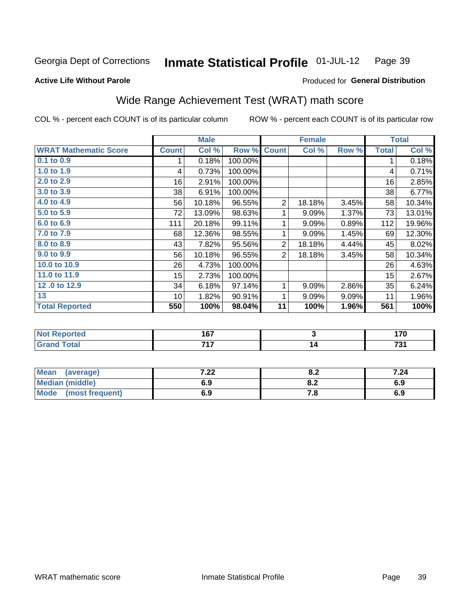#### **Inmate Statistical Profile 01-JUL-12** Page 39

#### **Active Life Without Parole**

## Produced for General Distribution

## Wide Range Achievement Test (WRAT) math score

COL % - percent each COUNT is of its particular column

|                              |              | <b>Male</b> |         |                | <b>Female</b>   |       |              | <b>Total</b>       |
|------------------------------|--------------|-------------|---------|----------------|-----------------|-------|--------------|--------------------|
| <b>WRAT Mathematic Score</b> | <b>Count</b> | Col %       | Row %   | <b>Count</b>   | Col %           | Row % | <b>Total</b> | Col %              |
| 0.1 to 0.9                   | 1            | 0.18%       | 100.00% |                |                 |       | 1            | 0.18%              |
| 1.0 to 1.9                   | 4            | 0.73%       | 100.00% |                |                 |       | 4            | 0.71%              |
| 2.0 t <sub>0</sub> 2.9       | 16           | 2.91%       | 100.00% |                |                 |       | 16           | 2.85%              |
| 3.0 to 3.9                   | 38           | 6.91%       | 100.00% |                |                 |       | 38           | 6.77%              |
| 4.0 to 4.9                   | 56           | 10.18%      | 96.55%  | $\overline{2}$ | 18.18%          | 3.45% | 58           | 10.34%             |
| 5.0 to 5.9                   | 72           | 13.09%      | 98.63%  | 1              | 9.09%           | 1.37% | 73           | 13.01%             |
| 6.0 to 6.9                   | 111          | 20.18%      | 99.11%  | 1              | 9.09%           | 0.89% | 112          | 19.96%             |
| 7.0 to 7.9                   | 68           | 12.36%      | 98.55%  | 1              | 9.09%           | 1.45% | 69           | 12.30%             |
| 8.0 to 8.9                   | 43           | 7.82%       | 95.56%  | $\overline{2}$ | 18.18%          | 4.44% | 45           | 8.02%              |
| 9.0 to 9.9                   | 56           | 10.18%      | 96.55%  | $\overline{2}$ | 18.18%          | 3.45% | 58           | 10.34%             |
| 10.0 to 10.9                 | 26           | 4.73%       | 100.00% |                |                 |       | 26           | 4.63%              |
| 11.0 to 11.9                 | 15           | 2.73%       | 100.00% |                |                 |       | 15           | 2.67%              |
| 12.0 to 12.9                 | 34           | 6.18%       | 97.14%  | 1              | 9.09%           | 2.86% | 35           | 6.24%              |
| 13                           | 10           | 1.82%       | 90.91%  | 1              | 9.09%           | 9.09% | 11           | 1.96%              |
| <b>Total Reported</b>        | 550          | 100%        | 98.04%  | 11             | 100%            | 1.96% | 561          | $\overline{100\%}$ |
|                              |              |             |         |                |                 |       |              |                    |
| <b>Not Reported</b>          |              | 167         |         |                | 3               |       |              | 170                |
| <b>Grand Total</b>           |              | 717         |         |                | $\overline{14}$ |       |              | 731                |
|                              |              |             |         |                |                 |       |              |                    |

| <b>Mean</b><br>(average)       | י ה<br>$\cdot$ 22 $\cdot$ | 0.Z | 7.24 |
|--------------------------------|---------------------------|-----|------|
| <b>Median (middle)</b>         | 6.9                       | 0.Z | 6.9  |
| <b>Mode</b><br>(most frequent) | 6.9                       | 7.O | 6.9  |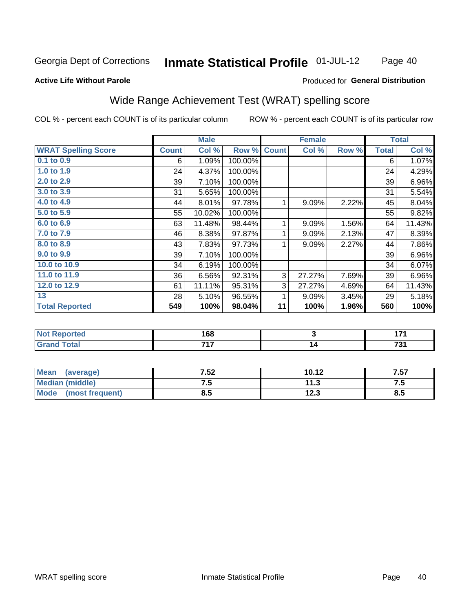#### **Inmate Statistical Profile 01-JUL-12** Page 40

#### **Active Life Without Parole**

#### Produced for General Distribution

## Wide Range Achievement Test (WRAT) spelling score

COL % - percent each COUNT is of its particular column

|                            |              | <b>Male</b> |         |              | <b>Female</b> |       |              | <b>Total</b> |
|----------------------------|--------------|-------------|---------|--------------|---------------|-------|--------------|--------------|
| <b>WRAT Spelling Score</b> | <b>Count</b> | Col %       | Row %   | <b>Count</b> | Col %         | Row % | <b>Total</b> | Col %        |
| 0.1 to 0.9                 | 6            | 1.09%       | 100.00% |              |               |       | 6            | 1.07%        |
| 1.0 to 1.9                 | 24           | 4.37%       | 100.00% |              |               |       | 24           | 4.29%        |
| 2.0 to 2.9                 | 39           | 7.10%       | 100.00% |              |               |       | 39           | 6.96%        |
| 3.0 to 3.9                 | 31           | 5.65%       | 100.00% |              |               |       | 31           | 5.54%        |
| 4.0 to 4.9                 | 44           | 8.01%       | 97.78%  | 1            | 9.09%         | 2.22% | 45           | 8.04%        |
| 5.0 to 5.9                 | 55           | 10.02%      | 100.00% |              |               |       | 55           | 9.82%        |
| 6.0 to 6.9                 | 63           | 11.48%      | 98.44%  | 1            | 9.09%         | 1.56% | 64           | 11.43%       |
| 7.0 to 7.9                 | 46           | 8.38%       | 97.87%  | 1            | 9.09%         | 2.13% | 47           | 8.39%        |
| 8.0 to 8.9                 | 43           | 7.83%       | 97.73%  | 1            | 9.09%         | 2.27% | 44           | 7.86%        |
| 9.0 to 9.9                 | 39           | 7.10%       | 100.00% |              |               |       | 39           | 6.96%        |
| 10.0 to 10.9               | 34           | 6.19%       | 100.00% |              |               |       | 34           | 6.07%        |
| 11.0 to 11.9               | 36           | 6.56%       | 92.31%  | 3            | 27.27%        | 7.69% | 39           | 6.96%        |
| 12.0 to 12.9               | 61           | 11.11%      | 95.31%  | 3            | 27.27%        | 4.69% | 64           | 11.43%       |
| 13                         | 28           | 5.10%       | 96.55%  | 1            | 9.09%         | 3.45% | 29           | 5.18%        |
| <b>Total Reported</b>      | 549          | 100%        | 98.04%  | 11           | 100%          | 1.96% | 560          | 100%         |
|                            |              |             |         |              |               |       |              |              |
| <b>Not Reported</b>        |              | 168         |         |              | 3             |       |              | 171          |
| <b>Grand Total</b>         |              | 717         |         |              | 14            |       |              | 731          |

| <b>Mean</b><br>(average) | 7.52 | 10.12         | 7.57 |
|--------------------------|------|---------------|------|
| Median (middle)          |      | 11 S<br>.     | ن. ا |
| Mode<br>(most frequent)  | o.J  | 122<br>د. ∠ ا | 8.5  |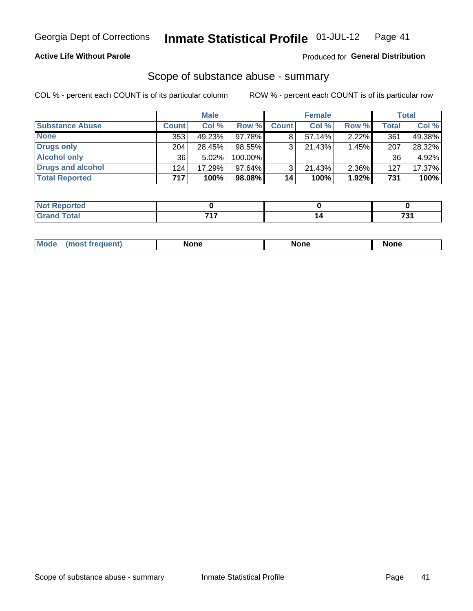### **Active Life Without Parole**

### Produced for General Distribution

### Scope of substance abuse - summary

COL % - percent each COUNT is of its particular column

|                        |              | <b>Male</b> |           |              | <b>Female</b> |          |              | <b>Total</b> |
|------------------------|--------------|-------------|-----------|--------------|---------------|----------|--------------|--------------|
| <b>Substance Abuse</b> | <b>Count</b> | Col %       | Row %     | <b>Count</b> | Col %         | Row %    | <b>Total</b> | Col %        |
| <b>None</b>            | 353          | 49.23%      | 97.78%I   |              | $57.14\%$     | $2.22\%$ | 361          | 49.38%       |
| <b>Drugs only</b>      | 204          | 28.45%      | 98.55%    |              | 21.43%        | 1.45%    | 207          | 28.32%       |
| <b>Alcohol only</b>    | 36           | $5.02\%$    | 100.00%   |              |               |          | 36           | 4.92%        |
| Drugs and alcohol      | 124          | 17.29%      | $97.64\%$ |              | $21.43\%$     | 2.36%    | 127          | 17.37%       |
| <b>Total Reported</b>  | 717          | 100%        | 98.08%    | 14           | 100%          | 1.92%    | 731          | 100%         |

| Reported<br>NOT   |     |     |
|-------------------|-----|-----|
| <b>otal</b><br>-- | --- | $-$ |

|  | Mode | None | <b>None</b> | None |
|--|------|------|-------------|------|
|--|------|------|-------------|------|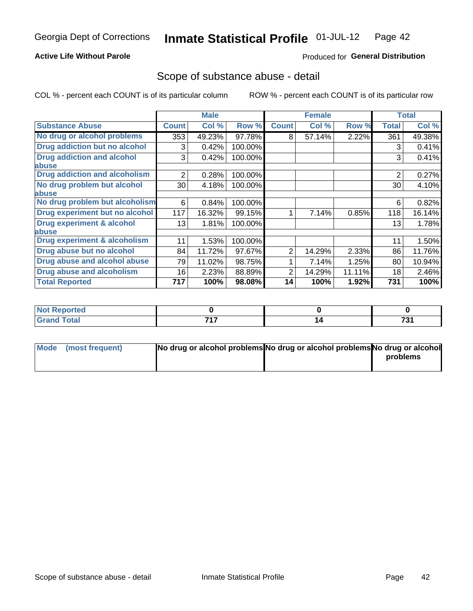### **Active Life Without Parole**

### Produced for General Distribution

### Scope of substance abuse - detail

COL % - percent each COUNT is of its particular column

|                                         |              | <b>Male</b> |         |              | <b>Female</b> |        |                | <b>Total</b> |
|-----------------------------------------|--------------|-------------|---------|--------------|---------------|--------|----------------|--------------|
| <b>Substance Abuse</b>                  | <b>Count</b> | Col %       | Row %   | <b>Count</b> | Col %         | Row %  | <b>Total</b>   | Col %        |
| No drug or alcohol problems             | 353          | 49.23%      | 97.78%  | 8            | 57.14%        | 2.22%  | 361            | 49.38%       |
| Drug addiction but no alcohol           | 3            | 0.42%       | 100.00% |              |               |        | 3              | 0.41%        |
| <b>Drug addiction and alcohol</b>       | 3            | 0.42%       | 100.00% |              |               |        | 3              | 0.41%        |
| abuse                                   |              |             |         |              |               |        |                |              |
| <b>Drug addiction and alcoholism</b>    | 2            | 0.28%       | 100.00% |              |               |        | $\overline{2}$ | 0.27%        |
| No drug problem but alcohol             | 30           | 4.18%       | 100.00% |              |               |        | 30             | 4.10%        |
| abuse                                   |              |             |         |              |               |        |                |              |
| No drug problem but alcoholism          | 6            | 0.84%       | 100.00% |              |               |        | 6              | 0.82%        |
| Drug experiment but no alcohol          | 117          | 16.32%      | 99.15%  |              | 7.14%         | 0.85%  | 118            | 16.14%       |
| <b>Drug experiment &amp; alcohol</b>    | 13           | 1.81%       | 100.00% |              |               |        | 13             | 1.78%        |
| abuse                                   |              |             |         |              |               |        |                |              |
| <b>Drug experiment &amp; alcoholism</b> | 11           | 1.53%       | 100.00% |              |               |        | 11             | 1.50%        |
| Drug abuse but no alcohol               | 84           | 11.72%      | 97.67%  | 2            | 14.29%        | 2.33%  | 86             | 11.76%       |
| Drug abuse and alcohol abuse            | 79           | 11.02%      | 98.75%  |              | 7.14%         | 1.25%  | 80             | 10.94%       |
| <b>Drug abuse and alcoholism</b>        | 16           | 2.23%       | 88.89%  | 2            | 14.29%        | 11.11% | 18             | 2.46%        |
| <b>Total Reported</b>                   | 717          | 100%        | 98.08%  | 14           | 100%          | 1.92%  | 731            | 100%         |

| ported<br>NOT<br>$\sim$               |     |                             |
|---------------------------------------|-----|-----------------------------|
| $\sim$ $\sim$ $\sim$<br>υιαι<br>_____ | 747 | $\mathbf{a}$<br>ີ<br>$\sim$ |

| Mode (most frequent) | No drug or alcohol problems No drug or alcohol problems No drug or alcohol |          |
|----------------------|----------------------------------------------------------------------------|----------|
|                      |                                                                            | problems |
|                      |                                                                            |          |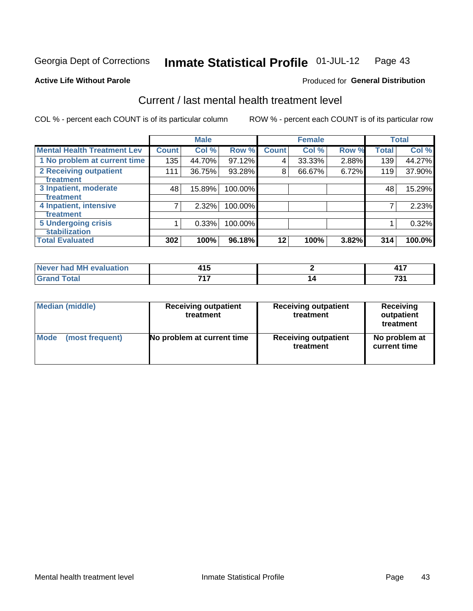#### Inmate Statistical Profile 01-JUL-12 Page 43

#### **Active Life Without Parole**

### **Produced for General Distribution**

## Current / last mental health treatment level

COL % - percent each COUNT is of its particular column

|                                    |              | <b>Male</b> |         |              | <b>Female</b> |       |              | <b>Total</b> |
|------------------------------------|--------------|-------------|---------|--------------|---------------|-------|--------------|--------------|
| <b>Mental Health Treatment Lev</b> | <b>Count</b> | Col %       | Row %   | <b>Count</b> | Col %         | Row % | <b>Total</b> | Col %        |
| 1 No problem at current time       | 135          | 44.70%      | 97.12%  | 4            | 33.33%        | 2.88% | 139          | 44.27%       |
| 2 Receiving outpatient             | 111          | 36.75%      | 93.28%  | 8            | 66.67%        | 6.72% | 119          | 37.90%       |
| <b>Treatment</b>                   |              |             |         |              |               |       |              |              |
| 3 Inpatient, moderate              | 48           | 15.89%      | 100.00% |              |               |       | 48           | 15.29%       |
| Treatment                          |              |             |         |              |               |       |              |              |
| 4 Inpatient, intensive             | 7            | 2.32%       | 100.00% |              |               |       | ⇁            | 2.23%        |
| Treatment                          |              |             |         |              |               |       |              |              |
| <b>5 Undergoing crisis</b>         |              | 0.33%       | 100.00% |              |               |       |              | 0.32%        |
| <b>stabilization</b>               |              |             |         |              |               |       |              |              |
| <b>Total Evaluated</b>             | 302          | 100%        | 96.18%  | 12           | 100%          | 3.82% | 314          | 100.0%       |

| .<br>ıluation<br><b>AVALUS</b><br>'м<br><b>Never</b><br>nan | .<br>.<br>$\sim$ | .                            |
|-------------------------------------------------------------|------------------|------------------------------|
|                                                             | 747              | $\overline{ }$<br>ں ر<br>$-$ |

| Median (middle) | <b>Receiving outpatient</b><br>treatment | <b>Receiving outpatient</b><br>treatment | <b>Receiving</b><br>outpatient<br>treatment |
|-----------------|------------------------------------------|------------------------------------------|---------------------------------------------|
| Mode            | No problem at current time               | <b>Receiving outpatient</b>              | No problem at                               |
| (most frequent) |                                          | treatment                                | current time                                |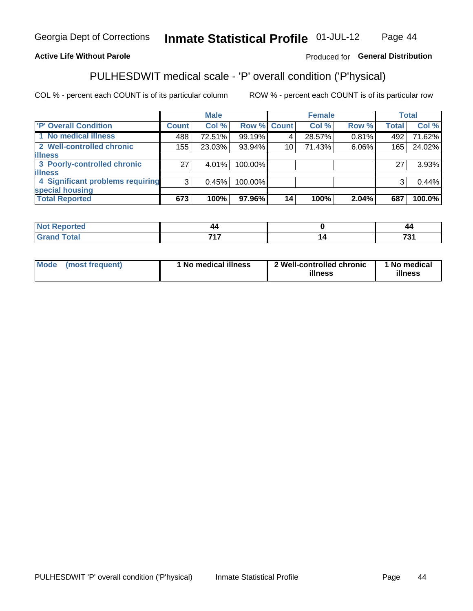#### Inmate Statistical Profile 01-JUL-12 Page 44

### **Active Life Without Parole**

### Produced for General Distribution

## PULHESDWIT medical scale - 'P' overall condition ('P'hysical)

COL % - percent each COUNT is of its particular column

|                                  |                 | <b>Male</b> |             |    | <b>Female</b> |       |              | <b>Total</b> |
|----------------------------------|-----------------|-------------|-------------|----|---------------|-------|--------------|--------------|
| 'P' Overall Condition            | Count l         | Col %       | Row % Count |    | Col %         | Row % | <b>Total</b> | Col %        |
| 1 No medical illness             | 488             | 72.51%      | 99.19%      |    | 28.57%        | 0.81% | 492          | 71.62%       |
| 2 Well-controlled chronic        | 155             | 23.03%      | 93.94%      | 10 | 71.43%        | 6.06% | 165          | 24.02%       |
| <b>illness</b>                   |                 |             |             |    |               |       |              |              |
| 3 Poorly-controlled chronic      | 27 <sup>1</sup> | $4.01\%$    | 100.00%     |    |               |       | 27           | 3.93%        |
| <b>illness</b>                   |                 |             |             |    |               |       |              |              |
| 4 Significant problems requiring | 3               | 0.45%       | 100.00%     |    |               |       | 3            | 0.44%        |
| special housing                  |                 |             |             |    |               |       |              |              |
| <b>Total Reported</b>            | 673             | 100%        | 97.96%      | 14 | 100%          | 2.04% | 687          | 100.0%       |

| .      | ,,         | $\mathbf{r}$<br>-- |
|--------|------------|--------------------|
| ______ | <b>745</b> | --                 |

| <b>Mode</b> | (most frequent) | 1 No medical illness | 2 Well-controlled chronic<br>illness | 1 No medical<br>illness |
|-------------|-----------------|----------------------|--------------------------------------|-------------------------|
|-------------|-----------------|----------------------|--------------------------------------|-------------------------|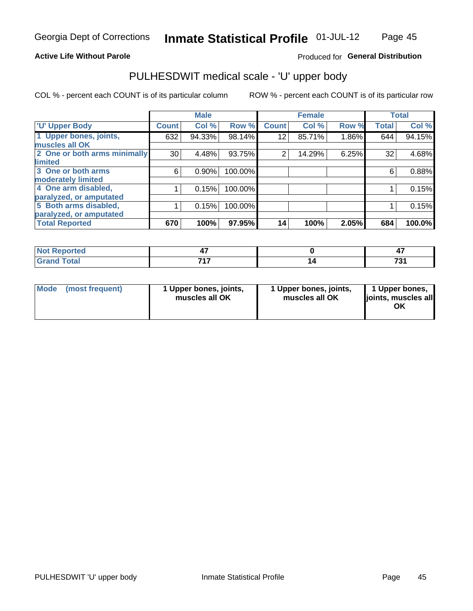### **Active Life Without Parole**

### Produced for General Distribution

# PULHESDWIT medical scale - 'U' upper body

COL % - percent each COUNT is of its particular column

|                              |              | <b>Male</b> |         |              | <b>Female</b> |       |              | <b>Total</b> |
|------------------------------|--------------|-------------|---------|--------------|---------------|-------|--------------|--------------|
| <b>U' Upper Body</b>         | <b>Count</b> | Col %       | Row %   | <b>Count</b> | Col %         | Row % | <b>Total</b> | Col %        |
| 1 Upper bones, joints,       | 632          | 94.33%      | 98.14%  | 12           | 85.71%        | 1.86% | 644          | 94.15%       |
| muscles all OK               |              |             |         |              |               |       |              |              |
| 2 One or both arms minimally | 30           | 4.48%       | 93.75%  | 2            | 14.29%        | 6.25% | 32           | 4.68%        |
| limited                      |              |             |         |              |               |       |              |              |
| 3 One or both arms           | 6            | 0.90%       | 100.00% |              |               |       | 6            | 0.88%        |
| <b>moderately limited</b>    |              |             |         |              |               |       |              |              |
| 4 One arm disabled,          |              | 0.15%       | 100.00% |              |               |       |              | 0.15%        |
| paralyzed, or amputated      |              |             |         |              |               |       |              |              |
| 5 Both arms disabled,        |              | 0.15%       | 100.00% |              |               |       |              | 0.15%        |
| paralyzed, or amputated      |              |             |         |              |               |       |              |              |
| <b>Total Reported</b>        | 670          | 100%        | 97.95%  | 14           | 100%          | 2.05% | 684          | 100.0%       |

| <b>Not Reported</b> |     | - 1        |
|---------------------|-----|------------|
| <b>Grand Total</b>  | 747 | 70.<br>, J |

| Mode<br>(most frequent) | 1 Upper bones, joints,<br>muscles all OK | 1 Upper bones, joints,<br>muscles all OK | 1 Upper bones,<br>joints, muscles all<br>ΟK |
|-------------------------|------------------------------------------|------------------------------------------|---------------------------------------------|
|-------------------------|------------------------------------------|------------------------------------------|---------------------------------------------|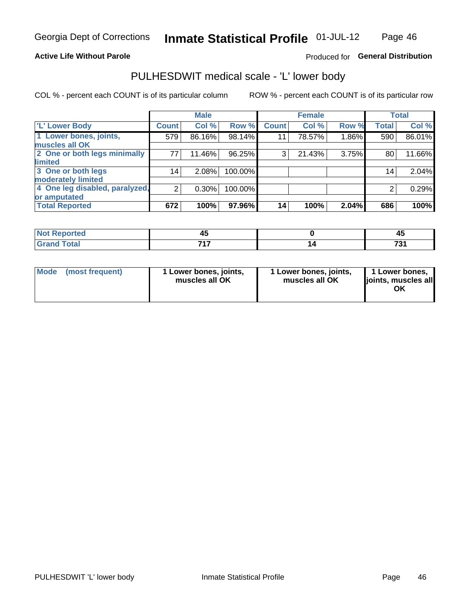#### **Active Life Without Parole**

### Produced for General Distribution

## PULHESDWIT medical scale - 'L' lower body

COL % - percent each COUNT is of its particular column

|                                |                | <b>Male</b> |         |              | <b>Female</b> |       |              | <b>Total</b> |
|--------------------------------|----------------|-------------|---------|--------------|---------------|-------|--------------|--------------|
| 'L' Lower Body                 | <b>Count</b>   | Col %       | Row %   | <b>Count</b> | Col %         | Row % | <b>Total</b> | Col %        |
| 1 Lower bones, joints,         | 579            | 86.16%      | 98.14%  | 11           | 78.57%        | 1.86% | 590          | 86.01%       |
| muscles all OK                 |                |             |         |              |               |       |              |              |
| 2 One or both legs minimally   | 77             | 11.46%      | 96.25%  | 3            | 21.43%        | 3.75% | 80           | 11.66%       |
| limited                        |                |             |         |              |               |       |              |              |
| 3 One or both legs             | 14             | 2.08%       | 100.00% |              |               |       | 14           | 2.04%        |
| moderately limited             |                |             |         |              |               |       |              |              |
| 4 One leg disabled, paralyzed, | $\overline{2}$ | 0.30%       | 100.00% |              |               |       | 2            | 0.29%        |
| or amputated                   |                |             |         |              |               |       |              |              |
| <b>Total Reported</b>          | 672            | 100%        | 97.96%  | 14           | 100%          | 2.04% | 686          | 100%         |

| <b>Not Reported</b> |       | ᠇   |
|---------------------|-------|-----|
| <b>Grand Total</b>  | -24-7 | →∩. |

| Mode | (most frequent) | 1 Lower bones, joints,<br>muscles all OK | 1 Lower bones, joints,<br>muscles all OK | 1 Lower bones,<br>ljoints, muscles all<br>OK |
|------|-----------------|------------------------------------------|------------------------------------------|----------------------------------------------|
|------|-----------------|------------------------------------------|------------------------------------------|----------------------------------------------|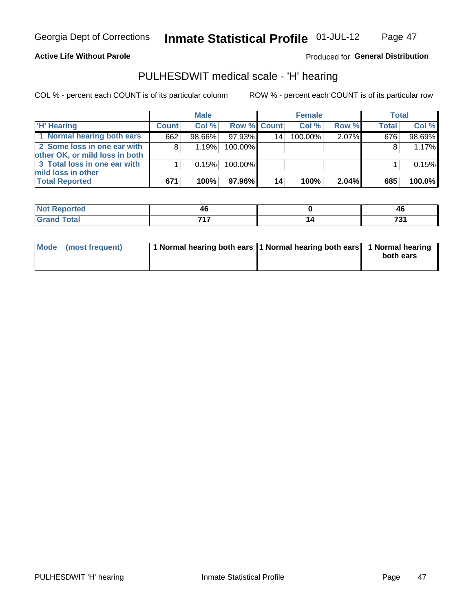#### **Active Life Without Parole**

### Produced for General Distribution

## PULHESDWIT medical scale - 'H' hearing

COL % - percent each COUNT is of its particular column

|                                                               |              | <b>Male</b> |             |                 | <b>Female</b> |       | <b>Total</b> |           |
|---------------------------------------------------------------|--------------|-------------|-------------|-----------------|---------------|-------|--------------|-----------|
| <b>H'</b> Hearing                                             | <b>Count</b> | Col %       | Row % Count |                 | Col%          | Row % | <b>Total</b> | Col %     |
| 1 Normal hearing both ears                                    | 662          | 98.66%      | 97.93%      | 14 <sub>1</sub> | 100.00%       | 2.07% | 676          | 98.69%    |
| 2 Some loss in one ear with<br>other OK, or mild loss in both | 8            | 1.19%       | 100.00%     |                 |               |       |              | 1.17%     |
| 3 Total loss in one ear with<br>mild loss in other            |              | 0.15%       | 100.00%     |                 |               |       |              | 0.15%     |
| <b>Total Reported</b>                                         | 671          | 100%        | 97.96%      | 14              | 100%          | 2.04% | 685          | $100.0\%$ |

| rted<br>NOT           | - 6 | AF<br>יי   |
|-----------------------|-----|------------|
| <b>otal</b><br>$\sim$ | --- | 70,<br>ا ت |

| Mode (most frequent) | 1 Normal hearing both ears 1 Normal hearing both ears 1 Normal hearing |  | both ears |
|----------------------|------------------------------------------------------------------------|--|-----------|
|----------------------|------------------------------------------------------------------------|--|-----------|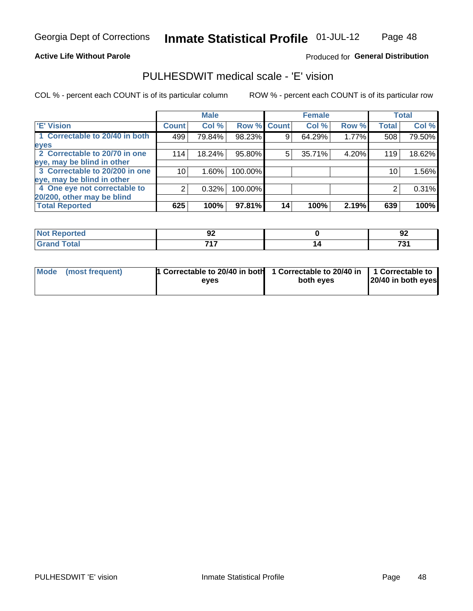#### **Active Life Without Parole**

### Produced for General Distribution

## PULHESDWIT medical scale - 'E' vision

COL % - percent each COUNT is of its particular column

|                                |              | <b>Male</b> |         |             | <b>Female</b> |       |              | <b>Total</b> |
|--------------------------------|--------------|-------------|---------|-------------|---------------|-------|--------------|--------------|
| <b>E' Vision</b>               | <b>Count</b> | Col %       |         | Row % Count | Col %         | Row % | <b>Total</b> | Col %        |
| 1 Correctable to 20/40 in both | 499          | 79.84%      | 98.23%  | 9           | 64.29%        | 1.77% | 508          | 79.50%       |
| eyes                           |              |             |         |             |               |       |              |              |
| 2 Correctable to 20/70 in one  | 114          | 18.24%      | 95.80%  | 5           | 35.71%        | 4.20% | 119          | 18.62%       |
| eye, may be blind in other     |              |             |         |             |               |       |              |              |
| 3 Correctable to 20/200 in one | 10           | $1.60\%$    | 100.00% |             |               |       | 10           | 1.56%        |
| eye, may be blind in other     |              |             |         |             |               |       |              |              |
| 4 One eye not correctable to   | 2            | 0.32%       | 100.00% |             |               |       | 2            | 0.31%        |
| 20/200, other may be blind     |              |             |         |             |               |       |              |              |
| <b>Total Reported</b>          | 625          | 100%        | 97.81%  | 14          | 100%          | 2.19% | 639          | 100%         |

| <b>Not Reported</b><br>. <b>.</b> | ◡   | ~<br>94               |
|-----------------------------------|-----|-----------------------|
| <b>Total</b>                      | フィフ | $\mathbf{z}$<br>1 J I |

| Mode (most frequent) | <sup>1</sup> Correctable to 20/40 in both 1 Correctable to 20/40 in 1 Correctable to<br>eves | both eyes | 20/40 in both eyes |
|----------------------|----------------------------------------------------------------------------------------------|-----------|--------------------|
|                      |                                                                                              |           |                    |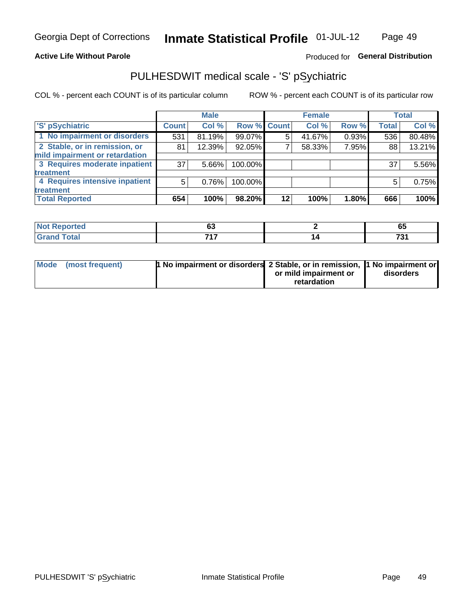### **Active Life Without Parole**

### Produced for General Distribution

## PULHESDWIT medical scale - 'S' pSychiatric

COL % - percent each COUNT is of its particular column

|                                |              | <b>Male</b> |             |    | <b>Female</b> |       |              | <b>Total</b> |
|--------------------------------|--------------|-------------|-------------|----|---------------|-------|--------------|--------------|
| 'S' pSychiatric                | <b>Count</b> | Col %       | Row % Count |    | Col %         | Row % | <b>Total</b> | Col %        |
| 1 No impairment or disorders   | 531          | 81.19%      | 99.07%      |    | 41.67%        | 0.93% | 536          | 80.48%       |
| 2 Stable, or in remission, or  | 81           | 12.39%      | 92.05%      |    | 58.33%        | 7.95% | 88           | 13.21%       |
| mild impairment or retardation |              |             |             |    |               |       |              |              |
| 3 Requires moderate inpatient  | 37           | 5.66%       | 100.00%     |    |               |       | 37           | 5.56%        |
| treatment                      |              |             |             |    |               |       |              |              |
| 4 Requires intensive inpatient | 5            | 0.76%       | 100.00%     |    |               |       | 5            | 0.75%        |
| treatment                      |              |             |             |    |               |       |              |              |
| <b>Total Reported</b>          | 654          | 100%        | 98.20%      | 12 | 100%          | 1.80% | 666          | 100%         |

| 11 — 1 0 | . .<br>v, | 0J                 |
|----------|-----------|--------------------|
|          | フィフ       | 704<br>ູ<br>$\sim$ |

| Mode (most frequent) | <sup>1</sup> No impairment or disorders 2 Stable, or in remission, <sup>1</sup> No impairment or |                       |           |
|----------------------|--------------------------------------------------------------------------------------------------|-----------------------|-----------|
|                      |                                                                                                  | or mild impairment or | disorders |
|                      |                                                                                                  | retardation           |           |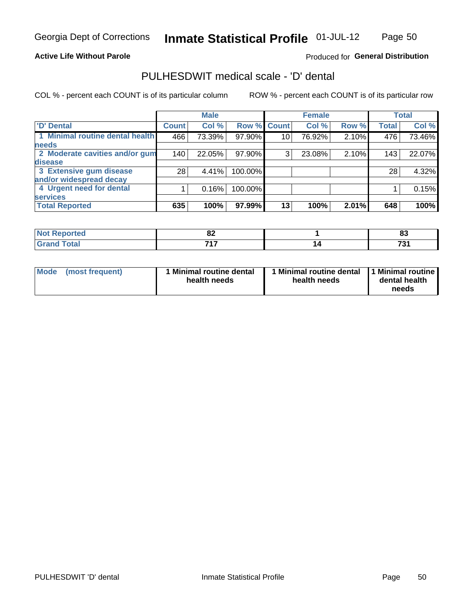#### **Active Life Without Parole**

### Produced for General Distribution

## PULHESDWIT medical scale - 'D' dental

COL % - percent each COUNT is of its particular column

|                                 |                 | <b>Male</b> |         |                 | <b>Female</b> |       |              | <b>Total</b> |
|---------------------------------|-----------------|-------------|---------|-----------------|---------------|-------|--------------|--------------|
| <b>D'</b> Dental                | <b>Count</b>    | Col %       |         | Row % Count     | Col %         | Row % | <b>Total</b> | Col %        |
| 1 Minimal routine dental health | 466             | 73.39%      | 97.90%  | 10 <sub>1</sub> | 76.92%        | 2.10% | 476          | 73.46%       |
| <b>needs</b>                    |                 |             |         |                 |               |       |              |              |
| 2 Moderate cavities and/or gum  | 140             | 22.05%      | 97.90%  | 3               | 23.08%        | 2.10% | 143          | 22.07%       |
| disease                         |                 |             |         |                 |               |       |              |              |
| 3 Extensive gum disease         | 28 <sub>1</sub> | 4.41%       | 100.00% |                 |               |       | 28           | 4.32%        |
| and/or widespread decay         |                 |             |         |                 |               |       |              |              |
| 4 Urgent need for dental        |                 | 0.16%       | 100.00% |                 |               |       |              | 0.15%        |
| <b>services</b>                 |                 |             |         |                 |               |       |              |              |
| <b>Total Reported</b>           | 635             | 100%        | 97.99%  | 13              | 100%          | 2.01% | 648          | 100%         |

| neo          | <u>uz</u> | $\mathbf{C}$<br>w   |
|--------------|-----------|---------------------|
| <b>Total</b> | ライラ       | $\mathbf{A}$<br>. پ |

| <b>Mode</b> | (most frequent) | <b>Minimal routine dental</b><br>health needs | 1 Minimal routine dental<br>health needs | <b>11 Minimal routine I</b><br>dental health<br>needs |
|-------------|-----------------|-----------------------------------------------|------------------------------------------|-------------------------------------------------------|
|-------------|-----------------|-----------------------------------------------|------------------------------------------|-------------------------------------------------------|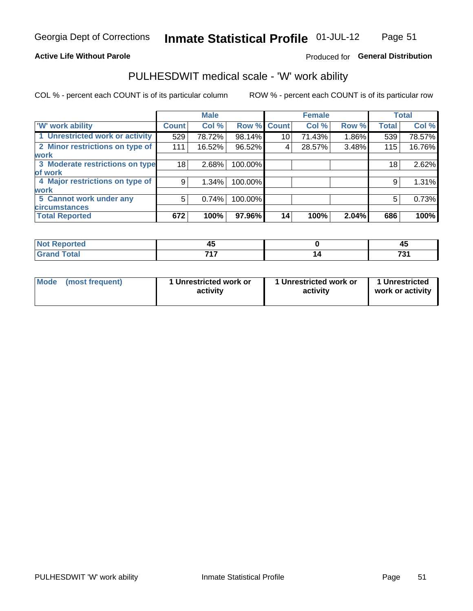#### **Active Life Without Parole**

### Produced for General Distribution

## PULHESDWIT medical scale - 'W' work ability

COL % - percent each COUNT is of its particular column

|                                 |              | <b>Male</b> |         |             | <b>Female</b> |       |              | <b>Total</b> |
|---------------------------------|--------------|-------------|---------|-------------|---------------|-------|--------------|--------------|
| <b>W' work ability</b>          | <b>Count</b> | Col %       |         | Row % Count | Col %         | Row % | <b>Total</b> | Col %        |
| 1 Unrestricted work or activity | 529          | 78.72%      | 98.14%  | 10          | 71.43%        | 1.86% | 539          | 78.57%       |
| 2 Minor restrictions on type of | 111          | 16.52%      | 96.52%  | 4           | 28.57%        | 3.48% | 115          | 16.76%       |
| <b>work</b>                     |              |             |         |             |               |       |              |              |
| 3 Moderate restrictions on type | 18           | 2.68%       | 100.00% |             |               |       | 18           | 2.62%        |
| of work                         |              |             |         |             |               |       |              |              |
| 4 Major restrictions on type of | 9            | $1.34\%$    | 100.00% |             |               |       | 9            | 1.31%        |
| <b>work</b>                     |              |             |         |             |               |       |              |              |
| 5 Cannot work under any         | 5            | 0.74%       | 100.00% |             |               |       | 5            | 0.73%        |
| <b>circumstances</b>            |              |             |         |             |               |       |              |              |
| <b>Total Reported</b>           | 672          | 100%        | 97.96%  | 14          | 100%          | 2.04% | 686          | 100%         |

| <b>Not Reported</b> | $\mathbf{r}$<br>᠇ | л,<br>᠇៶     |
|---------------------|-------------------|--------------|
| <b>Grand Total</b>  | ライラ               | 701<br>. J I |

| Mode            | 1 Unrestricted work or | 1 Unrestricted work or | 1 Unrestricted   |
|-----------------|------------------------|------------------------|------------------|
| (most frequent) | activity               | activity               | work or activity |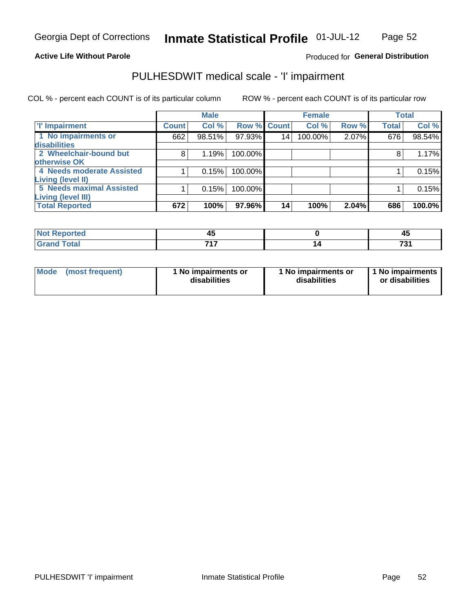#### **Active Life Without Parole**

### Produced for General Distribution

## PULHESDWIT medical scale - 'I' impairment

|                           |              | <b>Male</b> |             |    | <b>Female</b> |       |              | <b>Total</b> |
|---------------------------|--------------|-------------|-------------|----|---------------|-------|--------------|--------------|
| <b>T' Impairment</b>      | <b>Count</b> | Col %       | Row % Count |    | Col %         | Row % | <b>Total</b> | Col %        |
| 1 No impairments or       | 662          | 98.51%      | 97.93%      | 14 | 100.00%       | 2.07% | 676          | 98.54%       |
| disabilities              |              |             |             |    |               |       |              |              |
| 2 Wheelchair-bound but    | 8            | 1.19%       | 100.00%     |    |               |       | 8            | 1.17%        |
| otherwise OK              |              |             |             |    |               |       |              |              |
| 4 Needs moderate Assisted |              | 0.15%       | 100.00%     |    |               |       |              | 0.15%        |
| Living (level II)         |              |             |             |    |               |       |              |              |
| 5 Needs maximal Assisted  |              | 0.15%       | 100.00%     |    |               |       |              | 0.15%        |
| <b>Living (level III)</b> |              |             |             |    |               |       |              |              |
| <b>Total Reported</b>     | 672          | 100%        | 97.96%      | 14 | 100%          | 2.04% | 686          | 100.0%       |

| orted         | - -<br>᠇ | $\overline{\phantom{a}}$ |
|---------------|----------|--------------------------|
| <b>c</b> otal | 747      | 70<br>u                  |

| <b>Mode</b>     | 1 No impairments or | 1 No impairments or | 1 No impairments |
|-----------------|---------------------|---------------------|------------------|
| (most frequent) | disabilities        | disabilities        | or disabilities  |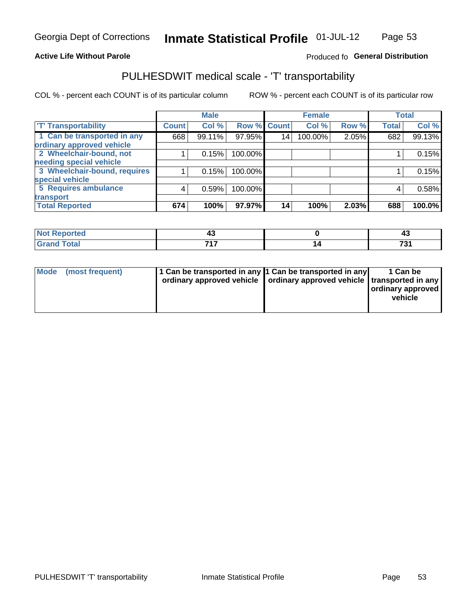#### **Active Life Without Parole**

### Produced fo General Distribution

## PULHESDWIT medical scale - 'T' transportability

COL % - percent each COUNT is of its particular column

|                              |              | <b>Male</b> |             |    | <b>Female</b> |       |              | <b>Total</b> |
|------------------------------|--------------|-------------|-------------|----|---------------|-------|--------------|--------------|
| <b>T' Transportability</b>   | <b>Count</b> | Col %       | Row % Count |    | Col %         | Row % | <b>Total</b> | Col %        |
| 1 Can be transported in any  | 668          | 99.11%      | 97.95%      | 14 | 100.00%       | 2.05% | 682          | 99.13%       |
| ordinary approved vehicle    |              |             |             |    |               |       |              |              |
| 2 Wheelchair-bound, not      |              | 0.15%       | 100.00%     |    |               |       |              | 0.15%        |
| needing special vehicle      |              |             |             |    |               |       |              |              |
| 3 Wheelchair-bound, requires |              | 0.15%       | 100.00%     |    |               |       |              | 0.15%        |
| special vehicle              |              |             |             |    |               |       |              |              |
| 5 Requires ambulance         | 4            | 0.59%       | 100.00%     |    |               |       | 4            | 0.58%        |
| transport                    |              |             |             |    |               |       |              |              |
| <b>Total Reported</b>        | 674          | 100%        | 97.97%      | 14 | 100%          | 2.03% | 688          | 100.0%       |

| $\blacksquare$ | ∼     | −∾      |
|----------------|-------|---------|
| otal           | -24-7 | ァヘ<br>ັ |

| <b>Mode</b> | (most frequent) | 11 Can be transported in any 11 Can be transported in any<br>ordinary approved vehicle   ordinary approved vehicle   transported in any |  | 1 Can be<br>ordinary approved<br>vehicle |
|-------------|-----------------|-----------------------------------------------------------------------------------------------------------------------------------------|--|------------------------------------------|
|-------------|-----------------|-----------------------------------------------------------------------------------------------------------------------------------------|--|------------------------------------------|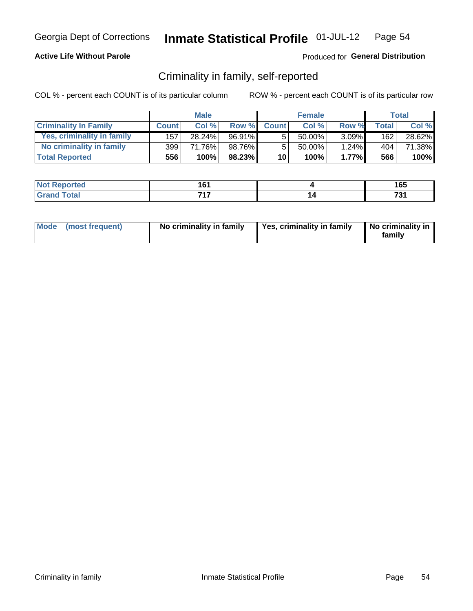### **Active Life Without Parole**

### Produced for General Distribution

### Criminality in family, self-reported

COL % - percent each COUNT is of its particular column

|                              |              | <b>Male</b> |        |                 | <b>Female</b> |          |       | Total  |
|------------------------------|--------------|-------------|--------|-----------------|---------------|----------|-------|--------|
| <b>Criminality In Family</b> | <b>Count</b> | Col%        | Row %  | <b>Count</b>    | Col %         | Row %    | Total | Col %  |
| Yes, criminality in family   | 157          | 28.24%      | 96.91% | 5               | $50.00\%$ ,   | $3.09\%$ | 162   | 28.62% |
| No criminality in family     | 399          | 71.76%      | 98.76% | 5               | 50.00%        | $1.24\%$ | 404   | 71.38% |
| <b>Total Reported</b>        | 556          | 100%        | 98.23% | 10 <sup>1</sup> | 100%          | 1.77%    | 566   | 100%   |

| Reported<br>NOT | .<br>v | 165                     |
|-----------------|--------|-------------------------|
| <b>otal</b>     | 747    | $\overline{ }$<br>1 J I |

|  | Mode (most frequent) | No criminality in family | Yes, criminality in family | No criminality in<br>family |
|--|----------------------|--------------------------|----------------------------|-----------------------------|
|--|----------------------|--------------------------|----------------------------|-----------------------------|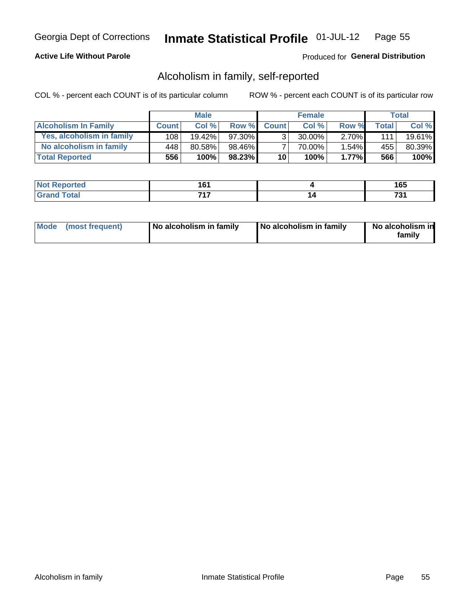### **Active Life Without Parole**

### Produced for General Distribution

### Alcoholism in family, self-reported

COL % - percent each COUNT is of its particular column

|                             |              | <b>Male</b> |        |                 | <b>Female</b> |          |       | Total     |
|-----------------------------|--------------|-------------|--------|-----------------|---------------|----------|-------|-----------|
| <b>Alcoholism In Family</b> | <b>Count</b> | Col%        | Row %  | <b>Count</b>    | Col %         | Row %    | Total | Col %     |
| Yes, alcoholism in family   | 108          | $19.42\%$   | 97.30% | 2               | 30.00%        | $2.70\%$ | 1111  | $19.61\%$ |
| No alcoholism in family     | 448          | 80.58%      | 98.46% |                 | 70.00%        | $1.54\%$ | 455   | 80.39%    |
| <b>Total Reported</b>       | 556          | 100%        | 98.23% | 10 <sup>1</sup> | 100%          | 1.77%    | 566   | 100%      |

| <b>Not Reported</b> | .<br>. ט | .<br>טע |
|---------------------|----------|---------|
| <b>c</b> otal       | 747      | -~      |
| l Gran              |          | - 11    |

|  | Mode (most frequent) | No alcoholism in family | No alcoholism in family | No alcoholism in<br>family |
|--|----------------------|-------------------------|-------------------------|----------------------------|
|--|----------------------|-------------------------|-------------------------|----------------------------|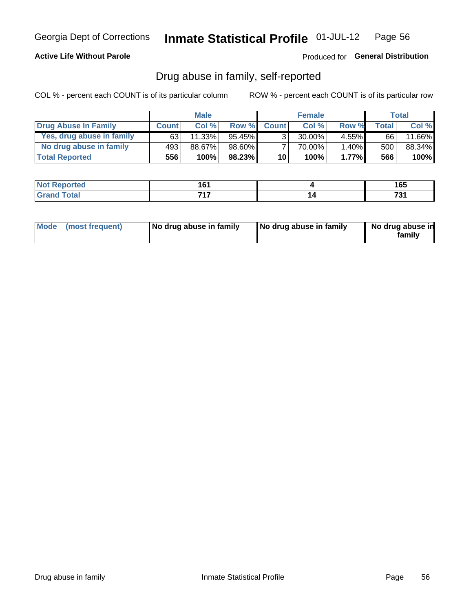### **Active Life Without Parole**

### Produced for General Distribution

### Drug abuse in family, self-reported

COL % - percent each COUNT is of its particular column

|                           |              | <b>Male</b> |           |                 | <b>Female</b> |          |       | Total  |
|---------------------------|--------------|-------------|-----------|-----------------|---------------|----------|-------|--------|
| Drug Abuse In Family      | <b>Count</b> | Col %       | Row %     | <b>Count</b>    | Col%          | Row %    | Total | Col %  |
| Yes, drug abuse in family | 63           | 11.33%      | 95.45% ∎  | 3 <sub>1</sub>  | $30.00\%$     | $4.55\%$ | 66    | 11.66% |
| No drug abuse in family   | 493          | 88.67%      | 98.60%    | 7               | 70.00%        | 1.40%    | 500   | 88.34% |
| <b>Total Reported</b>     | 556          | 100%        | $98.23\%$ | 10 <sub>1</sub> | 100%          | 1.77%    | 566   | 100%   |

| <b>Not Reported</b> | .<br>. ט | .<br>טע |
|---------------------|----------|---------|
| <b>c</b> otal       | 747      | -~      |
| l Gran              |          | - 11    |

|  | Mode (most frequent) | No drug abuse in family | No drug abuse in family | No drug abuse in<br>family |
|--|----------------------|-------------------------|-------------------------|----------------------------|
|--|----------------------|-------------------------|-------------------------|----------------------------|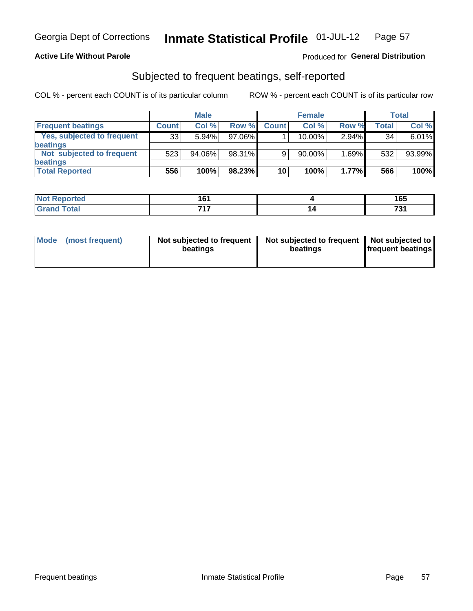### **Active Life Without Parole**

### Produced for General Distribution

### Subjected to frequent beatings, self-reported

COL % - percent each COUNT is of its particular column

|                                   |              | <b>Male</b> |           |              | <b>Female</b> |          |       | Total  |
|-----------------------------------|--------------|-------------|-----------|--------------|---------------|----------|-------|--------|
| <b>Frequent beatings</b>          | <b>Count</b> | Col %       | Row %     | <b>Count</b> | Col %         | Row %    | Total | Col %  |
| <b>Yes, subjected to frequent</b> | 33           | 5.94%       | 97.06%    |              | 10.00%        | $2.94\%$ | 34    | 6.01%  |
| <b>beatings</b>                   |              |             |           |              |               |          |       |        |
| Not subjected to frequent         | 523          | 94.06%      | 98.31%    | 9            | 90.00%        | 1.69%    | 532   | 93.99% |
| <b>beatings</b>                   |              |             |           |              |               |          |       |        |
| <b>Total Reported</b>             | 556          | 100%        | $98.23\%$ | 10           | 100%          | 1.77%    | 566   | 100%   |

| <b>Not Reported</b> | 1 G 1<br>v i |    | 165        |
|---------------------|--------------|----|------------|
| <b>Grand Total</b>  | 747          | 14 | 704<br>. J |

| Mode (most frequent) | Not subjected to frequent<br>beatings | Not subjected to frequent<br>beatings | Not subjected to<br><b>frequent beatings</b> |
|----------------------|---------------------------------------|---------------------------------------|----------------------------------------------|
|                      |                                       |                                       |                                              |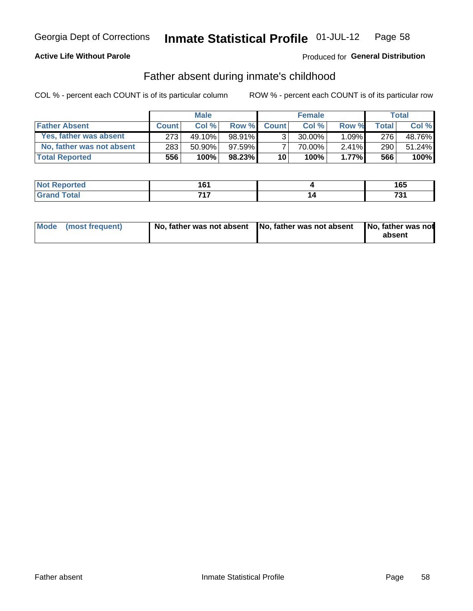### **Active Life Without Parole**

### Produced for General Distribution

### Father absent during inmate's childhood

COL % - percent each COUNT is of its particular column

|                           |                  | <b>Male</b> |           |                 | <b>Female</b> |          |         | Total   |
|---------------------------|------------------|-------------|-----------|-----------------|---------------|----------|---------|---------|
| <b>Father Absent</b>      | <b>Count</b>     | Col%        | Row %     | <b>Count</b>    | Col %         | Row %    | Total i | Col %   |
| Yes, father was absent    | 273 <sub>1</sub> | 49.10%      | $98.91\%$ | 3 <sub>1</sub>  | $30.00\%$     | $1.09\%$ | 276     | 48.76%  |
| No, father was not absent | 283              | $50.90\%$   | 97.59%    |                 | 70.00%        | $2.41\%$ | 290     | 51.24%  |
| <b>Total Reported</b>     | 556'             | 100%        | 98.23%    | 10 <sup>1</sup> | 100%          | 1.77%    | 566     | $100\%$ |

| Reported<br>NOT | .<br>v | 165                     |
|-----------------|--------|-------------------------|
| <b>otal</b>     | 747    | $\overline{ }$<br>1 J I |

|  | Mode (most frequent) | No, father was not absent No, father was not absent |  | No, father was not<br>absent |
|--|----------------------|-----------------------------------------------------|--|------------------------------|
|--|----------------------|-----------------------------------------------------|--|------------------------------|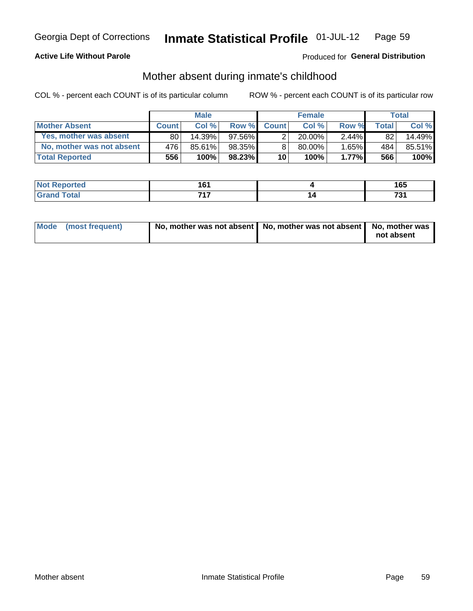### **Active Life Without Parole**

### Produced for General Distribution

### Mother absent during inmate's childhood

COL % - percent each COUNT is of its particular column

|                           |              | <b>Male</b> |           |                 | <b>Female</b> |          |                 | Total  |
|---------------------------|--------------|-------------|-----------|-----------------|---------------|----------|-----------------|--------|
| <b>Mother Absent</b>      | <b>Count</b> | Col%        | Row %     | <b>Count</b>    | Col %         | Row %    | <b>Total</b>    | Col %  |
| Yes, mother was absent    | 80           | $14.39\%$   | 97.56% L  | $\overline{2}$  | $20.00\%$     | $2.44\%$ | 82 <sub>1</sub> | 14.49% |
| No, mother was not absent | 476          | 85.61%      | 98.35%    | 8               | 80.00%        | 1.65%    | 484             | 85.51% |
| <b>Total Reported</b>     | 556'         | 100%        | $98.23\%$ | 10 <sup>1</sup> | 100%          | 1.77%    | 566             | 100%   |

| <b>Not Reported</b> | $\overline{\phantom{a}}$<br>u | 165                     |
|---------------------|-------------------------------|-------------------------|
| <b>Total</b>        | 747                           | $\overline{ }$<br>1 J I |

| Mode (most frequent) | No, mother was not absent   No, mother was not absent   No, mother was | not absent |
|----------------------|------------------------------------------------------------------------|------------|
|                      |                                                                        |            |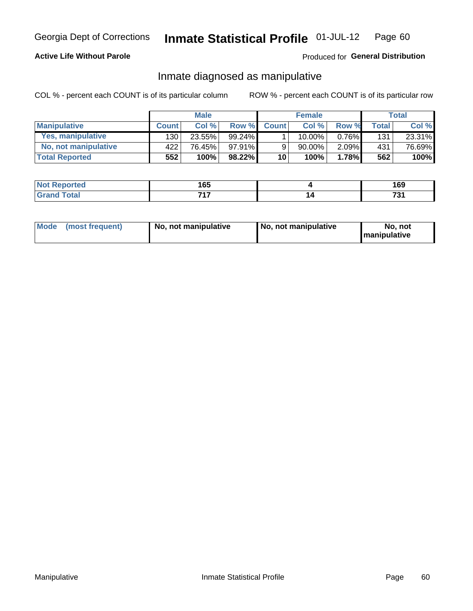### **Active Life Without Parole**

### Produced for General Distribution

### Inmate diagnosed as manipulative

COL % - percent each COUNT is of its particular column

|                       |              | <b>Male</b> |           |                 | <b>Female</b> |       |              | Total  |
|-----------------------|--------------|-------------|-----------|-----------------|---------------|-------|--------------|--------|
| <b>Manipulative</b>   | <b>Count</b> | Col %       | Row %     | <b>Count</b>    | Col %         | Row % | <b>Total</b> | Col %  |
| Yes, manipulative     | 130          | 23.55%      | $99.24\%$ |                 | $10.00\%$ .   | 0.76% | 131          | 23.31% |
| No, not manipulative  | 422          | 76.45%      | $97.91\%$ | 9               | 90.00%        | 2.09% | 431          | 76.69% |
| <b>Total Reported</b> | 552          | 100%        | $98.22\%$ | 10 <sup>1</sup> | $100\%$       | 1.78% | 562          | 100%   |

| тео | .<br>vu      | ה ה<br>צט ו         |
|-----|--------------|---------------------|
|     | 747<br>- - - | $\mathbf{z}$<br>701 |

|  | Mode (most frequent) | No, not manipulative | No, not manipulative | No. not<br><b>I</b> manipulative |
|--|----------------------|----------------------|----------------------|----------------------------------|
|--|----------------------|----------------------|----------------------|----------------------------------|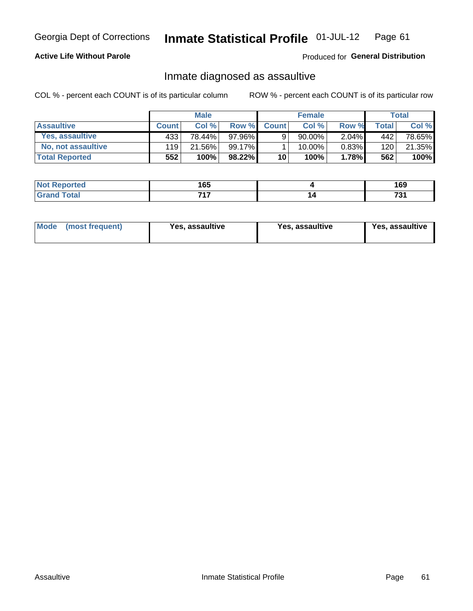#### Inmate Statistical Profile 01-JUL-12 Page 61

### **Active Life Without Parole**

#### Produced for General Distribution

### Inmate diagnosed as assaultive

COL % - percent each COUNT is of its particular column

|                       |              | <b>Male</b> |          |              | <b>Female</b> |          |       | Total  |
|-----------------------|--------------|-------------|----------|--------------|---------------|----------|-------|--------|
| <b>Assaultive</b>     | <b>Count</b> | Col%        | Row %    | <b>Count</b> | Col %         | Row %    | Total | Col %  |
| Yes, assaultive       | 433          | 78.44%      | 97.96% I | 9            | 90.00%        | $2.04\%$ | 442   | 78.65% |
| No, not assaultive    | 119          | 21.56%      | 99.17%   |              | 10.00%        | $0.83\%$ | 120   | 21.35% |
| <b>Total Reported</b> | 552          | 100%        | 98.22%   | 10           | 100%          | 1.78%    | 562   | 100%   |

| Reported<br><b>NO</b> t<br>$\sim$ | 165 | $\sim$<br>ט ו |
|-----------------------------------|-----|---------------|
| <b>otal</b>                       | 747 | 70.<br>. .    |

| Mode (most frequent)<br>Yes, assaultive | Yes, assaultive | <b>Yes, assaultive</b> |
|-----------------------------------------|-----------------|------------------------|
|-----------------------------------------|-----------------|------------------------|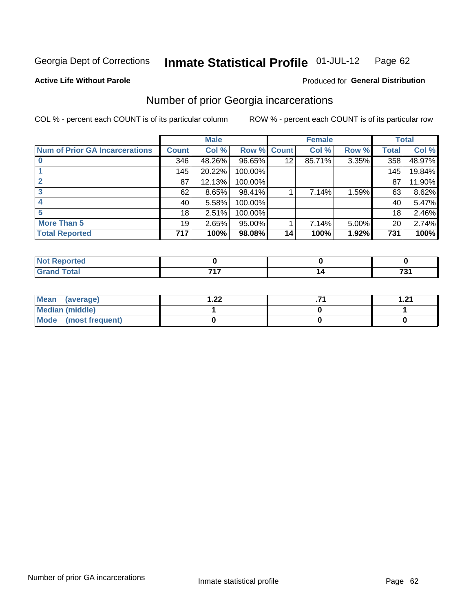#### **Inmate Statistical Profile 01-JUL-12** Page 62

#### **Active Life Without Parole**

### **Produced for General Distribution**

## Number of prior Georgia incarcerations

COL % - percent each COUNT is of its particular column

|                                       |              | <b>Male</b> |                    |    | <b>Female</b> |       |       | <b>Total</b> |
|---------------------------------------|--------------|-------------|--------------------|----|---------------|-------|-------|--------------|
| <b>Num of Prior GA Incarcerations</b> | <b>Count</b> | Col %       | <b>Row % Count</b> |    | Col %         | Row % | Total | Col %        |
|                                       | 346          | 48.26%      | 96.65%             | 12 | 85.71%        | 3.35% | 358   | 48.97%       |
|                                       | 145          | 20.22%      | 100.00%            |    |               |       | 145   | 19.84%       |
|                                       | 87           | 12.13%      | 100.00%            |    |               |       | 87    | 11.90%       |
|                                       | 62           | 8.65%       | 98.41%             |    | 7.14%         | 1.59% | 63    | 8.62%        |
|                                       | 40           | 5.58%       | 100.00%            |    |               |       | 40    | 5.47%        |
|                                       | 18           | 2.51%       | 100.00%            |    |               |       | 18    | 2.46%        |
| <b>More Than 5</b>                    | 19           | 2.65%       | 95.00%             |    | 7.14%         | 5.00% | 20    | 2.74%        |
| <b>Total Reported</b>                 | 717          | 100%        | 98.08%             | 14 | 100%          | 1.92% | 731   | 100%         |

| тео                 |     |                    |
|---------------------|-----|--------------------|
| <b>Total</b><br>$-$ | ライフ | 70.<br>נ. ו<br>$-$ |

| Mean (average)       | ററ<br>⋯∠∠ | 1 71 |
|----------------------|-----------|------|
| Median (middle)      |           |      |
| Mode (most frequent) |           |      |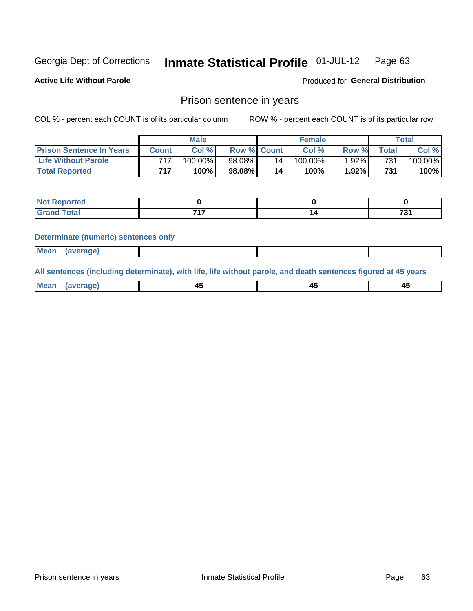#### Inmate Statistical Profile 01-JUL-12 Page 63

**Active Life Without Parole** 

Produced for General Distribution

### Prison sentence in years

COL % - percent each COUNT is of its particular column

ROW % - percent each COUNT is of its particular row

|                                 | <b>Male</b>  |            |                    | <b>Female</b> |            |          | $\mathsf{Total}$ |            |
|---------------------------------|--------------|------------|--------------------|---------------|------------|----------|------------------|------------|
| <b>Prison Sentence In Years</b> | <b>Count</b> | Col %      | <b>Row % Count</b> |               | Col%       | Row %    | Total .          | Col %      |
| <b>Life Without Parole</b>      | 717          | $100.00\%$ | 98.08%             | 14            | $100.00\%$ | $1.92\%$ | 731              | $100.00\%$ |
| <b>Total Reported</b>           | 717          | 100%       | 98.08%             | 14            | 100%       | 1.92%    | 731              | 100%       |

| <b>Not Reported</b> |     |          |
|---------------------|-----|----------|
| <b>Total</b>        | --- | 704<br>ູ |

#### **Determinate (numeric) sentences only**

| <b>Mean</b><br>(average) |  |  |
|--------------------------|--|--|
|--------------------------|--|--|

All sentences (including determinate), with life, life without parole, and death sentences figured at 45 years

| Me<br>.<br> | -- | -- |  |
|-------------|----|----|--|
|             |    |    |  |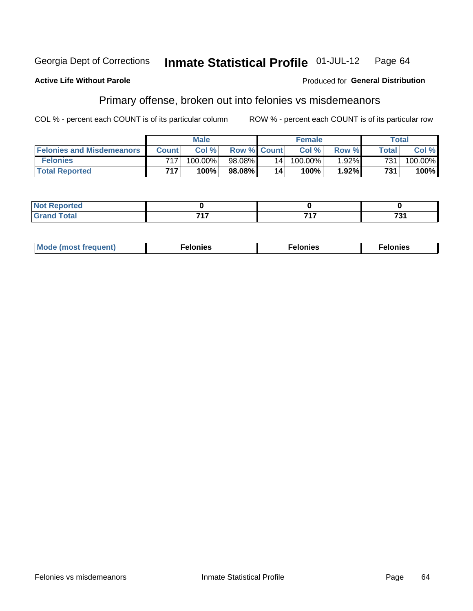#### **Active Life Without Parole**

#### Produced for General Distribution

## Primary offense, broken out into felonies vs misdemeanors

COL % - percent each COUNT is of its particular column

|                                  | <b>Male</b>  |            |                    | <b>Female</b> |            |          | Total        |         |
|----------------------------------|--------------|------------|--------------------|---------------|------------|----------|--------------|---------|
| <b>Felonies and Misdemeanors</b> | <b>Count</b> | Col%       | <b>Row % Count</b> |               | Col%       | Row %    | <b>Total</b> | Col %   |
| <b>Felonies</b>                  | 717          | $100.00\%$ | 98.08%             | 14            | $100.00\%$ | $1.92\%$ | 731          | 100.00% |
| <b>Total Reported</b>            | 717          | $100\%$ .  | 98.08%             | 14            | 100%       | 1.92%    | 731          | 100%    |

| <b>Not Reported</b> |     |     |              |
|---------------------|-----|-----|--------------|
| <b>Grand Total</b>  | -24 | フィフ | 70.<br>ו כ י |

| $Mc$<br>equent)<br>нез<br>$\sim$<br>. | onies<br>. | <b>onies</b><br>. |
|---------------------------------------|------------|-------------------|
|---------------------------------------|------------|-------------------|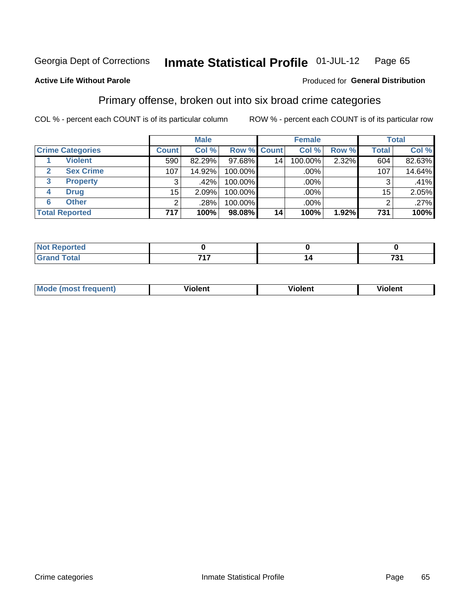#### Inmate Statistical Profile 01-JUL-12 Page 65

#### **Active Life Without Parole**

### **Produced for General Distribution**

## Primary offense, broken out into six broad crime categories

COL % - percent each COUNT is of its particular column

|                         |              | <b>Male</b> |             |                 | <b>Female</b> |          |              | <b>Total</b> |
|-------------------------|--------------|-------------|-------------|-----------------|---------------|----------|--------------|--------------|
| <b>Crime Categories</b> | <b>Count</b> | Col %       | Row % Count |                 | Col %         | Row %    | <b>Total</b> | Col %        |
| <b>Violent</b>          | 590          | 82.29%      | 97.68%      | 14 <sub>1</sub> | 100.00%       | 2.32%    | 604          | 82.63%       |
| <b>Sex Crime</b><br>2   | 107          | 14.92%      | 100.00%     |                 | .00%          |          | 107          | 14.64%       |
| 3<br><b>Property</b>    | 3            | .42%        | 100.00%     |                 | .00%          |          | 3            | .41%         |
| <b>Drug</b><br>4        | 15           | 2.09%       | 100.00%     |                 | .00%          |          | 15           | 2.05%        |
| <b>Other</b><br>6       | 2            | .28%        | 100.00%     |                 | .00%          |          | 2            | .27%         |
| <b>Total Reported</b>   | 717          | 100%        | 98.08%      | 14              | 100%          | $1.92\%$ | 731          | 100%         |

| <b>Not Reported</b> |            |                         |
|---------------------|------------|-------------------------|
| <b>Total</b>        | 747<br>. . | $\overline{ }$<br>ו ט ו |

| M | <br>. |  |
|---|-------|--|
|   |       |  |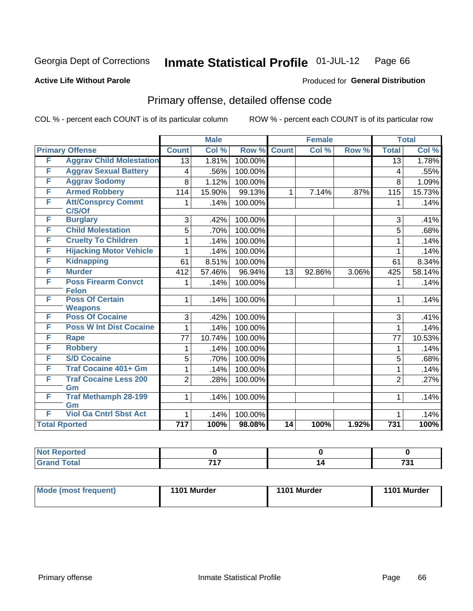#### Inmate Statistical Profile 01-JUL-12 Page 66

#### **Active Life Without Parole**

### **Produced for General Distribution**

## Primary offense, detailed offense code

COL % - percent each COUNT is of its particular column

|   |                                          |                  | <b>Male</b><br><b>Female</b> |         |                 | <b>Total</b> |       |                  |        |
|---|------------------------------------------|------------------|------------------------------|---------|-----------------|--------------|-------|------------------|--------|
|   | <b>Primary Offense</b>                   | <b>Count</b>     | Col %                        | Row %   | <b>Count</b>    | Col %        | Row % | <b>Total</b>     | Col %  |
| F | <b>Aggrav Child Molestation</b>          | $\overline{13}$  | 1.81%                        | 100.00% |                 |              |       | $\overline{13}$  | 1.78%  |
| F | <b>Aggrav Sexual Battery</b>             | 4                | .56%                         | 100.00% |                 |              |       | 4                | .55%   |
| F | <b>Aggrav Sodomy</b>                     | 8                | 1.12%                        | 100.00% |                 |              |       | 8                | 1.09%  |
| F | <b>Armed Robbery</b>                     | 114              | 15.90%                       | 99.13%  | 1               | 7.14%        | .87%  | 115              | 15.73% |
| F | <b>Att/Consprcy Commt</b><br>C/S/Of      | 1                | .14%                         | 100.00% |                 |              |       | 1                | .14%   |
| F | <b>Burglary</b>                          | 3                | .42%                         | 100.00% |                 |              |       | 3                | .41%   |
| F | <b>Child Molestation</b>                 | 5                | .70%                         | 100.00% |                 |              |       | 5                | .68%   |
| F | <b>Cruelty To Children</b>               | 1                | .14%                         | 100.00% |                 |              |       | 1                | .14%   |
| F | <b>Hijacking Motor Vehicle</b>           | 1                | .14%                         | 100.00% |                 |              |       | 1                | .14%   |
| F | <b>Kidnapping</b>                        | 61               | 8.51%                        | 100.00% |                 |              |       | 61               | 8.34%  |
| F | <b>Murder</b>                            | 412              | 57.46%                       | 96.94%  | 13              | 92.86%       | 3.06% | 425              | 58.14% |
| F | <b>Poss Firearm Convct</b>               | 1                | .14%                         | 100.00% |                 |              |       | 1                | .14%   |
|   | <b>Felon</b>                             |                  |                              |         |                 |              |       |                  |        |
| F | <b>Poss Of Certain</b><br><b>Weapons</b> | 1                | .14%                         | 100.00% |                 |              |       | 1                | .14%   |
| F | <b>Poss Of Cocaine</b>                   | 3                | .42%                         | 100.00% |                 |              |       | 3                | .41%   |
| F | <b>Poss W Int Dist Cocaine</b>           | 1                | .14%                         | 100.00% |                 |              |       | 1                | .14%   |
| F | <b>Rape</b>                              | 77               | 10.74%                       | 100.00% |                 |              |       | 77               | 10.53% |
| F | <b>Robbery</b>                           | 1                | .14%                         | 100.00% |                 |              |       | $\mathbf{1}$     | .14%   |
| F | <b>S/D Cocaine</b>                       | 5                | .70%                         | 100.00% |                 |              |       | 5                | .68%   |
| F | <b>Traf Cocaine 401+ Gm</b>              | 1                | .14%                         | 100.00% |                 |              |       | 1                | .14%   |
| F | <b>Traf Cocaine Less 200</b>             | $\overline{2}$   | .28%                         | 100.00% |                 |              |       | $\overline{2}$   | .27%   |
|   | Gm                                       |                  |                              |         |                 |              |       |                  |        |
| F | <b>Traf Methamph 28-199</b>              | 1                | .14%                         | 100.00% |                 |              |       | 1                | .14%   |
| F | Gm<br><b>Viol Ga Cntrl Sbst Act</b>      |                  |                              |         |                 |              |       |                  |        |
|   |                                          | 1                | .14%                         | 100.00% |                 |              |       | 1                | .14%   |
|   | <b>Total Rported</b>                     | $\overline{717}$ | 100%                         | 98.08%  | $\overline{14}$ | 100%         | 1.92% | $\overline{731}$ | 100%   |

| າorted<br>$\sim$         |     |                               |
|--------------------------|-----|-------------------------------|
| $int^{\bullet}$<br>_____ | フィフ | $\overline{ }$<br>ູ<br>$\sim$ |

| Mode (most frequent) | 1101 Murder | 1101 Murder | 1101 Murder |
|----------------------|-------------|-------------|-------------|
|                      |             |             |             |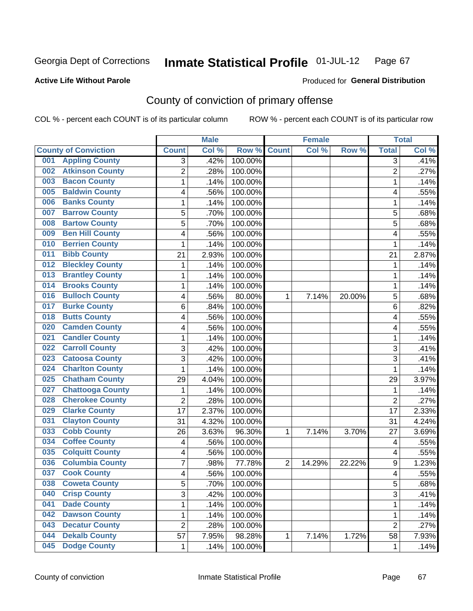**Active Life Without Parole** 

Produced for **General Distribution**

## County of conviction of primary offense

|                                |                | <b>Male</b> |         |                | <b>Female</b> |        |                  | <b>Total</b> |
|--------------------------------|----------------|-------------|---------|----------------|---------------|--------|------------------|--------------|
| <b>County of Conviction</b>    | <b>Count</b>   | Col %       | Row %   | <b>Count</b>   | Col %         | Row %  | <b>Total</b>     | Col %        |
| <b>Appling County</b><br>001   | 3              | .42%        | 100.00% |                |               |        | $\overline{3}$   | .41%         |
| <b>Atkinson County</b><br>002  | $\overline{2}$ | .28%        | 100.00% |                |               |        | $\overline{2}$   | .27%         |
| <b>Bacon County</b><br>003     | 1              | .14%        | 100.00% |                |               |        | 1                | .14%         |
| <b>Baldwin County</b><br>005   | 4              | .56%        | 100.00% |                |               |        | 4                | .55%         |
| <b>Banks County</b><br>006     | 1              | .14%        | 100.00% |                |               |        | 1                | .14%         |
| <b>Barrow County</b><br>007    | 5              | .70%        | 100.00% |                |               |        | 5                | .68%         |
| <b>Bartow County</b><br>008    | 5              | .70%        | 100.00% |                |               |        | 5                | .68%         |
| <b>Ben Hill County</b><br>009  | 4              | .56%        | 100.00% |                |               |        | 4                | .55%         |
| <b>Berrien County</b><br>010   | 1              | .14%        | 100.00% |                |               |        | 1                | .14%         |
| <b>Bibb County</b><br>011      | 21             | 2.93%       | 100.00% |                |               |        | 21               | 2.87%        |
| <b>Bleckley County</b><br>012  | 1              | .14%        | 100.00% |                |               |        | 1                | .14%         |
| <b>Brantley County</b><br>013  | 1              | .14%        | 100.00% |                |               |        | 1                | .14%         |
| <b>Brooks County</b><br>014    | 1              | .14%        | 100.00% |                |               |        | 1                | .14%         |
| <b>Bulloch County</b><br>016   | 4              | .56%        | 80.00%  | $\mathbf{1}$   | 7.14%         | 20.00% | 5                | .68%         |
| <b>Burke County</b><br>017     | 6              | .84%        | 100.00% |                |               |        | 6                | .82%         |
| <b>Butts County</b><br>018     | 4              | .56%        | 100.00% |                |               |        | 4                | .55%         |
| <b>Camden County</b><br>020    | 4              | .56%        | 100.00% |                |               |        | 4                | .55%         |
| <b>Candler County</b><br>021   | $\mathbf{1}$   | .14%        | 100.00% |                |               |        | 1                | .14%         |
| <b>Carroll County</b><br>022   | 3              | .42%        | 100.00% |                |               |        | 3                | .41%         |
| <b>Catoosa County</b><br>023   | $\overline{3}$ | .42%        | 100.00% |                |               |        | 3                | .41%         |
| <b>Charlton County</b><br>024  | 1              | .14%        | 100.00% |                |               |        | $\mathbf 1$      | .14%         |
| <b>Chatham County</b><br>025   | 29             | 4.04%       | 100.00% |                |               |        | 29               | 3.97%        |
| <b>Chattooga County</b><br>027 | 1              | .14%        | 100.00% |                |               |        | 1                | .14%         |
| <b>Cherokee County</b><br>028  | $\overline{2}$ | .28%        | 100.00% |                |               |        | $\overline{2}$   | .27%         |
| <b>Clarke County</b><br>029    | 17             | 2.37%       | 100.00% |                |               |        | 17               | 2.33%        |
| <b>Clayton County</b><br>031   | 31             | 4.32%       | 100.00% |                |               |        | 31               | 4.24%        |
| <b>Cobb County</b><br>033      | 26             | 3.63%       | 96.30%  | 1              | 7.14%         | 3.70%  | 27               | 3.69%        |
| <b>Coffee County</b><br>034    | 4              | .56%        | 100.00% |                |               |        | 4                | .55%         |
| <b>Colquitt County</b><br>035  | 4              | .56%        | 100.00% |                |               |        | 4                | .55%         |
| <b>Columbia County</b><br>036  | 7              | .98%        | 77.78%  | $\overline{2}$ | 14.29%        | 22.22% | $\boldsymbol{9}$ | 1.23%        |
| <b>Cook County</b><br>037      | 4              | .56%        | 100.00% |                |               |        | 4                | .55%         |
| 038<br><b>Coweta County</b>    | 5              | .70%        | 100.00% |                |               |        | 5                | .68%         |
| <b>Crisp County</b><br>040     | 3              | .42%        | 100.00% |                |               |        | 3                | .41%         |
| <b>Dade County</b><br>041      | 1              | .14%        | 100.00% |                |               |        | $\mathbf{1}$     | .14%         |
| <b>Dawson County</b><br>042    | 1              | .14%        | 100.00% |                |               |        | 1                | .14%         |
| <b>Decatur County</b><br>043   | $\overline{c}$ | .28%        | 100.00% |                |               |        | $\overline{2}$   | .27%         |
| <b>Dekalb County</b><br>044    | 57             | 7.95%       | 98.28%  | 1              | 7.14%         | 1.72%  | 58               | 7.93%        |
| <b>Dodge County</b><br>045     | $\mathbf{1}$   | .14%        | 100.00% |                |               |        | 1                | .14%         |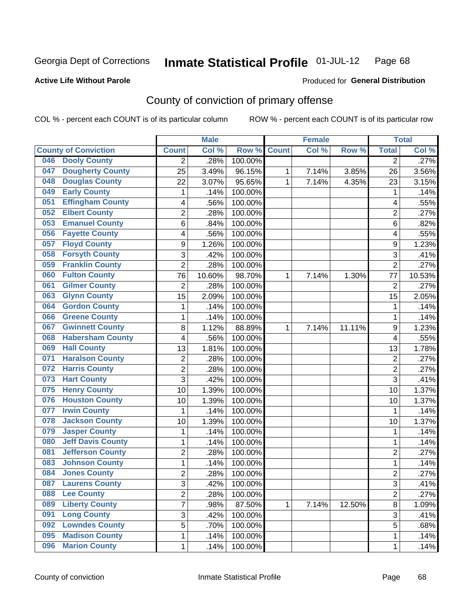**Active Life Without Parole** 

Produced for **General Distribution**

## County of conviction of primary offense

|                                 |                | <b>Male</b> |         |              | <b>Female</b> |        |                | <b>Total</b> |
|---------------------------------|----------------|-------------|---------|--------------|---------------|--------|----------------|--------------|
| <b>County of Conviction</b>     | <b>Count</b>   | Col %       | Row %   | <b>Count</b> | Col %         | Row %  | <b>Total</b>   | Col %        |
| <b>Dooly County</b><br>046      | 2              | .28%        | 100.00% |              |               |        | $\overline{2}$ | .27%         |
| <b>Dougherty County</b><br>047  | 25             | 3.49%       | 96.15%  | 1            | 7.14%         | 3.85%  | 26             | 3.56%        |
| <b>Douglas County</b><br>048    | 22             | 3.07%       | 95.65%  | 1            | 7.14%         | 4.35%  | 23             | 3.15%        |
| <b>Early County</b><br>049      | 1              | .14%        | 100.00% |              |               |        | 1              | .14%         |
| <b>Effingham County</b><br>051  | 4              | .56%        | 100.00% |              |               |        | 4              | .55%         |
| <b>Elbert County</b><br>052     | $\overline{2}$ | .28%        | 100.00% |              |               |        | $\overline{2}$ | .27%         |
| <b>Emanuel County</b><br>053    | 6              | .84%        | 100.00% |              |               |        | 6              | .82%         |
| <b>Fayette County</b><br>056    | 4              | .56%        | 100.00% |              |               |        | 4              | .55%         |
| <b>Floyd County</b><br>057      | 9              | 1.26%       | 100.00% |              |               |        | 9              | 1.23%        |
| <b>Forsyth County</b><br>058    | 3              | .42%        | 100.00% |              |               |        | 3              | .41%         |
| <b>Franklin County</b><br>059   | 2              | .28%        | 100.00% |              |               |        | $\overline{2}$ | .27%         |
| <b>Fulton County</b><br>060     | 76             | 10.60%      | 98.70%  | 1            | 7.14%         | 1.30%  | 77             | 10.53%       |
| <b>Gilmer County</b><br>061     | $\overline{2}$ | .28%        | 100.00% |              |               |        | $\overline{2}$ | .27%         |
| <b>Glynn County</b><br>063      | 15             | 2.09%       | 100.00% |              |               |        | 15             | 2.05%        |
| <b>Gordon County</b><br>064     | 1              | .14%        | 100.00% |              |               |        | 1              | .14%         |
| <b>Greene County</b><br>066     | 1              | .14%        | 100.00% |              |               |        | 1              | .14%         |
| <b>Gwinnett County</b><br>067   | 8              | 1.12%       | 88.89%  | $\mathbf{1}$ | 7.14%         | 11.11% | 9              | 1.23%        |
| <b>Habersham County</b><br>068  | 4              | .56%        | 100.00% |              |               |        | 4              | .55%         |
| <b>Hall County</b><br>069       | 13             | 1.81%       | 100.00% |              |               |        | 13             | 1.78%        |
| <b>Haralson County</b><br>071   | $\overline{2}$ | .28%        | 100.00% |              |               |        | $\overline{2}$ | .27%         |
| <b>Harris County</b><br>072     | 2              | .28%        | 100.00% |              |               |        | $\overline{2}$ | .27%         |
| <b>Hart County</b><br>073       | 3              | .42%        | 100.00% |              |               |        | 3              | .41%         |
| <b>Henry County</b><br>075      | 10             | 1.39%       | 100.00% |              |               |        | 10             | 1.37%        |
| <b>Houston County</b><br>076    | 10             | 1.39%       | 100.00% |              |               |        | 10             | 1.37%        |
| <b>Irwin County</b><br>077      | 1              | .14%        | 100.00% |              |               |        | $\mathbf{1}$   | .14%         |
| <b>Jackson County</b><br>078    | 10             | 1.39%       | 100.00% |              |               |        | 10             | 1.37%        |
| <b>Jasper County</b><br>079     | 1              | .14%        | 100.00% |              |               |        | 1              | .14%         |
| <b>Jeff Davis County</b><br>080 | 1              | .14%        | 100.00% |              |               |        | 1              | .14%         |
| <b>Jefferson County</b><br>081  | 2              | .28%        | 100.00% |              |               |        | $\overline{2}$ | .27%         |
| <b>Johnson County</b><br>083    | 1              | .14%        | 100.00% |              |               |        | 1              | .14%         |
| <b>Jones County</b><br>084      | 2              | .28%        | 100.00% |              |               |        | $\overline{2}$ | .27%         |
| 087<br><b>Laurens County</b>    | 3              | .42%        | 100.00% |              |               |        | 3              | .41%         |
| <b>Lee County</b><br>088        | $\overline{2}$ | .28%        | 100.00% |              |               |        | $\overline{2}$ | .27%         |
| <b>Liberty County</b><br>089    | 7              | .98%        | 87.50%  | 1            | 7.14%         | 12.50% | 8              | 1.09%        |
| <b>Long County</b><br>091       | 3              | .42%        | 100.00% |              |               |        | 3              | .41%         |
| <b>Lowndes County</b><br>092    | 5              | .70%        | 100.00% |              |               |        | 5              | .68%         |
| <b>Madison County</b><br>095    | 1              | .14%        | 100.00% |              |               |        | $\mathbf{1}$   | .14%         |
| <b>Marion County</b><br>096     | 1              | .14%        | 100.00% |              |               |        | $\mathbf 1$    | .14%         |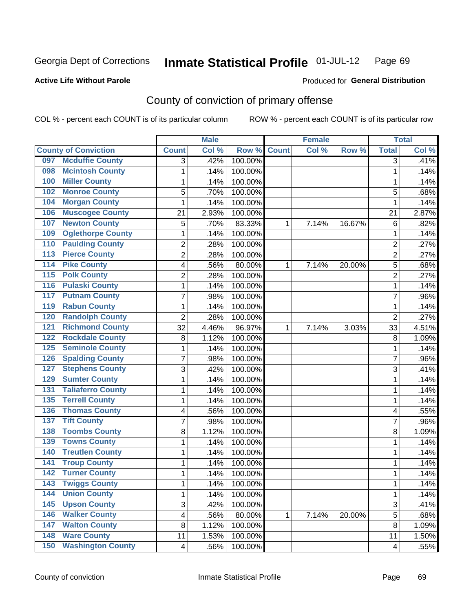**Active Life Without Parole** 

Produced for **General Distribution**

## County of conviction of primary offense

|                  |                             |                         | <b>Male</b> |         |              | <b>Female</b> |        |                | <b>Total</b> |
|------------------|-----------------------------|-------------------------|-------------|---------|--------------|---------------|--------|----------------|--------------|
|                  | <b>County of Conviction</b> | <b>Count</b>            | Col %       | Row %   | <b>Count</b> | Col %         | Row %  | <b>Total</b>   | Col %        |
| 097              | <b>Mcduffie County</b>      | 3                       | .42%        | 100.00% |              |               |        | $\overline{3}$ | .41%         |
| 098              | <b>Mcintosh County</b>      | 1                       | .14%        | 100.00% |              |               |        | $\mathbf{1}$   | .14%         |
| 100              | <b>Miller County</b>        | $\mathbf{1}$            | .14%        | 100.00% |              |               |        | 1              | .14%         |
| 102              | <b>Monroe County</b>        | 5                       | .70%        | 100.00% |              |               |        | 5              | .68%         |
| 104              | <b>Morgan County</b>        | 1                       | .14%        | 100.00% |              |               |        | $\mathbf 1$    | .14%         |
| 106              | <b>Muscogee County</b>      | 21                      | 2.93%       | 100.00% |              |               |        | 21             | 2.87%        |
| 107              | <b>Newton County</b>        | 5                       | .70%        | 83.33%  | 1            | 7.14%         | 16.67% | 6              | .82%         |
| 109              | <b>Oglethorpe County</b>    | 1                       | .14%        | 100.00% |              |               |        | 1              | .14%         |
| 110              | <b>Paulding County</b>      | 2                       | .28%        | 100.00% |              |               |        | $\overline{2}$ | .27%         |
| 113              | <b>Pierce County</b>        | $\overline{2}$          | .28%        | 100.00% |              |               |        | $\overline{2}$ | .27%         |
| $\overline{114}$ | <b>Pike County</b>          | 4                       | .56%        | 80.00%  | 1            | 7.14%         | 20.00% | 5              | .68%         |
| $\overline{115}$ | <b>Polk County</b>          | $\overline{2}$          | .28%        | 100.00% |              |               |        | $\overline{2}$ | .27%         |
| 116              | <b>Pulaski County</b>       | 1                       | .14%        | 100.00% |              |               |        | $\mathbf 1$    | .14%         |
| 117              | <b>Putnam County</b>        | 7                       | .98%        | 100.00% |              |               |        | $\overline{7}$ | .96%         |
| 119              | <b>Rabun County</b>         | $\mathbf{1}$            | .14%        | 100.00% |              |               |        | $\mathbf 1$    | .14%         |
| 120              | <b>Randolph County</b>      | $\overline{2}$          | .28%        | 100.00% |              |               |        | $\overline{2}$ | .27%         |
| 121              | <b>Richmond County</b>      | 32                      | 4.46%       | 96.97%  | 1            | 7.14%         | 3.03%  | 33             | 4.51%        |
| 122              | <b>Rockdale County</b>      | 8                       | 1.12%       | 100.00% |              |               |        | 8              | 1.09%        |
| 125              | <b>Seminole County</b>      | 1                       | .14%        | 100.00% |              |               |        | 1              | .14%         |
| 126              | <b>Spalding County</b>      | $\overline{7}$          | .98%        | 100.00% |              |               |        | $\overline{7}$ | .96%         |
| 127              | <b>Stephens County</b>      | 3                       | .42%        | 100.00% |              |               |        | 3              | .41%         |
| 129              | <b>Sumter County</b>        | 1                       | .14%        | 100.00% |              |               |        | 1              | .14%         |
| 131              | <b>Taliaferro County</b>    | 1                       | .14%        | 100.00% |              |               |        | 1              | .14%         |
| 135              | <b>Terrell County</b>       | 1                       | .14%        | 100.00% |              |               |        | 1              | .14%         |
| 136              | <b>Thomas County</b>        | 4                       | .56%        | 100.00% |              |               |        | 4              | .55%         |
| 137              | <b>Tift County</b>          | 7                       | .98%        | 100.00% |              |               |        | $\overline{7}$ | .96%         |
| 138              | <b>Toombs County</b>        | 8                       | 1.12%       | 100.00% |              |               |        | 8              | 1.09%        |
| 139              | <b>Towns County</b>         | 1                       | .14%        | 100.00% |              |               |        | 1              | .14%         |
| 140              | <b>Treutlen County</b>      | 1                       | .14%        | 100.00% |              |               |        | $\mathbf 1$    | .14%         |
| 141              | <b>Troup County</b>         | 1                       | .14%        | 100.00% |              |               |        | 1              | .14%         |
| $\overline{142}$ | <b>Turner County</b>        | 1                       | .14%        | 100.00% |              |               |        | 1              | .14%         |
| 143              | <b>Twiggs County</b>        | 1                       | .14%        | 100.00% |              |               |        | 1              | .14%         |
| 144              | <b>Union County</b>         | 1                       | .14%        | 100.00% |              |               |        | $\mathbf{1}$   | .14%         |
| $\overline{145}$ | <b>Upson County</b>         | 3                       | .42%        | 100.00% |              |               |        | 3              | .41%         |
| 146              | <b>Walker County</b>        | 4                       | .56%        | 80.00%  | 1            | 7.14%         | 20.00% | $\overline{5}$ | .68%         |
| 147              | <b>Walton County</b>        | 8                       | 1.12%       | 100.00% |              |               |        | $\bf 8$        | 1.09%        |
| 148              | <b>Ware County</b>          | 11                      | 1.53%       | 100.00% |              |               |        | 11             | 1.50%        |
| 150              | <b>Washington County</b>    | $\overline{\mathbf{4}}$ | .56%        | 100.00% |              |               |        | 4              | .55%         |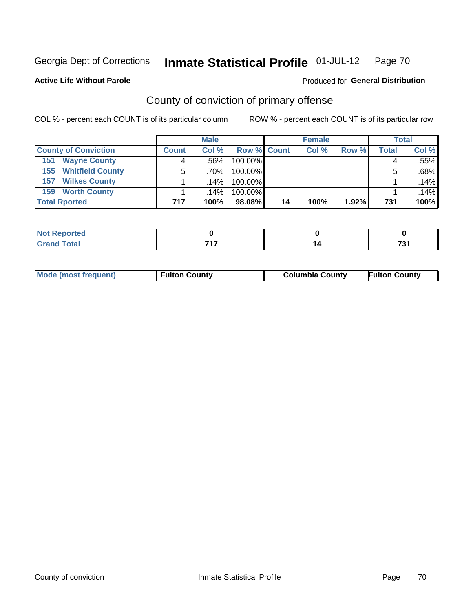Produced for **General Distribution**

#### **Active Life Without Parole**

## County of conviction of primary offense

|                                | <b>Male</b>  |        |                    | <b>Female</b> |       |          | <b>Total</b> |       |
|--------------------------------|--------------|--------|--------------------|---------------|-------|----------|--------------|-------|
| <b>County of Conviction</b>    | <b>Count</b> | Col%   | <b>Row % Count</b> |               | Col % | Row %    | Total        | Col % |
| <b>Wayne County</b><br>151     | 4            | ا 56%. | 100.00%            |               |       |          | 4            | .55%  |
| <b>Whitfield County</b><br>155 |              | ا %70. | 100.00%            |               |       |          | 5            | .68%  |
| <b>Wilkes County</b><br>157    |              | .14%   | 100.00%            |               |       |          |              | .14%  |
| <b>Worth County</b><br>159     |              | .14%   | 100.00%            |               |       |          |              | .14%  |
| <b>Total Rported</b>           | 717          | 100%   | 98.08%             | 14            | 100%  | $1.92\%$ | 731          | 100%  |

| rted<br><b>NOT</b> |     |              |
|--------------------|-----|--------------|
|                    | フィフ | $\mathbf{A}$ |

|  | <b>Mode (most frequent)</b> | <b>Fulton County</b> | <b>Columbia County</b> | <b>Fulton County</b> |
|--|-----------------------------|----------------------|------------------------|----------------------|
|--|-----------------------------|----------------------|------------------------|----------------------|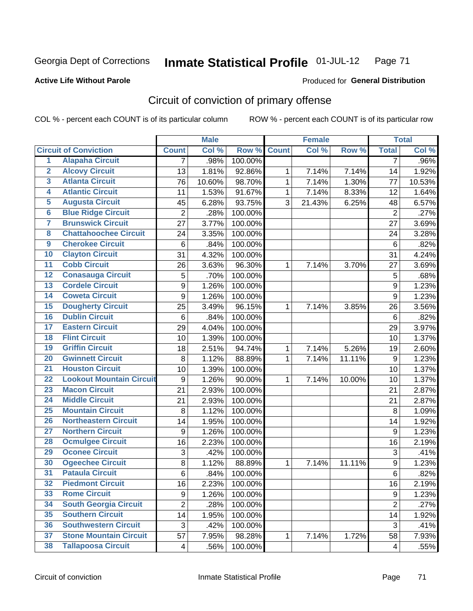**Active Life Without Parole** 

Produced for **General Distribution**

## Circuit of conviction of primary offense

|                         |                                 |                | <b>Male</b> |         |              | <b>Female</b> |        |                  | <b>Total</b> |
|-------------------------|---------------------------------|----------------|-------------|---------|--------------|---------------|--------|------------------|--------------|
|                         | <b>Circuit of Conviction</b>    | <b>Count</b>   | Col %       | Row %   | <b>Count</b> | Col%          | Row %  | <b>Total</b>     | Col %        |
| 1                       | <b>Alapaha Circuit</b>          | 7              | .98%        | 100.00% |              |               |        | 7                | .96%         |
| $\overline{2}$          | <b>Alcovy Circuit</b>           | 13             | 1.81%       | 92.86%  | 1            | 7.14%         | 7.14%  | 14               | 1.92%        |
| $\overline{\mathbf{3}}$ | <b>Atlanta Circuit</b>          | 76             | 10.60%      | 98.70%  | $\mathbf{1}$ | 7.14%         | 1.30%  | 77               | 10.53%       |
| 4                       | <b>Atlantic Circuit</b>         | 11             | 1.53%       | 91.67%  | $\mathbf 1$  | 7.14%         | 8.33%  | 12               | 1.64%        |
| 5                       | <b>Augusta Circuit</b>          | 45             | 6.28%       | 93.75%  | 3            | 21.43%        | 6.25%  | 48               | 6.57%        |
| $\overline{6}$          | <b>Blue Ridge Circuit</b>       | $\overline{c}$ | .28%        | 100.00% |              |               |        | $\overline{2}$   | .27%         |
| $\overline{\mathbf{7}}$ | <b>Brunswick Circuit</b>        | 27             | 3.77%       | 100.00% |              |               |        | 27               | 3.69%        |
| 8                       | <b>Chattahoochee Circuit</b>    | 24             | 3.35%       | 100.00% |              |               |        | 24               | 3.28%        |
| $\overline{9}$          | <b>Cherokee Circuit</b>         | 6              | .84%        | 100.00% |              |               |        | $6\phantom{1}6$  | .82%         |
| 10                      | <b>Clayton Circuit</b>          | 31             | 4.32%       | 100.00% |              |               |        | 31               | 4.24%        |
| $\overline{11}$         | <b>Cobb Circuit</b>             | 26             | 3.63%       | 96.30%  | 1            | 7.14%         | 3.70%  | 27               | 3.69%        |
| $\overline{12}$         | <b>Conasauga Circuit</b>        | 5              | .70%        | 100.00% |              |               |        | 5                | .68%         |
| 13                      | <b>Cordele Circuit</b>          | 9              | 1.26%       | 100.00% |              |               |        | $\boldsymbol{9}$ | 1.23%        |
| 14                      | <b>Coweta Circuit</b>           | 9              | 1.26%       | 100.00% |              |               |        | $\boldsymbol{9}$ | 1.23%        |
| 15                      | <b>Dougherty Circuit</b>        | 25             | 3.49%       | 96.15%  | $\mathbf 1$  | 7.14%         | 3.85%  | 26               | 3.56%        |
| 16                      | <b>Dublin Circuit</b>           | $\,6$          | .84%        | 100.00% |              |               |        | 6                | .82%         |
| 17                      | <b>Eastern Circuit</b>          | 29             | 4.04%       | 100.00% |              |               |        | 29               | 3.97%        |
| 18                      | <b>Flint Circuit</b>            | 10             | 1.39%       | 100.00% |              |               |        | 10               | 1.37%        |
| 19                      | <b>Griffin Circuit</b>          | 18             | 2.51%       | 94.74%  | 1            | 7.14%         | 5.26%  | 19               | 2.60%        |
| 20                      | <b>Gwinnett Circuit</b>         | 8              | 1.12%       | 88.89%  | 1            | 7.14%         | 11.11% | 9                | 1.23%        |
| $\overline{21}$         | <b>Houston Circuit</b>          | 10             | 1.39%       | 100.00% |              |               |        | 10               | 1.37%        |
| $\overline{22}$         | <b>Lookout Mountain Circuit</b> | 9              | 1.26%       | 90.00%  | 1            | 7.14%         | 10.00% | 10               | 1.37%        |
| 23                      | <b>Macon Circuit</b>            | 21             | 2.93%       | 100.00% |              |               |        | 21               | 2.87%        |
| $\overline{24}$         | <b>Middle Circuit</b>           | 21             | 2.93%       | 100.00% |              |               |        | 21               | 2.87%        |
| $\overline{25}$         | <b>Mountain Circuit</b>         | 8              | 1.12%       | 100.00% |              |               |        | 8                | 1.09%        |
| 26                      | <b>Northeastern Circuit</b>     | 14             | 1.95%       | 100.00% |              |               |        | 14               | 1.92%        |
| $\overline{27}$         | <b>Northern Circuit</b>         | 9              | 1.26%       | 100.00% |              |               |        | 9                | 1.23%        |
| 28                      | <b>Ocmulgee Circuit</b>         | 16             | 2.23%       | 100.00% |              |               |        | 16               | 2.19%        |
| 29                      | <b>Oconee Circuit</b>           | 3              | .42%        | 100.00% |              |               |        | 3                | .41%         |
| 30                      | <b>Ogeechee Circuit</b>         | 8              | 1.12%       | 88.89%  | $\mathbf 1$  | 7.14%         | 11.11% | 9                | 1.23%        |
| $\overline{31}$         | <b>Pataula Circuit</b>          | 6              | .84%        | 100.00% |              |               |        | 6                | .82%         |
| 32                      | <b>Piedmont Circuit</b>         | 16             | 2.23%       | 100.00% |              |               |        | 16               | 2.19%        |
| 33                      | <b>Rome Circuit</b>             | 9              | 1.26%       | 100.00% |              |               |        | 9                | 1.23%        |
| 34                      | <b>South Georgia Circuit</b>    | $\overline{2}$ | .28%        | 100.00% |              |               |        | $\overline{2}$   | .27%         |
| 35                      | <b>Southern Circuit</b>         | 14             | 1.95%       | 100.00% |              |               |        | 14               | 1.92%        |
| 36                      | <b>Southwestern Circuit</b>     | 3              | .42%        | 100.00% |              |               |        | $\sqrt{3}$       | .41%         |
| 37                      | <b>Stone Mountain Circuit</b>   | 57             | 7.95%       | 98.28%  | 1            | 7.14%         | 1.72%  | 58               | 7.93%        |
| 38                      | <b>Tallapoosa Circuit</b>       | 4              | .56%        | 100.00% |              |               |        | 4                | .55%         |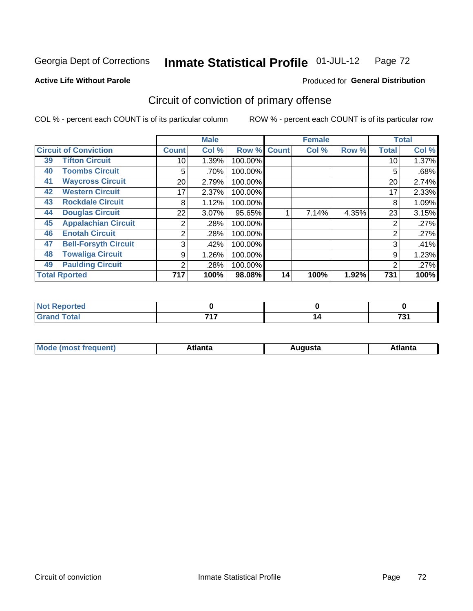**Active Life Without Parole** 

### Produced for **General Distribution**

## Circuit of conviction of primary offense

|    |                              |                | <b>Male</b> |         |              | <b>Female</b> |       |              | <b>Total</b> |
|----|------------------------------|----------------|-------------|---------|--------------|---------------|-------|--------------|--------------|
|    | <b>Circuit of Conviction</b> | <b>Count</b>   | Col %       | Row %   | <b>Count</b> | Col %         | Row % | <b>Total</b> | Col %        |
| 39 | <b>Tifton Circuit</b>        | 10             | 1.39%       | 100.00% |              |               |       | 10           | 1.37%        |
| 40 | <b>Toombs Circuit</b>        | 5              | .70%        | 100.00% |              |               |       | 5            | .68%         |
| 41 | <b>Waycross Circuit</b>      | 20             | 2.79%       | 100.00% |              |               |       | 20           | 2.74%        |
| 42 | <b>Western Circuit</b>       | 17             | 2.37%       | 100.00% |              |               |       | 17           | 2.33%        |
| 43 | <b>Rockdale Circuit</b>      | 8              | 1.12%       | 100.00% |              |               |       | 8            | 1.09%        |
| 44 | <b>Douglas Circuit</b>       | 22             | $3.07\%$    | 95.65%  |              | 7.14%         | 4.35% | 23           | 3.15%        |
| 45 | <b>Appalachian Circuit</b>   | 2              | .28%        | 100.00% |              |               |       | 2            | .27%         |
| 46 | <b>Enotah Circuit</b>        | 2              | .28%        | 100.00% |              |               |       | 2            | .27%         |
| 47 | <b>Bell-Forsyth Circuit</b>  | 3              | .42%        | 100.00% |              |               |       | 3            | .41%         |
| 48 | <b>Towaliga Circuit</b>      | 9              | 1.26%       | 100.00% |              |               |       | 9            | 1.23%        |
| 49 | <b>Paulding Circuit</b>      | $\overline{2}$ | .28%        | 100.00% |              |               |       | 2            | .27%         |
|    | <b>Total Rported</b>         | 717            | 100%        | 98.08%  | 14           | 100%          | 1.92% | 731          | 100%         |

| .<br>eportea          |     |            |
|-----------------------|-----|------------|
| <b>otal</b><br>$\sim$ | 747 | $-1$<br>٠. |

| М<br>. In n tr<br>.<br>.<br>wanta<br>Πū<br>31.<br>$\sim$ $\sim$ $\sim$ |
|------------------------------------------------------------------------|
|------------------------------------------------------------------------|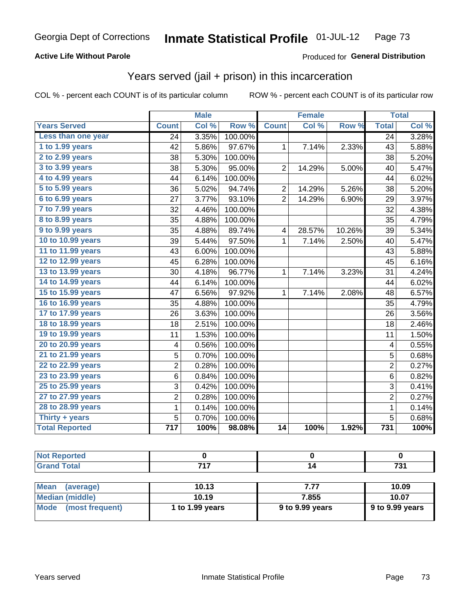### **Active Life Without Parole**

#### Produced for **General Distribution**

## Years served (jail + prison) in this incarceration

|                       |                  | <b>Male</b> |         | <b>Female</b>  |        |        | <b>Total</b>              |       |
|-----------------------|------------------|-------------|---------|----------------|--------|--------|---------------------------|-------|
| <b>Years Served</b>   | <b>Count</b>     | Col %       | Row %   | <b>Count</b>   | Col %  | Row %  | <b>Total</b>              | Col % |
| Less than one year    | 24               | 3.35%       | 100.00% |                |        |        | 24                        | 3.28% |
| 1 to 1.99 years       | 42               | 5.86%       | 97.67%  | 1              | 7.14%  | 2.33%  | 43                        | 5.88% |
| 2 to 2.99 years       | 38               | 5.30%       | 100.00% |                |        |        | 38                        | 5.20% |
| 3 to 3.99 years       | 38               | 5.30%       | 95.00%  | $\overline{2}$ | 14.29% | 5.00%  | 40                        | 5.47% |
| 4 to 4.99 years       | 44               | 6.14%       | 100.00% |                |        |        | 44                        | 6.02% |
| 5 to 5.99 years       | 36               | 5.02%       | 94.74%  | $\overline{c}$ | 14.29% | 5.26%  | 38                        | 5.20% |
| 6 to 6.99 years       | 27               | 3.77%       | 93.10%  | $\overline{2}$ | 14.29% | 6.90%  | 29                        | 3.97% |
| 7 to 7.99 years       | 32               | 4.46%       | 100.00% |                |        |        | 32                        | 4.38% |
| 8 to 8.99 years       | 35               | 4.88%       | 100.00% |                |        |        | 35                        | 4.79% |
| 9 to 9.99 years       | 35               | 4.88%       | 89.74%  | 4              | 28.57% | 10.26% | 39                        | 5.34% |
| 10 to 10.99 years     | 39               | 5.44%       | 97.50%  | 1              | 7.14%  | 2.50%  | 40                        | 5.47% |
| 11 to 11.99 years     | 43               | 6.00%       | 100.00% |                |        |        | 43                        | 5.88% |
| 12 to 12.99 years     | 45               | 6.28%       | 100.00% |                |        |        | 45                        | 6.16% |
| 13 to 13.99 years     | 30               | 4.18%       | 96.77%  | 1              | 7.14%  | 3.23%  | 31                        | 4.24% |
| 14 to 14.99 years     | 44               | 6.14%       | 100.00% |                |        |        | 44                        | 6.02% |
| 15 to 15.99 years     | 47               | 6.56%       | 97.92%  | 1              | 7.14%  | 2.08%  | 48                        | 6.57% |
| 16 to 16.99 years     | 35               | 4.88%       | 100.00% |                |        |        | 35                        | 4.79% |
| 17 to 17.99 years     | 26               | 3.63%       | 100.00% |                |        |        | 26                        | 3.56% |
| 18 to 18.99 years     | 18               | 2.51%       | 100.00% |                |        |        | 18                        | 2.46% |
| 19 to 19.99 years     | 11               | 1.53%       | 100.00% |                |        |        | 11                        | 1.50% |
| 20 to 20.99 years     | 4                | 0.56%       | 100.00% |                |        |        | 4                         | 0.55% |
| 21 to 21.99 years     | 5                | 0.70%       | 100.00% |                |        |        | 5                         | 0.68% |
| 22 to 22.99 years     | $\overline{2}$   | 0.28%       | 100.00% |                |        |        | $\overline{2}$            | 0.27% |
| 23 to 23.99 years     | 6                | 0.84%       | 100.00% |                |        |        | 6                         | 0.82% |
| 25 to 25.99 years     | 3                | 0.42%       | 100.00% |                |        |        | $\ensuremath{\mathsf{3}}$ | 0.41% |
| 27 to 27.99 years     | $\overline{c}$   | 0.28%       | 100.00% |                |        |        | $\overline{2}$            | 0.27% |
| 28 to 28.99 years     | $\mathbf 1$      | 0.14%       | 100.00% |                |        |        | $\mathbf 1$               | 0.14% |
| Thirty + years        | 5                | 0.70%       | 100.00% |                |        |        | 5                         | 0.68% |
| <b>Total Reported</b> | $\overline{717}$ | 100%        | 98.08%  | 14             | 100%   | 1.92%  | 731                       | 100%  |

| 747 | . |
|-----|---|

| <b>Mean</b><br>(average)       | 10.13           | 7.77            | 10.09           |
|--------------------------------|-----------------|-----------------|-----------------|
| Median (middle)                | 10.19           | 7.855           | 10.07           |
| <b>Mode</b><br>(most frequent) | 1 to 1.99 years | 9 to 9.99 years | 9 to 9.99 years |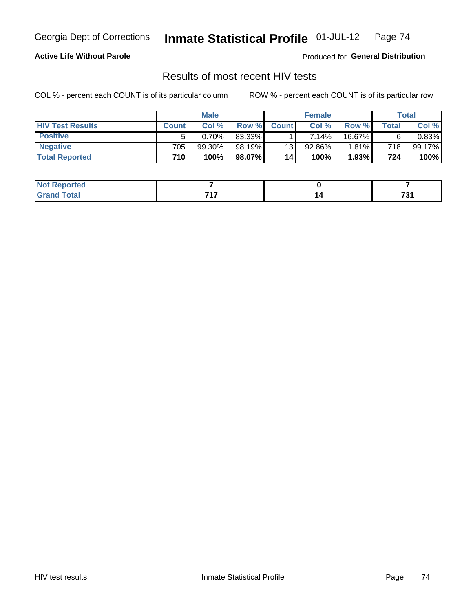### **Active Life Without Parole**

Produced for **General Distribution**

## Results of most recent HIV tests

|                         | <b>Male</b>  |        |        | <b>Female</b> |          |        | Total |           |
|-------------------------|--------------|--------|--------|---------------|----------|--------|-------|-----------|
| <b>HIV Test Results</b> | <b>Count</b> | Col %  | Row %I | <b>Count</b>  | Col%     | Row %  | Total | Col %     |
| <b>Positive</b>         | 5            | 0.70%  | 83.33% |               | $7.14\%$ | 16.67% | 6     | $0.83\%$  |
| <b>Negative</b>         | 705          | 99.30% | 98.19% | 13            | 92.86%   | 1.81%  | 718   | $99.17\%$ |
| <b>Total Reported</b>   | 710          | 100%   | 98.07% | 14            | 100%     | 1.93%  | 724   | 100%      |

| ported<br><b>NOT</b> |       |                |
|----------------------|-------|----------------|
| $int^{\bullet}$      | – 1 – | $\overline{ }$ |
| $\sim$ - $\sim$      | .     | 791            |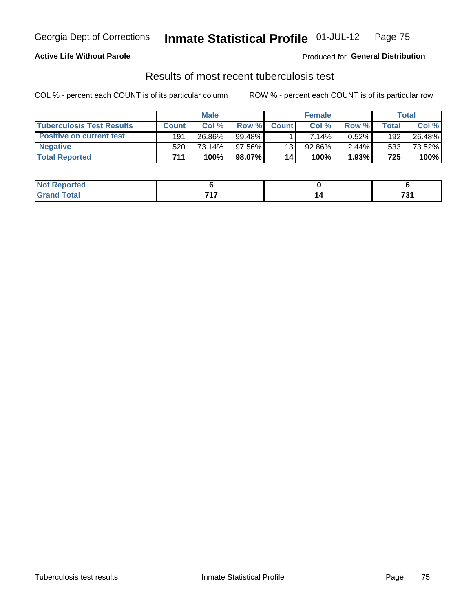### **Active Life Without Parole**

Produced for **General Distribution**

## Results of most recent tuberculosis test

|                                  | <b>Male</b>  |        |        | <b>Female</b> |          |          | Total |        |
|----------------------------------|--------------|--------|--------|---------------|----------|----------|-------|--------|
| <b>Tuberculosis Test Results</b> | <b>Count</b> | Col%   | Row %  | <b>Count</b>  | Col %    | Row %I   | Total | Col %  |
| <b>Positive on current test</b>  | 191          | 26.86% | 99.48% |               | $7.14\%$ | 0.52%    | 192   | 26.48% |
| <b>Negative</b>                  | 520          | 73.14% | 97.56% | 13            | 92.86%   | $2.44\%$ | 533   | 73.52% |
| <b>Total Reported</b>            | 711.         | 100%   | 98.07% | 14            | 100%     | 1.93%    | 725   | 100%   |

| <b>Not Reported</b> |     |                          |
|---------------------|-----|--------------------------|
| <b>Total</b>        | -24 | $\overline{ }$<br>$\sim$ |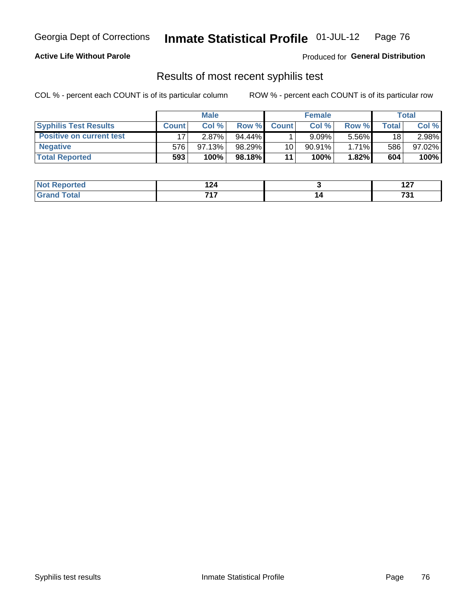### **Active Life Without Parole**

Produced for **General Distribution**

## Results of most recent syphilis test

|                                 | <b>Male</b>  |        |         | <b>Female</b> |           |          | Total |        |
|---------------------------------|--------------|--------|---------|---------------|-----------|----------|-------|--------|
| <b>Syphilis Test Results</b>    | <b>Count</b> | Col %  | Row %   | <b>Count</b>  | Col %     | Row %I   | Total | Col %  |
| <b>Positive on current test</b> |              | 2.87%  | 94.44%  |               | 9.09%     | 5.56%    | 18    | 2.98%  |
| <b>Negative</b>                 | 576          | 97.13% | 98.29%  | 10            | $90.91\%$ | $1.71\%$ | 586   | 97.02% |
| <b>Total Reported</b>           | 593          | 100%   | 98.18%I | 11            | 100%      | 1.82%    | 604   | 100%   |

| <b>Not Reported</b> | ג הו<br>1 Z 4 | - - -<br>.                            |
|---------------------|---------------|---------------------------------------|
| <b>c</b> otal       | フィフ           | $\rightarrow$<br>י ט<br>$\sim$ $\sim$ |